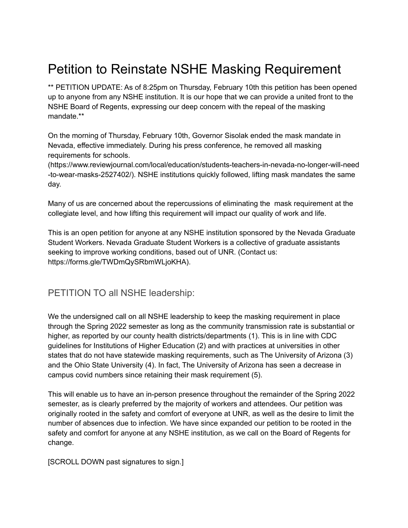## Petition to Reinstate NSHE Masking Requirement

\*\* PETITION UPDATE: As of 8:25pm on Thursday, February 10th this petition has been opened up to anyone from any NSHE institution. It is our hope that we can provide a united front to the NSHE Board of Regents, expressing our deep concern with the repeal of the masking mandate.\*\*

On the morning of Thursday, February 10th, Governor Sisolak ended the mask mandate in Nevada, effective immediately. During his press conference, he removed all masking requirements for schools.

(https://www.reviewjournal.com/local/education/students-teachers-in-nevada-no-longer-will-need -to-wear-masks-2527402/). NSHE institutions quickly followed, lifting mask mandates the same day.

Many of us are concerned about the repercussions of eliminating the mask requirement at the collegiate level, and how lifting this requirement will impact our quality of work and life.

This is an open petition for anyone at any NSHE institution sponsored by the Nevada Graduate Student Workers. Nevada Graduate Student Workers is a collective of graduate assistants seeking to improve working conditions, based out of UNR. (Contact us: https://forms.gle/TWDmQySRbmWLjoKHA).

## PETITION TO all NSHE leadership:

We the undersigned call on all NSHE leadership to keep the masking requirement in place through the Spring 2022 semester as long as the community transmission rate is substantial or higher, as reported by our county health districts/departments (1). This is in line with CDC guidelines for Institutions of Higher Education (2) and with practices at universities in other states that do not have statewide masking requirements, such as The University of Arizona (3) and the Ohio State University (4). In fact, The University of Arizona has seen a decrease in campus covid numbers since retaining their mask requirement (5).

This will enable us to have an in-person presence throughout the remainder of the Spring 2022 semester, as is clearly preferred by the majority of workers and attendees. Our petition was originally rooted in the safety and comfort of everyone at UNR, as well as the desire to limit the number of absences due to infection. We have since expanded our petition to be rooted in the safety and comfort for anyone at any NSHE institution, as we call on the Board of Regents for change.

[SCROLL DOWN past signatures to sign.]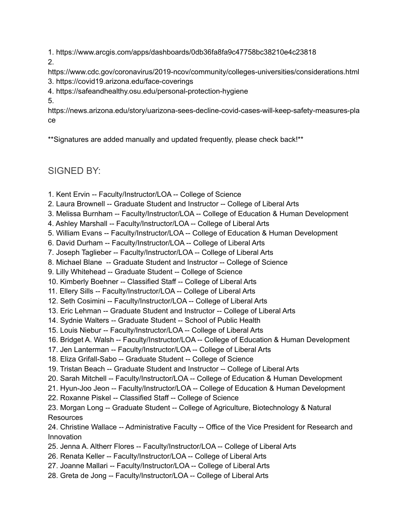1. https://www.arcgis.com/apps/dashboards/0db36fa8fa9c47758bc38210e4c23818 2.

https://www.cdc.gov/coronavirus/2019-ncov/community/colleges-universities/considerations.html 3. https://covid19.arizona.edu/face-coverings

## 4. https://safeandhealthy.osu.edu/personal-protection-hygiene

5.

https://news.arizona.edu/story/uarizona-sees-decline-covid-cases-will-keep-safety-measures-pla ce

\*\*Signatures are added manually and updated frequently, please check back!\*\*

SIGNED BY:

- 1. Kent Ervin -- Faculty/Instructor/LOA -- College of Science
- 2. Laura Brownell -- Graduate Student and Instructor -- College of Liberal Arts
- 3. Melissa Burnham -- Faculty/Instructor/LOA -- College of Education & Human Development
- 4. Ashley Marshall -- Faculty/Instructor/LOA -- College of Liberal Arts
- 5. William Evans -- Faculty/Instructor/LOA -- College of Education & Human Development
- 6. David Durham -- Faculty/Instructor/LOA -- College of Liberal Arts
- 7. Joseph Taglieber -- Faculty/Instructor/LOA -- College of Liberal Arts
- 8. Michael Blane -- Graduate Student and Instructor -- College of Science
- 9. Lilly Whitehead -- Graduate Student -- College of Science
- 10. Kimberly Boehner -- Classified Staff -- College of Liberal Arts
- 11. Ellery Sills -- Faculty/Instructor/LOA -- College of Liberal Arts
- 12. Seth Cosimini -- Faculty/Instructor/LOA -- College of Liberal Arts
- 13. Eric Lehman -- Graduate Student and Instructor -- College of Liberal Arts
- 14. Sydnie Walters -- Graduate Student -- School of Public Health
- 15. Louis Niebur -- Faculty/Instructor/LOA -- College of Liberal Arts
- 16. Bridget A. Walsh -- Faculty/Instructor/LOA -- College of Education & Human Development
- 17. Jen Lanterman -- Faculty/Instructor/LOA -- College of Liberal Arts
- 18. Eliza Grifall-Sabo -- Graduate Student -- College of Science
- 19. Tristan Beach -- Graduate Student and Instructor -- College of Liberal Arts
- 20. Sarah Mitchell -- Faculty/Instructor/LOA -- College of Education & Human Development
- 21. Hyun-Joo Jeon -- Faculty/Instructor/LOA -- College of Education & Human Development
- 22. Roxanne Piskel -- Classified Staff -- College of Science
- 23. Morgan Long -- Graduate Student -- College of Agriculture, Biotechnology & Natural **Resources**
- 24. Christine Wallace -- Administrative Faculty -- Office of the Vice President for Research and Innovation
- 25. Jenna A. Altherr Flores -- Faculty/Instructor/LOA -- College of Liberal Arts
- 26. Renata Keller -- Faculty/Instructor/LOA -- College of Liberal Arts
- 27. Joanne Mallari -- Faculty/Instructor/LOA -- College of Liberal Arts
- 28. Greta de Jong -- Faculty/Instructor/LOA -- College of Liberal Arts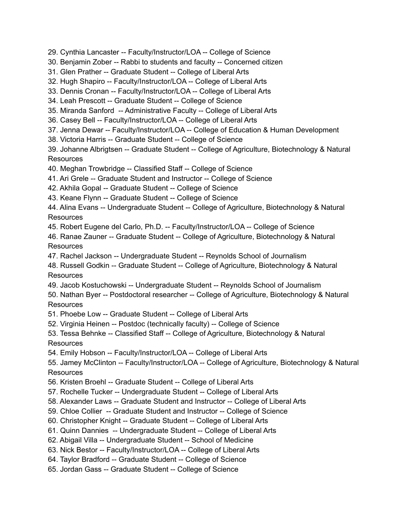29. Cynthia Lancaster -- Faculty/Instructor/LOA -- College of Science

30. Benjamin Zober -- Rabbi to students and faculty -- Concerned citizen

31. Glen Prather -- Graduate Student -- College of Liberal Arts

32. Hugh Shapiro -- Faculty/Instructor/LOA -- College of Liberal Arts

33. Dennis Cronan -- Faculty/Instructor/LOA -- College of Liberal Arts

34. Leah Prescott -- Graduate Student -- College of Science

35. Miranda Sanford -- Administrative Faculty -- College of Liberal Arts

36. Casey Bell -- Faculty/Instructor/LOA -- College of Liberal Arts

37. Jenna Dewar -- Faculty/Instructor/LOA -- College of Education & Human Development

38. Victoria Harris -- Graduate Student -- College of Science

39. Johanne Albrigtsen -- Graduate Student -- College of Agriculture, Biotechnology & Natural Resources

40. Meghan Trowbridge -- Classified Staff -- College of Science

41. Ari Grele -- Graduate Student and Instructor -- College of Science

42. Akhila Gopal -- Graduate Student -- College of Science

43. Keane Flynn -- Graduate Student -- College of Science

44. Alina Evans -- Undergraduate Student -- College of Agriculture, Biotechnology & Natural **Resources** 

45. Robert Eugene del Carlo, Ph.D. -- Faculty/Instructor/LOA -- College of Science

46. Ranae Zauner -- Graduate Student -- College of Agriculture, Biotechnology & Natural **Resources** 

47. Rachel Jackson -- Undergraduate Student -- Reynolds School of Journalism

48. Russell Godkin -- Graduate Student -- College of Agriculture, Biotechnology & Natural **Resources** 

49. Jacob Kostuchowski -- Undergraduate Student -- Reynolds School of Journalism

50. Nathan Byer -- Postdoctoral researcher -- College of Agriculture, Biotechnology & Natural **Resources** 

51. Phoebe Low -- Graduate Student -- College of Liberal Arts

52. Virginia Heinen -- Postdoc (technically faculty) -- College of Science

53. Tessa Behnke -- Classified Staff -- College of Agriculture, Biotechnology & Natural Resources

54. Emily Hobson -- Faculty/Instructor/LOA -- College of Liberal Arts

55. Jamey McClinton -- Faculty/Instructor/LOA -- College of Agriculture, Biotechnology & Natural **Resources** 

56. Kristen Broehl -- Graduate Student -- College of Liberal Arts

57. Rochelle Tucker -- Undergraduate Student -- College of Liberal Arts

58. Alexander Laws -- Graduate Student and Instructor -- College of Liberal Arts

59. Chloe Collier -- Graduate Student and Instructor -- College of Science

60. Christopher Knight -- Graduate Student -- College of Liberal Arts

61. Quinn Dannies -- Undergraduate Student -- College of Liberal Arts

62. Abigail Villa -- Undergraduate Student -- School of Medicine

63. Nick Bestor -- Faculty/Instructor/LOA -- College of Liberal Arts

64. Taylor Bradford -- Graduate Student -- College of Science

65. Jordan Gass -- Graduate Student -- College of Science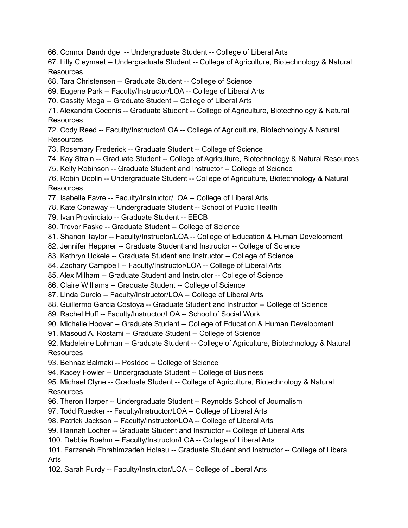66. Connor Dandridge -- Undergraduate Student -- College of Liberal Arts

67. Lilly Cleymaet -- Undergraduate Student -- College of Agriculture, Biotechnology & Natural Resources

- 68. Tara Christensen -- Graduate Student -- College of Science
- 69. Eugene Park -- Faculty/Instructor/LOA -- College of Liberal Arts
- 70. Cassity Mega -- Graduate Student -- College of Liberal Arts

71. Alexandra Coconis -- Graduate Student -- College of Agriculture, Biotechnology & Natural **Resources** 

72. Cody Reed -- Faculty/Instructor/LOA -- College of Agriculture, Biotechnology & Natural Resources

- 73. Rosemary Frederick -- Graduate Student -- College of Science
- 74. Kay Strain -- Graduate Student -- College of Agriculture, Biotechnology & Natural Resources
- 75. Kelly Robinson -- Graduate Student and Instructor -- College of Science

76. Robin Doolin -- Undergraduate Student -- College of Agriculture, Biotechnology & Natural **Resources** 

- 77. Isabelle Favre -- Faculty/Instructor/LOA -- College of Liberal Arts
- 78. Kate Conaway -- Undergraduate Student -- School of Public Health
- 79. Ivan Provinciato -- Graduate Student -- EECB
- 80. Trevor Faske -- Graduate Student -- College of Science
- 81. Shanon Taylor -- Faculty/Instructor/LOA -- College of Education & Human Development
- 82. Jennifer Heppner -- Graduate Student and Instructor -- College of Science
- 83. Kathryn Uckele -- Graduate Student and Instructor -- College of Science
- 84. Zachary Campbell -- Faculty/Instructor/LOA -- College of Liberal Arts
- 85. Alex Milham -- Graduate Student and Instructor -- College of Science
- 86. Claire Williams -- Graduate Student -- College of Science
- 87. Linda Curcio -- Faculty/Instructor/LOA -- College of Liberal Arts
- 88. Guillermo Garcia Costoya -- Graduate Student and Instructor -- College of Science
- 89. Rachel Huff -- Faculty/Instructor/LOA -- School of Social Work
- 90. Michelle Hoover -- Graduate Student -- College of Education & Human Development
- 91. Masoud A. Rostami -- Graduate Student -- College of Science

92. Madeleine Lohman -- Graduate Student -- College of Agriculture, Biotechnology & Natural **Resources** 

- 93. Behnaz Balmaki -- Postdoc -- College of Science
- 94. Kacey Fowler -- Undergraduate Student -- College of Business
- 95. Michael Clyne -- Graduate Student -- College of Agriculture, Biotechnology & Natural **Resources**
- 96. Theron Harper -- Undergraduate Student -- Reynolds School of Journalism
- 97. Todd Ruecker -- Faculty/Instructor/LOA -- College of Liberal Arts
- 98. Patrick Jackson -- Faculty/Instructor/LOA -- College of Liberal Arts
- 99. Hannah Locher -- Graduate Student and Instructor -- College of Liberal Arts
- 100. Debbie Boehm -- Faculty/Instructor/LOA -- College of Liberal Arts
- 101. Farzaneh Ebrahimzadeh Holasu -- Graduate Student and Instructor -- College of Liberal Arts
- 102. Sarah Purdy -- Faculty/Instructor/LOA -- College of Liberal Arts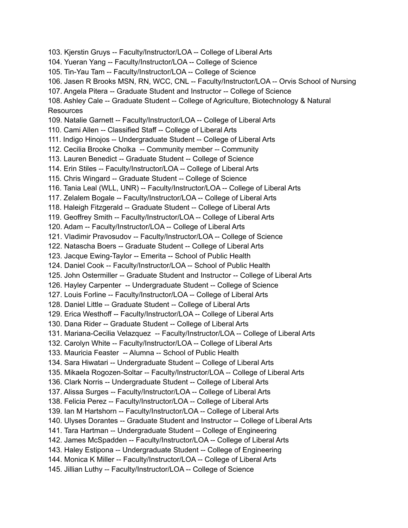103. Kjerstin Gruys -- Faculty/Instructor/LOA -- College of Liberal Arts 104. Yueran Yang -- Faculty/Instructor/LOA -- College of Science 105. Tin-Yau Tam -- Faculty/Instructor/LOA -- College of Science 106. Jasen R Brooks MSN, RN, WCC, CNL -- Faculty/Instructor/LOA -- Orvis School of Nursing 107. Angela Pitera -- Graduate Student and Instructor -- College of Science 108. Ashley Cale -- Graduate Student -- College of Agriculture, Biotechnology & Natural **Resources** 109. Natalie Garnett -- Faculty/Instructor/LOA -- College of Liberal Arts 110. Cami Allen -- Classified Staff -- College of Liberal Arts 111. Indigo Hinojos -- Undergraduate Student -- College of Liberal Arts 112. Cecilia Brooke Cholka -- Community member -- Community 113. Lauren Benedict -- Graduate Student -- College of Science 114. Erin Stiles -- Faculty/Instructor/LOA -- College of Liberal Arts 115. Chris Wingard -- Graduate Student -- College of Science 116. Tania Leal (WLL, UNR) -- Faculty/Instructor/LOA -- College of Liberal Arts 117. Zelalem Bogale -- Faculty/Instructor/LOA -- College of Liberal Arts 118. Haleigh Fitzgerald -- Graduate Student -- College of Liberal Arts 119. Geoffrey Smith -- Faculty/Instructor/LOA -- College of Liberal Arts 120. Adam -- Faculty/Instructor/LOA -- College of Liberal Arts 121. Vladimir Pravosudov -- Faculty/Instructor/LOA -- College of Science 122. Natascha Boers -- Graduate Student -- College of Liberal Arts 123. Jacque Ewing-Taylor -- Emerita -- School of Public Health 124. Daniel Cook -- Faculty/Instructor/LOA -- School of Public Health 125. John Ostermiller -- Graduate Student and Instructor -- College of Liberal Arts 126. Hayley Carpenter -- Undergraduate Student -- College of Science 127. Louis Forline -- Faculty/Instructor/LOA -- College of Liberal Arts 128. Daniel Little -- Graduate Student -- College of Liberal Arts 129. Erica Westhoff -- Faculty/Instructor/LOA -- College of Liberal Arts 130. Dana Rider -- Graduate Student -- College of Liberal Arts 131. Mariana-Cecilia Velazquez -- Faculty/Instructor/LOA -- College of Liberal Arts 132. Carolyn White -- Faculty/Instructor/LOA -- College of Liberal Arts 133. Mauricia Feaster -- Alumna -- School of Public Health 134. Sara Hiwatari -- Undergraduate Student -- College of Liberal Arts 135. Mikaela Rogozen-Soltar -- Faculty/Instructor/LOA -- College of Liberal Arts 136. Clark Norris -- Undergraduate Student -- College of Liberal Arts 137. Alissa Surges -- Faculty/Instructor/LOA -- College of Liberal Arts 138. Felicia Perez -- Faculty/Instructor/LOA -- College of Liberal Arts 139. Ian M Hartshorn -- Faculty/Instructor/LOA -- College of Liberal Arts 140. Ulyses Dorantes -- Graduate Student and Instructor -- College of Liberal Arts 141. Tara Hartman -- Undergraduate Student -- College of Engineering 142. James McSpadden -- Faculty/Instructor/LOA -- College of Liberal Arts 143. Haley Estipona -- Undergraduate Student -- College of Engineering 144. Monica K Miller -- Faculty/Instructor/LOA -- College of Liberal Arts 145. Jillian Luthy -- Faculty/Instructor/LOA -- College of Science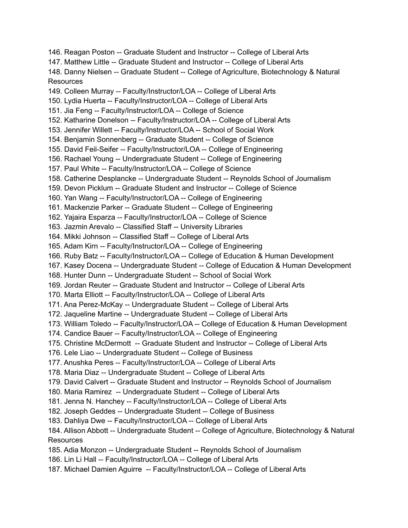146. Reagan Poston -- Graduate Student and Instructor -- College of Liberal Arts 147. Matthew Little -- Graduate Student and Instructor -- College of Liberal Arts 148. Danny Nielsen -- Graduate Student -- College of Agriculture, Biotechnology & Natural **Resources** 149. Colleen Murray -- Faculty/Instructor/LOA -- College of Liberal Arts 150. Lydia Huerta -- Faculty/Instructor/LOA -- College of Liberal Arts 151. Jia Feng -- Faculty/Instructor/LOA -- College of Science 152. Katharine Donelson -- Faculty/Instructor/LOA -- College of Liberal Arts 153. Jennifer Willett -- Faculty/Instructor/LOA -- School of Social Work 154. Benjamin Sonnenberg -- Graduate Student -- College of Science 155. David Feil-Seifer -- Faculty/Instructor/LOA -- College of Engineering 156. Rachael Young -- Undergraduate Student -- College of Engineering 157. Paul White -- Faculty/Instructor/LOA -- College of Science 158. Catherine Desplancke -- Undergraduate Student -- Reynolds School of Journalism 159. Devon Picklum -- Graduate Student and Instructor -- College of Science 160. Yan Wang -- Faculty/Instructor/LOA -- College of Engineering 161. Mackenzie Parker -- Graduate Student -- College of Engineering 162. Yajaira Esparza -- Faculty/Instructor/LOA -- College of Science 163. Jazmin Arevalo -- Classified Staff -- University Libraries 164. Mikki Johnson -- Classified Staff -- College of Liberal Arts 165. Adam Kirn -- Faculty/Instructor/LOA -- College of Engineering 166. Ruby Batz -- Faculty/Instructor/LOA -- College of Education & Human Development 167. Kasey Docena -- Undergraduate Student -- College of Education & Human Development 168. Hunter Dunn -- Undergraduate Student -- School of Social Work 169. Jordan Reuter -- Graduate Student and Instructor -- College of Liberal Arts 170. Marta Elliott -- Faculty/Instructor/LOA -- College of Liberal Arts 171. Ana Perez-McKay -- Undergraduate Student -- College of Liberal Arts 172. Jaqueline Martine -- Undergraduate Student -- College of Liberal Arts 173. William Toledo -- Faculty/Instructor/LOA -- College of Education & Human Development 174. Candice Bauer -- Faculty/Instructor/LOA -- College of Engineering 175. Christine McDermott -- Graduate Student and Instructor -- College of Liberal Arts 176. Lele Liao -- Undergraduate Student -- College of Business 177. Anushka Peres -- Faculty/Instructor/LOA -- College of Liberal Arts 178. Maria Diaz -- Undergraduate Student -- College of Liberal Arts 179. David Calvert -- Graduate Student and Instructor -- Reynolds School of Journalism 180. Maria Ramirez -- Undergraduate Student -- College of Liberal Arts 181. Jenna N. Hanchey -- Faculty/Instructor/LOA -- College of Liberal Arts 182. Joseph Geddes -- Undergraduate Student -- College of Business 183. Dahliya Dwe -- Faculty/Instructor/LOA -- College of Liberal Arts 184. Allison Abbott -- Undergraduate Student -- College of Agriculture, Biotechnology & Natural **Resources** 185. Adia Monzon -- Undergraduate Student -- Reynolds School of Journalism 186. Lin Li Hall -- Faculty/Instructor/LOA -- College of Liberal Arts 187. Michael Damien Aguirre -- Faculty/Instructor/LOA -- College of Liberal Arts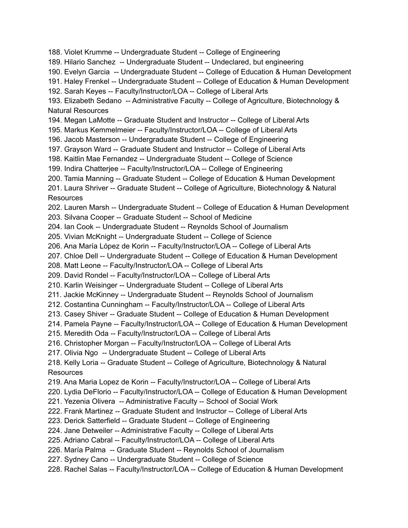188. Violet Krumme -- Undergraduate Student -- College of Engineering

189. Hilario Sanchez -- Undergraduate Student -- Undeclared, but engineering

190. Evelyn Garcia -- Undergraduate Student -- College of Education & Human Development

191. Haley Frenkel -- Undergraduate Student -- College of Education & Human Development

192. Sarah Keyes -- Faculty/Instructor/LOA -- College of Liberal Arts

193. Elizabeth Sedano -- Administrative Faculty -- College of Agriculture, Biotechnology & Natural Resources

194. Megan LaMotte -- Graduate Student and Instructor -- College of Liberal Arts

195. Markus Kemmelmeier -- Faculty/Instructor/LOA -- College of Liberal Arts

196. Jacob Masterson -- Undergraduate Student -- College of Engineering

197. Grayson Ward -- Graduate Student and Instructor -- College of Liberal Arts

198. Kaitlin Mae Fernandez -- Undergraduate Student -- College of Science

199. Indira Chatterjee -- Faculty/Instructor/LOA -- College of Engineering

200. Tamia Manning -- Graduate Student -- College of Education & Human Development

201. Laura Shriver -- Graduate Student -- College of Agriculture, Biotechnology & Natural **Resources** 

202. Lauren Marsh -- Undergraduate Student -- College of Education & Human Development

203. Silvana Cooper -- Graduate Student -- School of Medicine

204. Ian Cook -- Undergraduate Student -- Reynolds School of Journalism

205. Vivian McKnight -- Undergraduate Student -- College of Science

206. Ana María López de Korin -- Faculty/Instructor/LOA -- College of Liberal Arts

207. Chloe Dell -- Undergraduate Student -- College of Education & Human Development

208. Matt Leone -- Faculty/Instructor/LOA -- College of Liberal Arts

209. David Rondel -- Faculty/Instructor/LOA -- College of Liberal Arts

210. Karlin Weisinger -- Undergraduate Student -- College of Liberal Arts

211. Jackie McKinney -- Undergraduate Student -- Reynolds School of Journalism

212. Costantina Cunningham -- Faculty/Instructor/LOA -- College of Liberal Arts

213. Casey Shiver -- Graduate Student -- College of Education & Human Development

214. Pamela Payne -- Faculty/Instructor/LOA -- College of Education & Human Development

215. Meredith Oda -- Faculty/Instructor/LOA -- College of Liberal Arts

216. Christopher Morgan -- Faculty/Instructor/LOA -- College of Liberal Arts

217. Olivia Ngo -- Undergraduate Student -- College of Liberal Arts

218. Kelly Loria -- Graduate Student -- College of Agriculture, Biotechnology & Natural **Resources** 

219. Ana Maria Lopez de Korin -- Faculty/Instructor/LOA -- College of Liberal Arts

220. Lydia DeFlorio -- Faculty/Instructor/LOA -- College of Education & Human Development

221. Yezenia Olivera -- Administrative Faculty -- School of Social Work

222. Frank Martinez -- Graduate Student and Instructor -- College of Liberal Arts

223. Derick Satterfield -- Graduate Student -- College of Engineering

224. Jane Detweiler -- Administrative Faculty -- College of Liberal Arts

225. Adriano Cabral -- Faculty/Instructor/LOA -- College of Liberal Arts

226. María Palma -- Graduate Student -- Reynolds School of Journalism

227. Sydney Cano -- Undergraduate Student -- College of Science

228. Rachel Salas -- Faculty/Instructor/LOA -- College of Education & Human Development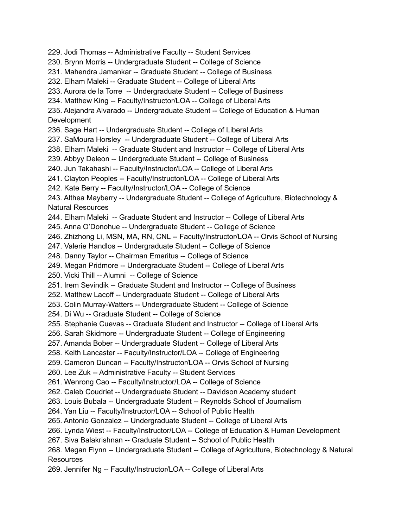229. Jodi Thomas -- Administrative Faculty -- Student Services 230. Brynn Morris -- Undergraduate Student -- College of Science 231. Mahendra Jamankar -- Graduate Student -- College of Business 232. Elham Maleki -- Graduate Student -- College of Liberal Arts 233. Aurora de la Torre -- Undergraduate Student -- College of Business 234. Matthew King -- Faculty/Instructor/LOA -- College of Liberal Arts 235. Alejandra Alvarado -- Undergraduate Student -- College of Education & Human Development 236. Sage Hart -- Undergraduate Student -- College of Liberal Arts 237. SaMoura Horsley -- Undergraduate Student -- College of Liberal Arts 238. Elham Maleki -- Graduate Student and Instructor -- College of Liberal Arts 239. Abbyy Deleon -- Undergraduate Student -- College of Business 240. Jun Takahashi -- Faculty/Instructor/LOA -- College of Liberal Arts 241. Clayton Peoples -- Faculty/Instructor/LOA -- College of Liberal Arts 242. Kate Berry -- Faculty/Instructor/LOA -- College of Science 243. Althea Mayberry -- Undergraduate Student -- College of Agriculture, Biotechnology & Natural Resources 244. Elham Maleki -- Graduate Student and Instructor -- College of Liberal Arts 245. Anna O'Donohue -- Undergraduate Student -- College of Science 246. Zhizhong Li, MSN, MA, RN, CNL -- Faculty/Instructor/LOA -- Orvis School of Nursing 247. Valerie Handlos -- Undergraduate Student -- College of Science 248. Danny Taylor -- Chairman Emeritus -- College of Science 249. Megan Pridmore -- Undergraduate Student -- College of Liberal Arts 250. Vicki Thill -- Alumni -- College of Science 251. Irem Sevindik -- Graduate Student and Instructor -- College of Business 252. Matthew Lacoff -- Undergraduate Student -- College of Liberal Arts 253. Colin Murray-Watters -- Undergraduate Student -- College of Science 254. Di Wu -- Graduate Student -- College of Science 255. Stephanie Cuevas -- Graduate Student and Instructor -- College of Liberal Arts 256. Sarah Skidmore -- Undergraduate Student -- College of Engineering 257. Amanda Bober -- Undergraduate Student -- College of Liberal Arts 258. Keith Lancaster -- Faculty/Instructor/LOA -- College of Engineering 259. Cameron Duncan -- Faculty/Instructor/LOA -- Orvis School of Nursing 260. Lee Zuk -- Administrative Faculty -- Student Services 261. Wenrong Cao -- Faculty/Instructor/LOA -- College of Science 262. Caleb Coudriet -- Undergraduate Student -- Davidson Academy student 263. Louis Bubala -- Undergraduate Student -- Reynolds School of Journalism 264. Yan Liu -- Faculty/Instructor/LOA -- School of Public Health 265. Antonio Gonzalez -- Undergraduate Student -- College of Liberal Arts 266. Lynda Wiest -- Faculty/Instructor/LOA -- College of Education & Human Development 267. Siva Balakrishnan -- Graduate Student -- School of Public Health 268. Megan Flynn -- Undergraduate Student -- College of Agriculture, Biotechnology & Natural **Resources** 269. Jennifer Ng -- Faculty/Instructor/LOA -- College of Liberal Arts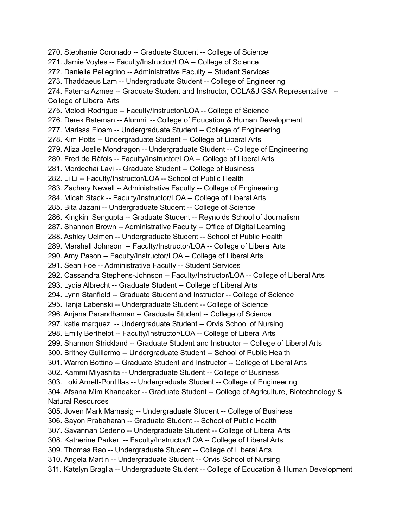270. Stephanie Coronado -- Graduate Student -- College of Science 271. Jamie Voyles -- Faculty/Instructor/LOA -- College of Science 272. Danielle Pellegrino -- Administrative Faculty -- Student Services 273. Thaddaeus Lam -- Undergraduate Student -- College of Engineering 274. Fatema Azmee -- Graduate Student and Instructor, COLA&J GSA Representative -- College of Liberal Arts 275. Melodi Rodrigue -- Faculty/Instructor/LOA -- College of Science 276. Derek Bateman -- Alumni -- College of Education & Human Development 277. Marissa Floam -- Undergraduate Student -- College of Engineering 278. Kim Potts -- Undergraduate Student -- College of Liberal Arts 279. Aliza Joelle Mondragon -- Undergraduate Student -- College of Engineering 280. Fred de Ràfols -- Faculty/Instructor/LOA -- College of Liberal Arts 281. Mordechai Lavi -- Graduate Student -- College of Business 282. Li Li -- Faculty/Instructor/LOA -- School of Public Health 283. Zachary Newell -- Administrative Faculty -- College of Engineering 284. Micah Stack -- Faculty/Instructor/LOA -- College of Liberal Arts 285. Bita Jazani -- Undergraduate Student -- College of Science 286. Kingkini Sengupta -- Graduate Student -- Reynolds School of Journalism 287. Shannon Brown -- Administrative Faculty -- Office of Digital Learning 288. Ashley Uelmen -- Undergraduate Student -- School of Public Health 289. Marshall Johnson -- Faculty/Instructor/LOA -- College of Liberal Arts 290. Amy Pason -- Faculty/Instructor/LOA -- College of Liberal Arts 291. Sean Foe -- Administrative Faculty -- Student Services 292. Cassandra Stephens-Johnson -- Faculty/Instructor/LOA -- College of Liberal Arts 293. Lydia Albrecht -- Graduate Student -- College of Liberal Arts 294. Lynn Stanfield -- Graduate Student and Instructor -- College of Science 295. Tanja Labenski -- Undergraduate Student -- College of Science 296. Anjana Parandhaman -- Graduate Student -- College of Science 297. katie marquez -- Undergraduate Student -- Orvis School of Nursing 298. Emily Berthelot -- Faculty/Instructor/LOA -- College of Liberal Arts 299. Shannon Strickland -- Graduate Student and Instructor -- College of Liberal Arts 300. Britney Guillermo -- Undergraduate Student -- School of Public Health 301. Warren Bottino -- Graduate Student and Instructor -- College of Liberal Arts 302. Kammi Miyashita -- Undergraduate Student -- College of Business 303. Loki Arnett-Pontillas -- Undergraduate Student -- College of Engineering 304. Afsana Mim Khandaker -- Graduate Student -- College of Agriculture, Biotechnology & Natural Resources 305. Joven Mark Mamasig -- Undergraduate Student -- College of Business 306. Sayon Prabaharan -- Graduate Student -- School of Public Health 307. Savannah Cedeno -- Undergraduate Student -- College of Liberal Arts 308. Katherine Parker -- Faculty/Instructor/LOA -- College of Liberal Arts 309. Thomas Rao -- Undergraduate Student -- College of Liberal Arts 310. Angela Martin -- Undergraduate Student -- Orvis School of Nursing 311. Katelyn Braglia -- Undergraduate Student -- College of Education & Human Development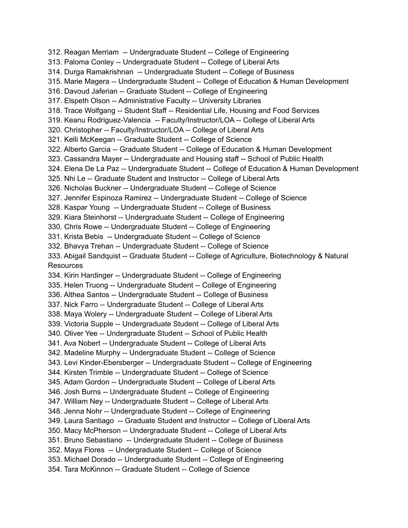312. Reagan Merriam -- Undergraduate Student -- College of Engineering 313. Paloma Conley -- Undergraduate Student -- College of Liberal Arts 314. Durga Ramakrishnan -- Undergraduate Student -- College of Business 315. Marie Magera -- Undergraduate Student -- College of Education & Human Development 316. Davoud Jaferian -- Graduate Student -- College of Engineering 317. Elspeth Olson -- Administrative Faculty -- University Libraries 318. Trace Wolfgang -- Student Staff -- Residential Life, Housing and Food Services 319. Keanu Rodriguez-Valencia -- Faculty/Instructor/LOA -- College of Liberal Arts 320. Christopher -- Faculty/Instructor/LOA -- College of Liberal Arts 321. Kelli McKeegan -- Graduate Student -- College of Science 322. Alberto Garcia -- Graduate Student -- College of Education & Human Development 323. Cassandra Mayer -- Undergraduate and Housing staff -- School of Public Health 324. Elena De La Paz -- Undergraduate Student -- College of Education & Human Development 325. Nhi Le -- Graduate Student and Instructor -- College of Liberal Arts 326. Nicholas Buckner -- Undergraduate Student -- College of Science 327. Jennifer Espinoza Ramirez -- Undergraduate Student -- College of Science 328. Kaspar Young -- Undergraduate Student -- College of Business 329. Kiara Steinhorst -- Undergraduate Student -- College of Engineering 330. Chris Rowe -- Undergraduate Student -- College of Engineering 331. Krista Bebis -- Undergraduate Student -- College of Science 332. Bhavya Trehan -- Undergraduate Student -- College of Science 333. Abigail Sandquist -- Graduate Student -- College of Agriculture, Biotechnology & Natural Resources 334. Kirin Hardinger -- Undergraduate Student -- College of Engineering 335. Helen Truong -- Undergraduate Student -- College of Engineering 336. Althea Santos -- Undergraduate Student -- College of Business 337. Nick Farro -- Undergraduate Student -- College of Liberal Arts 338. Maya Wolery -- Undergraduate Student -- College of Liberal Arts 339. Victoria Supple -- Undergraduate Student -- College of Liberal Arts 340. Oliver Yee -- Undergraduate Student -- School of Public Health 341. Ava Nobert -- Undergraduate Student -- College of Liberal Arts 342. Madeline Murphy -- Undergraduate Student -- College of Science 343. Levi Kinder-Ebersberger -- Undergraduate Student -- College of Engineering 344. Kirsten Trimble -- Undergraduate Student -- College of Science 345. Adam Gordon -- Undergraduate Student -- College of Liberal Arts 346. Josh Burns -- Undergraduate Student -- College of Engineering 347. William Ney -- Undergraduate Student -- College of Liberal Arts 348. Jenna Nohr -- Undergraduate Student -- College of Engineering 349. Laura Santiago -- Graduate Student and Instructor -- College of Liberal Arts 350. Macy McPherson -- Undergraduate Student -- College of Liberal Arts 351. Bruno Sebastiano -- Undergraduate Student -- College of Business 352. Maya Flores -- Undergraduate Student -- College of Science 353. Michael Dorado -- Undergraduate Student -- College of Engineering 354. Tara McKinnon -- Graduate Student -- College of Science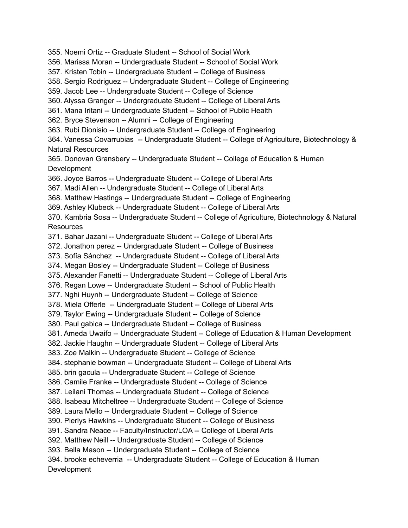355. Noemi Ortiz -- Graduate Student -- School of Social Work 356. Marissa Moran -- Undergraduate Student -- School of Social Work 357. Kristen Tobin -- Undergraduate Student -- College of Business 358. Sergio Rodriguez -- Undergraduate Student -- College of Engineering 359. Jacob Lee -- Undergraduate Student -- College of Science 360. Alyssa Granger -- Undergraduate Student -- College of Liberal Arts 361. Mana Iritani -- Undergraduate Student -- School of Public Health 362. Bryce Stevenson -- Alumni -- College of Engineering 363. Rubi Dionisio -- Undergraduate Student -- College of Engineering 364. Vanessa Covarrubias -- Undergraduate Student -- College of Agriculture, Biotechnology & Natural Resources 365. Donovan Gransbery -- Undergraduate Student -- College of Education & Human Development 366. Joyce Barros -- Undergraduate Student -- College of Liberal Arts 367. Madi Allen -- Undergraduate Student -- College of Liberal Arts 368. Matthew Hastings -- Undergraduate Student -- College of Engineering 369. Ashley Klubeck -- Undergraduate Student -- College of Liberal Arts 370. Kambria Sosa -- Undergraduate Student -- College of Agriculture, Biotechnology & Natural Resources 371. Bahar Jazani -- Undergraduate Student -- College of Liberal Arts 372. Jonathon perez -- Undergraduate Student -- College of Business 373. Sofía Sánchez -- Undergraduate Student -- College of Liberal Arts 374. Megan Bosley -- Undergraduate Student -- College of Business 375. Alexander Fanetti -- Undergraduate Student -- College of Liberal Arts 376. Regan Lowe -- Undergraduate Student -- School of Public Health 377. Nghi Huynh -- Undergraduate Student -- College of Science 378. Miela Offerle -- Undergraduate Student -- College of Liberal Arts 379. Taylor Ewing -- Undergraduate Student -- College of Science 380. Paul gabica -- Undergraduate Student -- College of Business 381. Ameda Uwaifo -- Undergraduate Student -- College of Education & Human Development 382. Jackie Haughn -- Undergraduate Student -- College of Liberal Arts 383. Zoe Malkin -- Undergraduate Student -- College of Science 384. stephanie bowman -- Undergraduate Student -- College of Liberal Arts 385. brin gacula -- Undergraduate Student -- College of Science 386. Camile Franke -- Undergraduate Student -- College of Science 387. Leilani Thomas -- Undergraduate Student -- College of Science 388. Isabeau Mitcheltree -- Undergraduate Student -- College of Science 389. Laura Mello -- Undergraduate Student -- College of Science 390. Pierlys Hawkins -- Undergraduate Student -- College of Business 391. Sandra Neace -- Faculty/Instructor/LOA -- College of Liberal Arts 392. Matthew Neill -- Undergraduate Student -- College of Science 393. Bella Mason -- Undergraduate Student -- College of Science 394. brooke echeverria -- Undergraduate Student -- College of Education & Human Development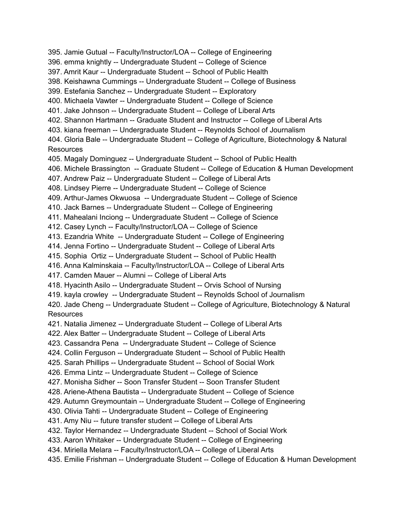395. Jamie Gutual -- Faculty/Instructor/LOA -- College of Engineering 396. emma knightly -- Undergraduate Student -- College of Science 397. Amrit Kaur -- Undergraduate Student -- School of Public Health 398. Keishawna Cummings -- Undergraduate Student -- College of Business 399. Estefania Sanchez -- Undergraduate Student -- Exploratory 400. Michaela Vawter -- Undergraduate Student -- College of Science 401. Jake Johnson -- Undergraduate Student -- College of Liberal Arts 402. Shannon Hartmann -- Graduate Student and Instructor -- College of Liberal Arts 403. kiana freeman -- Undergraduate Student -- Reynolds School of Journalism 404. Gloria Bale -- Undergraduate Student -- College of Agriculture, Biotechnology & Natural **Resources** 405. Magaly Dominguez -- Undergraduate Student -- School of Public Health 406. Michele Brassington -- Graduate Student -- College of Education & Human Development 407. Andrew Paiz -- Undergraduate Student -- College of Liberal Arts 408. Lindsey Pierre -- Undergraduate Student -- College of Science 409. Arthur-James Okwuosa -- Undergraduate Student -- College of Science 410. Jack Barnes -- Undergraduate Student -- College of Engineering 411. Mahealani Inciong -- Undergraduate Student -- College of Science 412. Casey Lynch -- Faculty/Instructor/LOA -- College of Science 413. Ezandria White -- Undergraduate Student -- College of Engineering 414. Jenna Fortino -- Undergraduate Student -- College of Liberal Arts 415. Sophia Ortiz -- Undergraduate Student -- School of Public Health 416. Anna Kalminskaia -- Faculty/Instructor/LOA -- College of Liberal Arts 417. Camden Mauer -- Alumni -- College of Liberal Arts 418. Hyacinth Asilo -- Undergraduate Student -- Orvis School of Nursing 419. kayla crowley -- Undergraduate Student -- Reynolds School of Journalism 420. Jade Cheng -- Undergraduate Student -- College of Agriculture, Biotechnology & Natural Resources 421. Natalia Jimenez -- Undergraduate Student -- College of Liberal Arts 422. Alex Batter -- Undergraduate Student -- College of Liberal Arts 423. Cassandra Pena -- Undergraduate Student -- College of Science 424. Collin Ferguson -- Undergraduate Student -- School of Public Health 425. Sarah Phillips -- Undergraduate Student -- School of Social Work 426. Emma Lintz -- Undergraduate Student -- College of Science 427. Monisha Sidher -- Soon Transfer Student -- Soon Transfer Student 428. Ariene-Athena Bautista -- Undergraduate Student -- College of Science 429. Autumn Greymountain -- Undergraduate Student -- College of Engineering 430. Olivia Tahti -- Undergraduate Student -- College of Engineering 431. Amy Niu -- future transfer student -- College of Liberal Arts 432. Taylor Hernandez -- Undergraduate Student -- School of Social Work 433. Aaron Whitaker -- Undergraduate Student -- College of Engineering 434. Miriella Melara -- Faculty/Instructor/LOA -- College of Liberal Arts 435. Emilie Frishman -- Undergraduate Student -- College of Education & Human Development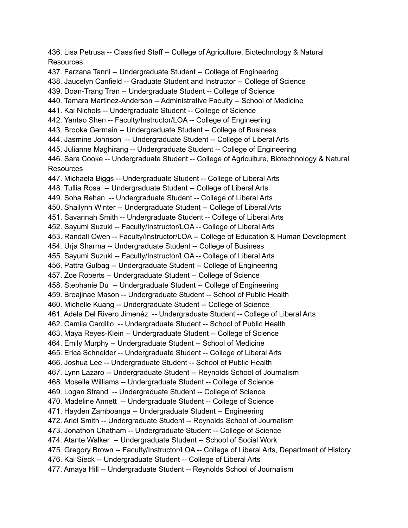436. Lisa Petrusa -- Classified Staff -- College of Agriculture, Biotechnology & Natural Resources 437. Farzana Tanni -- Undergraduate Student -- College of Engineering 438. Jaucelyn Canfield -- Graduate Student and Instructor -- College of Science 439. Doan-Trang Tran -- Undergraduate Student -- College of Science 440. Tamara Martinez-Anderson -- Administrative Faculty -- School of Medicine 441. Kai Nichols -- Undergraduate Student -- College of Science 442. Yantao Shen -- Faculty/Instructor/LOA -- College of Engineering 443. Brooke Germain -- Undergraduate Student -- College of Business 444. Jasmine Johnson -- Undergraduate Student -- College of Liberal Arts 445. Julianne Maghirang -- Undergraduate Student -- College of Engineering 446. Sara Cooke -- Undergraduate Student -- College of Agriculture, Biotechnology & Natural Resources 447. Michaela Biggs -- Undergraduate Student -- College of Liberal Arts 448. Tullia Rosa -- Undergraduate Student -- College of Liberal Arts 449. Soha Rehan -- Undergraduate Student -- College of Liberal Arts 450. Shailynn Winter -- Undergraduate Student -- College of Liberal Arts 451. Savannah Smith -- Undergraduate Student -- College of Liberal Arts 452. Sayumi Suzuki -- Faculty/Instructor/LOA -- College of Liberal Arts 453. Randall Owen -- Faculty/Instructor/LOA -- College of Education & Human Development 454. Urja Sharma -- Undergraduate Student -- College of Business 455. Sayumi Suzuki -- Faculty/Instructor/LOA -- College of Liberal Arts 456. Pattra Gulbag -- Undergraduate Student -- College of Engineering 457. Zoe Roberts -- Undergraduate Student -- College of Science 458. Stephanie Du -- Undergraduate Student -- College of Engineering 459. Breajinae Mason -- Undergraduate Student -- School of Public Health 460. Michelle Kuang -- Undergraduate Student -- College of Science 461. Adela Del Rivero Jimenéz -- Undergraduate Student -- College of Liberal Arts 462. Camila Cardillo -- Undergraduate Student -- School of Public Health 463. Maya Reyes-Klein -- Undergraduate Student -- College of Science 464. Emily Murphy -- Undergraduate Student -- School of Medicine 465. Erica Schneider -- Undergraduate Student -- College of Liberal Arts 466. Joshua Lee -- Undergraduate Student -- School of Public Health 467. Lynn Lazaro -- Undergraduate Student -- Reynolds School of Journalism 468. Moselle Williams -- Undergraduate Student -- College of Science 469. Logan Strand -- Undergraduate Student -- College of Science 470. Madeline Annett -- Undergraduate Student -- College of Science 471. Hayden Zamboanga -- Undergraduate Student -- Engineering 472. Ariel Smith -- Undergraduate Student -- Reynolds School of Journalism 473. Jonathon Chatham -- Undergraduate Student -- College of Science 474. Atante Walker -- Undergraduate Student -- School of Social Work 475. Gregory Brown -- Faculty/Instructor/LOA -- College of Liberal Arts, Department of History 476. Kai Sieck -- Undergraduate Student -- College of Liberal Arts 477. Amaya Hill -- Undergraduate Student -- Reynolds School of Journalism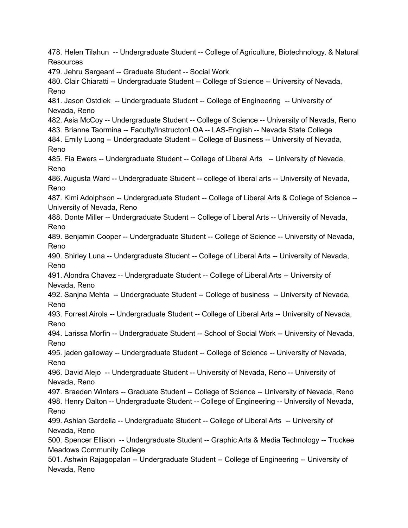478. Helen Tilahun -- Undergraduate Student -- College of Agriculture, Biotechnology, & Natural **Resources** 479. Jehru Sargeant -- Graduate Student -- Social Work 480. Clair Chiaratti -- Undergraduate Student -- College of Science -- University of Nevada, Reno 481. Jason Ostdiek -- Undergraduate Student -- College of Engineering -- University of Nevada, Reno 482. Asia McCoy -- Undergraduate Student -- College of Science -- University of Nevada, Reno 483. Brianne Taormina -- Faculty/Instructor/LOA -- LAS-English -- Nevada State College 484. Emily Luong -- Undergraduate Student -- College of Business -- University of Nevada, Reno 485. Fia Ewers -- Undergraduate Student -- College of Liberal Arts -- University of Nevada, Reno 486. Augusta Ward -- Undergraduate Student -- college of liberal arts -- University of Nevada, Reno 487. Kimi Adolphson -- Undergraduate Student -- College of Liberal Arts & College of Science -- University of Nevada, Reno 488. Donte Miller -- Undergraduate Student -- College of Liberal Arts -- University of Nevada, Reno 489. Benjamin Cooper -- Undergraduate Student -- College of Science -- University of Nevada, Reno 490. Shirley Luna -- Undergraduate Student -- College of Liberal Arts -- University of Nevada, Reno 491. Alondra Chavez -- Undergraduate Student -- College of Liberal Arts -- University of Nevada, Reno 492. Sanjna Mehta -- Undergraduate Student -- College of business -- University of Nevada, Reno 493. Forrest Airola -- Undergraduate Student -- College of Liberal Arts -- University of Nevada, Reno 494. Larissa Morfin -- Undergraduate Student -- School of Social Work -- University of Nevada, Reno 495. jaden galloway -- Undergraduate Student -- College of Science -- University of Nevada, Reno 496. David Alejo -- Undergraduate Student -- University of Nevada, Reno -- University of Nevada, Reno 497. Braeden Winters -- Graduate Student -- College of Science -- University of Nevada, Reno 498. Henry Dalton -- Undergraduate Student -- College of Engineering -- University of Nevada, Reno 499. Ashlan Gardella -- Undergraduate Student -- College of Liberal Arts -- University of Nevada, Reno 500. Spencer Ellison -- Undergraduate Student -- Graphic Arts & Media Technology -- Truckee Meadows Community College 501. Ashwin Rajagopalan -- Undergraduate Student -- College of Engineering -- University of Nevada, Reno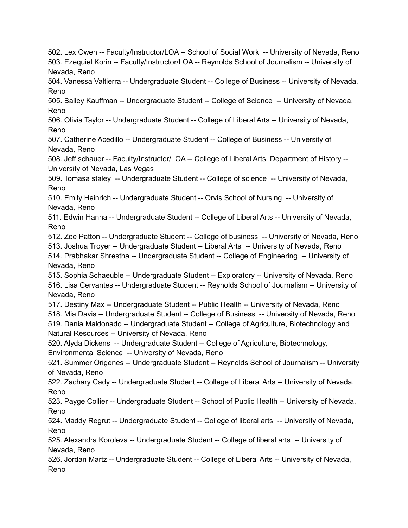502. Lex Owen -- Faculty/Instructor/LOA -- School of Social Work -- University of Nevada, Reno 503. Ezequiel Korin -- Faculty/Instructor/LOA -- Reynolds School of Journalism -- University of Nevada, Reno

504. Vanessa Valtierra -- Undergraduate Student -- College of Business -- University of Nevada, Reno

505. Bailey Kauffman -- Undergraduate Student -- College of Science -- University of Nevada, Reno

506. Olivia Taylor -- Undergraduate Student -- College of Liberal Arts -- University of Nevada, Reno

507. Catherine Acedillo -- Undergraduate Student -- College of Business -- University of Nevada, Reno

508. Jeff schauer -- Faculty/Instructor/LOA -- College of Liberal Arts, Department of History -- University of Nevada, Las Vegas

509. Tomasa staley -- Undergraduate Student -- College of science -- University of Nevada, Reno

510. Emily Heinrich -- Undergraduate Student -- Orvis School of Nursing -- University of Nevada, Reno

511. Edwin Hanna -- Undergraduate Student -- College of Liberal Arts -- University of Nevada, Reno

512. Zoe Patton -- Undergraduate Student -- College of business -- University of Nevada, Reno

513. Joshua Troyer -- Undergraduate Student -- Liberal Arts -- University of Nevada, Reno 514. Prabhakar Shrestha -- Undergraduate Student -- College of Engineering -- University of Nevada, Reno

515. Sophia Schaeuble -- Undergraduate Student -- Exploratory -- University of Nevada, Reno 516. Lisa Cervantes -- Undergraduate Student -- Reynolds School of Journalism -- University of Nevada, Reno

517. Destiny Max -- Undergraduate Student -- Public Health -- University of Nevada, Reno

518. Mia Davis -- Undergraduate Student -- College of Business -- University of Nevada, Reno 519. Dania Maldonado -- Undergraduate Student -- College of Agriculture, Biotechnology and

Natural Resources -- University of Nevada, Reno

520. Alyda Dickens -- Undergraduate Student -- College of Agriculture, Biotechnology,

Environmental Science -- University of Nevada, Reno

521. Summer Origenes -- Undergraduate Student -- Reynolds School of Journalism -- University of Nevada, Reno

522. Zachary Cady -- Undergraduate Student -- College of Liberal Arts -- University of Nevada, Reno

523. Payge Collier -- Undergraduate Student -- School of Public Health -- University of Nevada, Reno

524. Maddy Regrut -- Undergraduate Student -- College of liberal arts -- University of Nevada, Reno

525. Alexandra Koroleva -- Undergraduate Student -- College of liberal arts -- University of Nevada, Reno

526. Jordan Martz -- Undergraduate Student -- College of Liberal Arts -- University of Nevada, Reno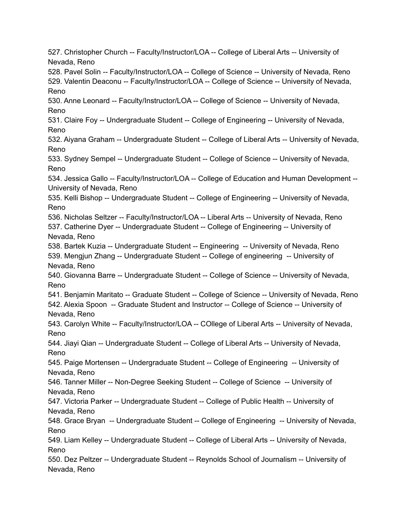527. Christopher Church -- Faculty/Instructor/LOA -- College of Liberal Arts -- University of Nevada, Reno 528. Pavel Solin -- Faculty/Instructor/LOA -- College of Science -- University of Nevada, Reno 529. Valentin Deaconu -- Faculty/Instructor/LOA -- College of Science -- University of Nevada, Reno 530. Anne Leonard -- Faculty/Instructor/LOA -- College of Science -- University of Nevada, Reno 531. Claire Foy -- Undergraduate Student -- College of Engineering -- University of Nevada, Reno 532. Aiyana Graham -- Undergraduate Student -- College of Liberal Arts -- University of Nevada, Reno 533. Sydney Sempel -- Undergraduate Student -- College of Science -- University of Nevada, Reno 534. Jessica Gallo -- Faculty/Instructor/LOA -- College of Education and Human Development -- University of Nevada, Reno 535. Kelli Bishop -- Undergraduate Student -- College of Engineering -- University of Nevada, Reno 536. Nicholas Seltzer -- Faculty/Instructor/LOA -- Liberal Arts -- University of Nevada, Reno 537. Catherine Dyer -- Undergraduate Student -- College of Engineering -- University of Nevada, Reno 538. Bartek Kuzia -- Undergraduate Student -- Engineering -- University of Nevada, Reno 539. Mengjun Zhang -- Undergraduate Student -- College of engineering -- University of Nevada, Reno 540. Giovanna Barre -- Undergraduate Student -- College of Science -- University of Nevada, Reno 541. Benjamin Maritato -- Graduate Student -- College of Science -- University of Nevada, Reno 542. Alexia Spoon -- Graduate Student and Instructor -- College of Science -- University of Nevada, Reno 543. Carolyn White -- Faculty/Instructor/LOA -- COllege of Liberal Arts -- University of Nevada, Reno 544. Jiayi Qian -- Undergraduate Student -- College of Liberal Arts -- University of Nevada, Reno 545. Paige Mortensen -- Undergraduate Student -- College of Engineering -- University of Nevada, Reno 546. Tanner Miller -- Non-Degree Seeking Student -- College of Science -- University of Nevada, Reno 547. Victoria Parker -- Undergraduate Student -- College of Public Health -- University of Nevada, Reno 548. Grace Bryan -- Undergraduate Student -- College of Engineering -- University of Nevada, Reno 549. Liam Kelley -- Undergraduate Student -- College of Liberal Arts -- University of Nevada, Reno 550. Dez Peltzer -- Undergraduate Student -- Reynolds School of Journalism -- University of Nevada, Reno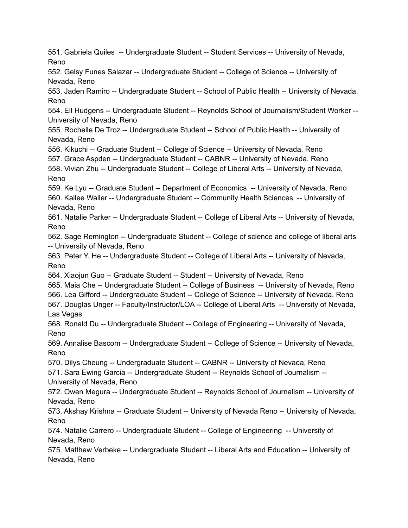551. Gabriela Quiles -- Undergraduate Student -- Student Services -- University of Nevada, Reno 552. Gelsy Funes Salazar -- Undergraduate Student -- College of Science -- University of Nevada, Reno 553. Jaden Ramiro -- Undergraduate Student -- School of Public Health -- University of Nevada, Reno 554. Ell Hudgens -- Undergraduate Student -- Reynolds School of Journalism/Student Worker -- University of Nevada, Reno 555. Rochelle De Troz -- Undergraduate Student -- School of Public Health -- University of Nevada, Reno 556. Kikuchi -- Graduate Student -- College of Science -- University of Nevada, Reno 557. Grace Aspden -- Undergraduate Student -- CABNR -- University of Nevada, Reno 558. Vivian Zhu -- Undergraduate Student -- College of Liberal Arts -- University of Nevada, Reno 559. Ke Lyu -- Graduate Student -- Department of Economics -- University of Nevada, Reno 560. Kailee Waller -- Undergraduate Student -- Community Health Sciences -- University of

Nevada, Reno 561. Natalie Parker -- Undergraduate Student -- College of Liberal Arts -- University of Nevada, Reno

562. Sage Remington -- Undergraduate Student -- College of science and college of liberal arts -- University of Nevada, Reno

563. Peter Y. He -- Undergraduate Student -- College of Liberal Arts -- University of Nevada, Reno

564. Xiaojun Guo -- Graduate Student -- Student -- University of Nevada, Reno

565. Maia Che -- Undergraduate Student -- College of Business -- University of Nevada, Reno

566. Lea Gifford -- Undergraduate Student -- College of Science -- University of Nevada, Reno

567. Douglas Unger -- Faculty/Instructor/LOA -- College of Liberal Arts -- University of Nevada, Las Vegas

568. Ronald Du -- Undergraduate Student -- College of Engineering -- University of Nevada, Reno

569. Annalise Bascom -- Undergraduate Student -- College of Science -- University of Nevada, Reno

570. Dilys Cheung -- Undergraduate Student -- CABNR -- University of Nevada, Reno

571. Sara Ewing Garcia -- Undergraduate Student -- Reynolds School of Journalism -- University of Nevada, Reno

572. Owen Megura -- Undergraduate Student -- Reynolds School of Journalism -- University of Nevada, Reno

573. Akshay Krishna -- Graduate Student -- University of Nevada Reno -- University of Nevada, Reno

574. Natalie Carrero -- Undergraduate Student -- College of Engineering -- University of Nevada, Reno

575. Matthew Verbeke -- Undergraduate Student -- Liberal Arts and Education -- University of Nevada, Reno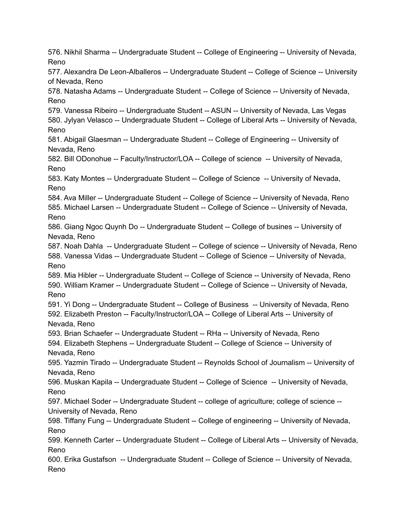576. Nikhil Sharma -- Undergraduate Student -- College of Engineering -- University of Nevada, Reno 577. Alexandra De Leon-Alballeros -- Undergraduate Student -- College of Science -- University of Nevada, Reno 578. Natasha Adams -- Undergraduate Student -- College of Science -- University of Nevada, Reno 579. Vanessa Ribeiro -- Undergraduate Student -- ASUN -- University of Nevada, Las Vegas 580. Jylyan Velasco -- Undergraduate Student -- College of Liberal Arts -- University of Nevada, Reno 581. Abigail Glaesman -- Undergraduate Student -- College of Engineering -- University of Nevada, Reno 582. Bill ODonohue -- Faculty/Instructor/LOA -- College of science -- University of Nevada, Reno 583. Katy Montes -- Undergraduate Student -- College of Science -- University of Nevada, Reno 584. Ava Miller -- Undergraduate Student -- College of Science -- University of Nevada, Reno 585. Michael Larsen -- Undergraduate Student -- College of Science -- University of Nevada, Reno 586. Giang Ngoc Quynh Do -- Undergraduate Student -- College of busines -- University of Nevada, Reno 587. Noah Dahla -- Undergraduate Student -- College of science -- University of Nevada, Reno 588. Vanessa Vidas -- Undergraduate Student -- College of Science -- University of Nevada, Reno 589. Mia Hibler -- Undergraduate Student -- College of Science -- University of Nevada, Reno 590. William Kramer -- Undergraduate Student -- College of Science -- University of Nevada, Reno 591. Yi Dong -- Undergraduate Student -- College of Business -- University of Nevada, Reno 592. Elizabeth Preston -- Faculty/Instructor/LOA -- College of Liberal Arts -- University of Nevada, Reno 593. Brian Schaefer -- Undergraduate Student -- RHa -- University of Nevada, Reno 594. Elizabeth Stephens -- Undergraduate Student -- College of Science -- University of Nevada, Reno 595. Yazmin Tirado -- Undergraduate Student -- Reynolds School of Journalism -- University of Nevada, Reno 596. Muskan Kapila -- Undergraduate Student -- College of Science -- University of Nevada, Reno 597. Michael Soder -- Undergraduate Student -- college of agriculture; college of science -- University of Nevada, Reno 598. Tiffany Fung -- Undergraduate Student -- College of engineering -- University of Nevada, Reno 599. Kenneth Carter -- Undergraduate Student -- College of Liberal Arts -- University of Nevada, Reno 600. Erika Gustafson -- Undergraduate Student -- College of Science -- University of Nevada, Reno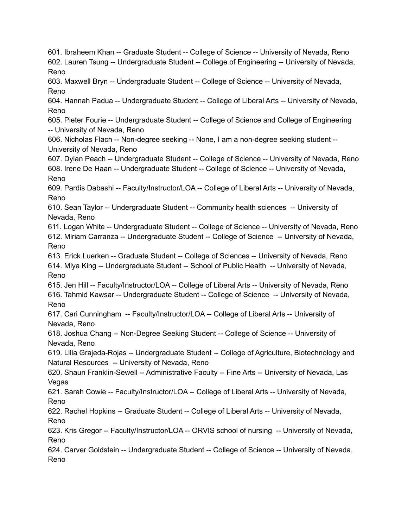601. Ibraheem Khan -- Graduate Student -- College of Science -- University of Nevada, Reno 602. Lauren Tsung -- Undergraduate Student -- College of Engineering -- University of Nevada, Reno 603. Maxwell Bryn -- Undergraduate Student -- College of Science -- University of Nevada, Reno 604. Hannah Padua -- Undergraduate Student -- College of Liberal Arts -- University of Nevada, Reno 605. Pieter Fourie -- Undergraduate Student -- College of Science and College of Engineering -- University of Nevada, Reno 606. Nicholas Flach -- Non-degree seeking -- None, I am a non-degree seeking student -- University of Nevada, Reno 607. Dylan Peach -- Undergraduate Student -- College of Science -- University of Nevada, Reno 608. Irene De Haan -- Undergraduate Student -- College of Science -- University of Nevada, Reno 609. Pardis Dabashi -- Faculty/Instructor/LOA -- College of Liberal Arts -- University of Nevada, Reno 610. Sean Taylor -- Undergraduate Student -- Community health sciences -- University of Nevada, Reno 611. Logan White -- Undergraduate Student -- College of Science -- University of Nevada, Reno 612. Miriam Carranza -- Undergraduate Student -- College of Science -- University of Nevada, Reno 613. Erick Luerken -- Graduate Student -- College of Sciences -- University of Nevada, Reno 614. Miya King -- Undergraduate Student -- School of Public Health -- University of Nevada, Reno 615. Jen Hill -- Faculty/Instructor/LOA -- College of Liberal Arts -- University of Nevada, Reno 616. Tahmid Kawsar -- Undergraduate Student -- College of Science -- University of Nevada, Reno 617. Cari Cunningham -- Faculty/Instructor/LOA -- College of Liberal Arts -- University of Nevada, Reno 618. Joshua Chang -- Non-Degree Seeking Student -- College of Science -- University of Nevada, Reno 619. Lilia Grajeda-Rojas -- Undergraduate Student -- College of Agriculture, Biotechnology and Natural Resources -- University of Nevada, Reno 620. Shaun Franklin-Sewell -- Administrative Faculty -- Fine Arts -- University of Nevada, Las Vegas 621. Sarah Cowie -- Faculty/Instructor/LOA -- College of Liberal Arts -- University of Nevada, Reno 622. Rachel Hopkins -- Graduate Student -- College of Liberal Arts -- University of Nevada, Reno 623. Kris Gregor -- Faculty/Instructor/LOA -- ORVIS school of nursing -- University of Nevada, Reno 624. Carver Goldstein -- Undergraduate Student -- College of Science -- University of Nevada, Reno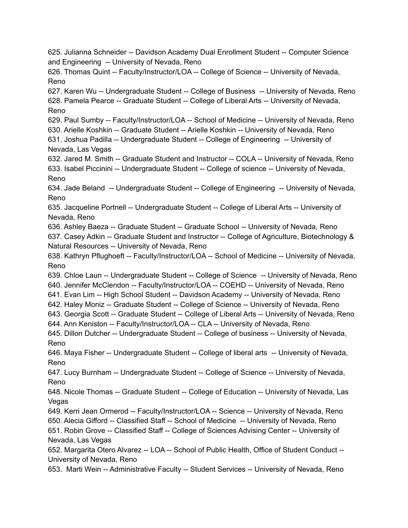625. Julianna Schneider -- Davidson Academy Dual Enrollment Student -- Computer Science and Engineering -- University of Nevada, Reno

626. Thomas Quint -- Faculty/Instructor/LOA -- College of Science -- University of Nevada, Reno

627. Karen Wu -- Undergraduate Student -- College of Business -- University of Nevada, Reno 628. Pamela Pearce -- Graduate Student -- College of Liberal Arts -- University of Nevada, Reno

629. Paul Sumby -- Faculty/Instructor/LOA -- School of Medicine -- University of Nevada, Reno

630. Arielle Koshkin -- Graduate Student -- Arielle Koshkin -- University of Nevada, Reno

631. Joshua Padilla -- Undergraduate Student -- College of Engineering -- University of Nevada, Las Vegas

632. Jared M. Smith -- Graduate Student and Instructor -- COLA -- University of Nevada, Reno 633. Isabel Piccinini -- Undergraduate Student -- College of science -- University of Nevada, Reno

634. Jade Beland -- Undergraduate Student -- College of Engineering -- University of Nevada, Reno

635. Jacqueline Portnell -- Undergraduate Student -- College of Liberal Arts -- University of Nevada, Reno

636. Ashley Baeza -- Graduate Student -- Graduate School -- University of Nevada, Reno 637. Casey Adkin -- Graduate Student and Instructor -- College of Agriculture, Biotechnology & Natural Resources -- University of Nevada, Reno

638. Kathryn Pflughoeft -- Faculty/Instructor/LOA -- School of Medicine -- University of Nevada, Reno

639. Chloe Laun -- Undergraduate Student -- College of Science -- University of Nevada, Reno

640. Jennifer McClendon -- Faculty/Instructor/LOA -- COEHD -- University of Nevada, Reno

641. Evan Lim -- High School Student -- Davidson Academy -- University of Nevada, Reno

642. Haley Moniz -- Graduate Student -- College of Science -- University of Nevada, Reno 643. Georgia Scott -- Graduate Student -- College of Liberal Arts -- University of Nevada, Reno

644. Ann Keniston -- Faculty/Instructor/LOA -- CLA -- University of Nevada, Reno

645. Dillon Dutcher -- Undergraduate Student -- College of business -- University of Nevada, Reno

646. Maya Fisher -- Undergraduate Student -- College of liberal arts -- University of Nevada, Reno

647. Lucy Burnham -- Undergraduate Student -- College of Science -- University of Nevada, Reno

648. Nicole Thomas -- Graduate Student -- College of Education -- University of Nevada, Las **Vegas** 

649. Kerri Jean Ormerod -- Faculty/Instructor/LOA -- Science -- University of Nevada, Reno 650. Alecia Gifford -- Classified Staff -- School of Medicine -- University of Nevada, Reno 651. Robin Grove -- Classified Staff -- College of Sciences Advising Center -- University of Nevada, Las Vegas

652. Margarita Otero Alvarez -- LOA -- School of Public Health, Office of Student Conduct -- University of Nevada, Reno

653. Marti Wein -- Administrative Faculty -- Student Services -- University of Nevada, Reno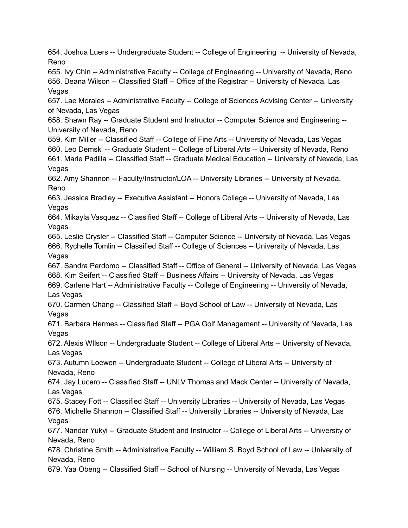654. Joshua Luers -- Undergraduate Student -- College of Engineering -- University of Nevada, Reno 655. Ivy Chin -- Administrative Faculty -- College of Engineering -- University of Nevada, Reno 656. Deana Wilson -- Classified Staff -- Office of the Registrar -- University of Nevada, Las Vegas 657. Lae Morales -- Administrative Faculty -- College of Sciences Advising Center -- University of Nevada, Las Vegas 658. Shawn Ray -- Graduate Student and Instructor -- Computer Science and Engineering -- University of Nevada, Reno 659. Kim Miller -- Classified Staff -- College of Fine Arts -- University of Nevada, Las Vegas 660. Leo Demski -- Graduate Student -- College of Liberal Arts -- University of Nevada, Reno 661. Marie Padilla -- Classified Staff -- Graduate Medical Education -- University of Nevada, Las Vegas 662. Amy Shannon -- Faculty/Instructor/LOA -- University Libraries -- University of Nevada, Reno 663. Jessica Bradley -- Executive Assistant -- Honors College -- University of Nevada, Las **Vegas** 664. Mikayla Vasquez -- Classified Staff -- College of Liberal Arts -- University of Nevada, Las Vegas 665. Leslie Crysler -- Classified Staff -- Computer Science -- University of Nevada, Las Vegas 666. Rychelle Tomlin -- Classified Staff -- College of Sciences -- University of Nevada, Las Vegas 667. Sandra Perdomo -- Classified Staff -- Office of General -- University of Nevada, Las Vegas 668. Kim Seifert -- Classified Staff -- Business Affairs -- University of Nevada, Las Vegas 669. Carlene Hart -- Administrative Faculty -- College of Engineering -- University of Nevada, Las Vegas 670. Carmen Chang -- Classified Staff -- Boyd School of Law -- University of Nevada, Las Vegas 671. Barbara Hermes -- Classified Staff -- PGA Golf Management -- University of Nevada, Las Vegas 672. Alexis WIlson -- Undergraduate Student -- College of Liberal Arts -- University of Nevada, Las Vegas 673. Autumn Loewen -- Undergraduate Student -- College of Liberal Arts -- University of Nevada, Reno 674. Jay Lucero -- Classified Staff -- UNLV Thomas and Mack Center -- University of Nevada, Las Vegas 675. Stacey Fott -- Classified Staff -- University Libraries -- University of Nevada, Las Vegas 676. Michelle Shannon -- Classified Staff -- University Libraries -- University of Nevada, Las Vegas 677. Nandar Yukyi -- Graduate Student and Instructor -- College of Liberal Arts -- University of Nevada, Reno 678. Christine Smith -- Administrative Faculty -- William S. Boyd School of Law -- University of Nevada, Reno 679. Yaa Obeng -- Classified Staff -- School of Nursing -- University of Nevada, Las Vegas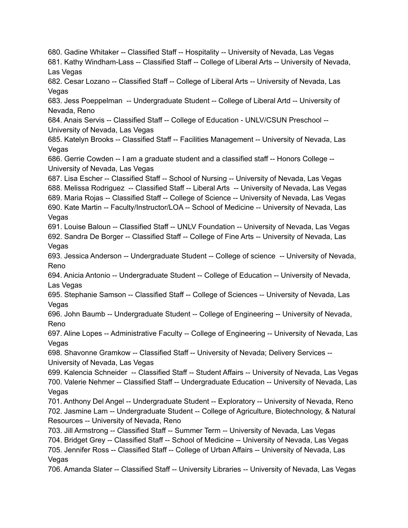680. Gadine Whitaker -- Classified Staff -- Hospitality -- University of Nevada, Las Vegas 681. Kathy Windham-Lass -- Classified Staff -- College of Liberal Arts -- University of Nevada, Las Vegas 682. Cesar Lozano -- Classified Staff -- College of Liberal Arts -- University of Nevada, Las Vegas 683. Jess Poeppelman -- Undergraduate Student -- College of Liberal Artd -- University of Nevada, Reno 684. Anais Servis -- Classified Staff -- College of Education - UNLV/CSUN Preschool -- University of Nevada, Las Vegas 685. Katelyn Brooks -- Classified Staff -- Facilities Management -- University of Nevada, Las Vegas 686. Gerrie Cowden -- I am a graduate student and a classified staff -- Honors College -- University of Nevada, Las Vegas 687. Lisa Escher -- Classified Staff -- School of Nursing -- University of Nevada, Las Vegas 688. Melissa Rodriguez -- Classified Staff -- Liberal Arts -- University of Nevada, Las Vegas 689. Maria Rojas -- Classified Staff -- College of Science -- University of Nevada, Las Vegas 690. Kate Martin -- Faculty/Instructor/LOA -- School of Medicine -- University of Nevada, Las Vegas 691. Louise Baloun -- Classified Staff -- UNLV Foundation -- University of Nevada, Las Vegas 692. Sandra De Borger -- Classified Staff -- College of Fine Arts -- University of Nevada, Las Vegas 693. Jessica Anderson -- Undergraduate Student -- College of science -- University of Nevada, Reno 694. Anicia Antonio -- Undergraduate Student -- College of Education -- University of Nevada, Las Vegas 695. Stephanie Samson -- Classified Staff -- College of Sciences -- University of Nevada, Las Vegas 696. John Baumb -- Undergraduate Student -- College of Engineering -- University of Nevada, Reno 697. Aline Lopes -- Administrative Faculty -- College of Engineering -- University of Nevada, Las Vegas 698. Shavonne Gramkow -- Classified Staff -- University of Nevada; Delivery Services -- University of Nevada, Las Vegas 699. Kalencia Schneider -- Classified Staff -- Student Affairs -- University of Nevada, Las Vegas 700. Valerie Nehmer -- Classified Staff -- Undergraduate Education -- University of Nevada, Las Vegas 701. Anthony Del Angel -- Undergraduate Student -- Exploratory -- University of Nevada, Reno 702. Jasmine Lam -- Undergraduate Student -- College of Agriculture, Biotechnology, & Natural Resources -- University of Nevada, Reno 703. Jill Armstrong -- Classified Staff -- Summer Term -- University of Nevada, Las Vegas 704. Bridget Grey -- Classified Staff -- School of Medicine -- University of Nevada, Las Vegas 705. Jennifer Ross -- Classified Staff -- College of Urban Affairs -- University of Nevada, Las Vegas 706. Amanda Slater -- Classified Staff -- University Libraries -- University of Nevada, Las Vegas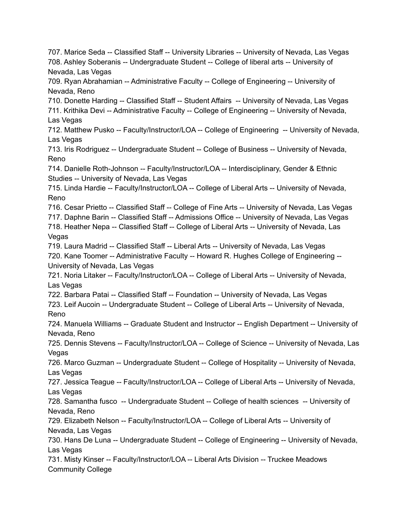707. Marice Seda -- Classified Staff -- University Libraries -- University of Nevada, Las Vegas 708. Ashley Soberanis -- Undergraduate Student -- College of liberal arts -- University of Nevada, Las Vegas 709. Ryan Abrahamian -- Administrative Faculty -- College of Engineering -- University of Nevada, Reno 710. Donette Harding -- Classified Staff -- Student Affairs -- University of Nevada, Las Vegas 711. Krithika Devi -- Administrative Faculty -- College of Engineering -- University of Nevada, Las Vegas 712. Matthew Pusko -- Faculty/Instructor/LOA -- College of Engineering -- University of Nevada, Las Vegas 713. Iris Rodriguez -- Undergraduate Student -- College of Business -- University of Nevada, Reno 714. Danielle Roth-Johnson -- Faculty/Instructor/LOA -- Interdisciplinary, Gender & Ethnic Studies -- University of Nevada, Las Vegas 715. Linda Hardie -- Faculty/Instructor/LOA -- College of Liberal Arts -- University of Nevada, Reno 716. Cesar Prietto -- Classified Staff -- College of Fine Arts -- University of Nevada, Las Vegas 717. Daphne Barin -- Classified Staff -- Admissions Office -- University of Nevada, Las Vegas 718. Heather Nepa -- Classified Staff -- College of Liberal Arts -- University of Nevada, Las Vegas 719. Laura Madrid -- Classified Staff -- Liberal Arts -- University of Nevada, Las Vegas 720. Kane Toomer -- Administrative Faculty -- Howard R. Hughes College of Engineering -- University of Nevada, Las Vegas 721. Noria Litaker -- Faculty/Instructor/LOA -- College of Liberal Arts -- University of Nevada, Las Vegas 722. Barbara Patai -- Classified Staff -- Foundation -- University of Nevada, Las Vegas 723. Leif Aucoin -- Undergraduate Student -- College of Liberal Arts -- University of Nevada, Reno 724. Manuela Williams -- Graduate Student and Instructor -- English Department -- University of Nevada, Reno 725. Dennis Stevens -- Faculty/Instructor/LOA -- College of Science -- University of Nevada, Las Vegas 726. Marco Guzman -- Undergraduate Student -- College of Hospitality -- University of Nevada, Las Vegas 727. Jessica Teague -- Faculty/Instructor/LOA -- College of Liberal Arts -- University of Nevada, Las Vegas 728. Samantha fusco -- Undergraduate Student -- College of health sciences -- University of Nevada, Reno 729. Elizabeth Nelson -- Faculty/Instructor/LOA -- College of Liberal Arts -- University of Nevada, Las Vegas 730. Hans De Luna -- Undergraduate Student -- College of Engineering -- University of Nevada, Las Vegas 731. Misty Kinser -- Faculty/Instructor/LOA -- Liberal Arts Division -- Truckee Meadows Community College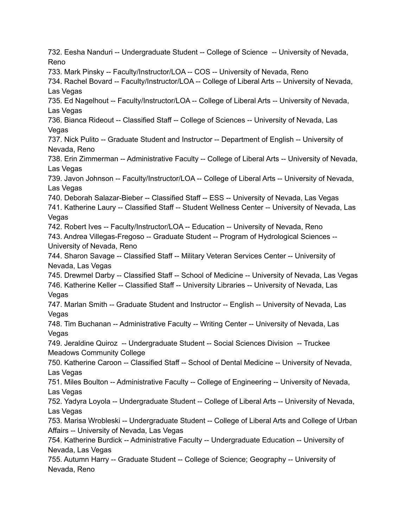732. Eesha Nanduri -- Undergraduate Student -- College of Science -- University of Nevada, Reno 733. Mark Pinsky -- Faculty/Instructor/LOA -- COS -- University of Nevada, Reno 734. Rachel Bovard -- Faculty/Instructor/LOA -- College of Liberal Arts -- University of Nevada, Las Vegas 735. Ed Nagelhout -- Faculty/Instructor/LOA -- College of Liberal Arts -- University of Nevada, Las Vegas 736. Bianca Rideout -- Classified Staff -- College of Sciences -- University of Nevada, Las **Vegas** 737. Nick Pulito -- Graduate Student and Instructor -- Department of English -- University of Nevada, Reno 738. Erin Zimmerman -- Administrative Faculty -- College of Liberal Arts -- University of Nevada, Las Vegas 739. Javon Johnson -- Faculty/Instructor/LOA -- College of Liberal Arts -- University of Nevada, Las Vegas 740. Deborah Salazar-Bieber -- Classified Staff -- ESS -- University of Nevada, Las Vegas 741. Katherine Laury -- Classified Staff -- Student Wellness Center -- University of Nevada, Las Vegas 742. Robert Ives -- Faculty/Instructor/LOA -- Education -- University of Nevada, Reno 743. Andrea Villegas-Fregoso -- Graduate Student -- Program of Hydrological Sciences -- University of Nevada, Reno 744. Sharon Savage -- Classified Staff -- Military Veteran Services Center -- University of Nevada, Las Vegas 745. Drewmel Darby -- Classified Staff -- School of Medicine -- University of Nevada, Las Vegas 746. Katherine Keller -- Classified Staff -- University Libraries -- University of Nevada, Las Vegas 747. Marlan Smith -- Graduate Student and Instructor -- English -- University of Nevada, Las Vegas 748. Tim Buchanan -- Administrative Faculty -- Writing Center -- University of Nevada, Las Vegas 749. Jeraldine Quiroz -- Undergraduate Student -- Social Sciences Division -- Truckee Meadows Community College 750. Katherine Caroon -- Classified Staff -- School of Dental Medicine -- University of Nevada, Las Vegas 751. Miles Boulton -- Administrative Faculty -- College of Engineering -- University of Nevada, Las Vegas 752. Yadyra Loyola -- Undergraduate Student -- College of Liberal Arts -- University of Nevada, Las Vegas 753. Marisa Wrobleski -- Undergraduate Student -- College of Liberal Arts and College of Urban Affairs -- University of Nevada, Las Vegas 754. Katherine Burdick -- Administrative Faculty -- Undergraduate Education -- University of Nevada, Las Vegas 755. Autumn Harry -- Graduate Student -- College of Science; Geography -- University of Nevada, Reno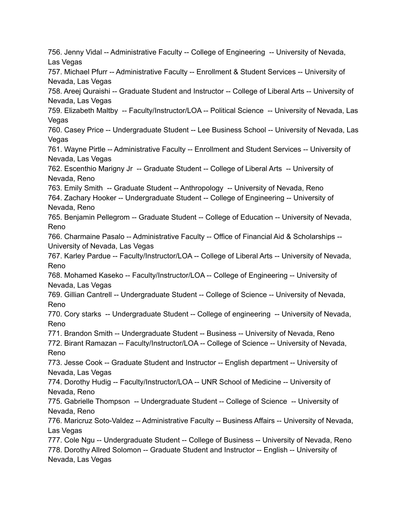756. Jenny Vidal -- Administrative Faculty -- College of Engineering -- University of Nevada, Las Vegas 757. Michael Pfurr -- Administrative Faculty -- Enrollment & Student Services -- University of Nevada, Las Vegas 758. Areej Quraishi -- Graduate Student and Instructor -- College of Liberal Arts -- University of Nevada, Las Vegas 759. Elizabeth Maltby -- Faculty/Instructor/LOA -- Political Science -- University of Nevada, Las Vegas 760. Casey Price -- Undergraduate Student -- Lee Business School -- University of Nevada, Las Vegas 761. Wayne Pirtle -- Administrative Faculty -- Enrollment and Student Services -- University of Nevada, Las Vegas 762. Escenthio Marigny Jr -- Graduate Student -- College of Liberal Arts -- University of Nevada, Reno 763. Emily Smith -- Graduate Student -- Anthropology -- University of Nevada, Reno 764. Zachary Hooker -- Undergraduate Student -- College of Engineering -- University of Nevada, Reno 765. Benjamin Pellegrom -- Graduate Student -- College of Education -- University of Nevada, Reno 766. Charmaine Pasalo -- Administrative Faculty -- Office of Financial Aid & Scholarships -- University of Nevada, Las Vegas 767. Karley Pardue -- Faculty/Instructor/LOA -- College of Liberal Arts -- University of Nevada, Reno 768. Mohamed Kaseko -- Faculty/Instructor/LOA -- College of Engineering -- University of Nevada, Las Vegas 769. Gillian Cantrell -- Undergraduate Student -- College of Science -- University of Nevada, Reno 770. Cory starks -- Undergraduate Student -- College of engineering -- University of Nevada, Reno 771. Brandon Smith -- Undergraduate Student -- Business -- University of Nevada, Reno 772. Birant Ramazan -- Faculty/Instructor/LOA -- College of Science -- University of Nevada, Reno 773. Jesse Cook -- Graduate Student and Instructor -- English department -- University of Nevada, Las Vegas 774. Dorothy Hudig -- Faculty/Instructor/LOA -- UNR School of Medicine -- University of Nevada, Reno 775. Gabrielle Thompson -- Undergraduate Student -- College of Science -- University of Nevada, Reno 776. Maricruz Soto-Valdez -- Administrative Faculty -- Business Affairs -- University of Nevada, Las Vegas 777. Cole Ngu -- Undergraduate Student -- College of Business -- University of Nevada, Reno 778. Dorothy Allred Solomon -- Graduate Student and Instructor -- English -- University of Nevada, Las Vegas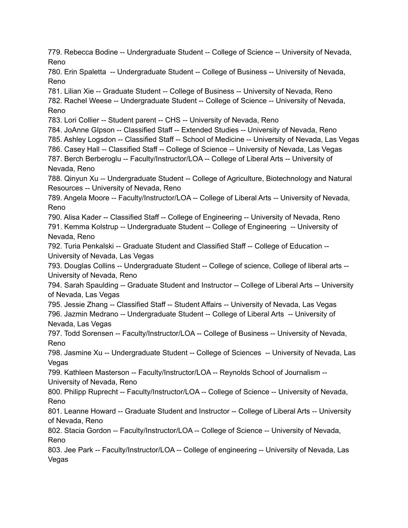779. Rebecca Bodine -- Undergraduate Student -- College of Science -- University of Nevada, Reno

780. Erin Spaletta -- Undergraduate Student -- College of Business -- University of Nevada, Reno

781. Lilian Xie -- Graduate Student -- College of Business -- University of Nevada, Reno 782. Rachel Weese -- Undergraduate Student -- College of Science -- University of Nevada, Reno

783. Lori Collier -- Student parent -- CHS -- University of Nevada, Reno

784. JoAnne GIpson -- Classified Staff -- Extended Studies -- University of Nevada, Reno

785. Ashley Logsdon -- Classified Staff -- School of Medicine -- University of Nevada, Las Vegas

786. Casey Hall -- Classified Staff -- College of Science -- University of Nevada, Las Vegas

787. Berch Berberoglu -- Faculty/Instructor/LOA -- College of Liberal Arts -- University of Nevada, Reno

788. Qinyun Xu -- Undergraduate Student -- College of Agriculture, Biotechnology and Natural Resources -- University of Nevada, Reno

789. Angela Moore -- Faculty/Instructor/LOA -- College of Liberal Arts -- University of Nevada, Reno

790. Alisa Kader -- Classified Staff -- College of Engineering -- University of Nevada, Reno 791. Kemma Kolstrup -- Undergraduate Student -- College of Engineering -- University of Nevada, Reno

792. Turia Penkalski -- Graduate Student and Classified Staff -- College of Education -- University of Nevada, Las Vegas

793. Douglas Collins -- Undergraduate Student -- College of science, College of liberal arts -- University of Nevada, Reno

794. Sarah Spaulding -- Graduate Student and Instructor -- College of Liberal Arts -- University of Nevada, Las Vegas

795. Jessie Zhang -- Classified Staff -- Student Affairs -- University of Nevada, Las Vegas 796. Jazmin Medrano -- Undergraduate Student -- College of Liberal Arts -- University of Nevada, Las Vegas

797. Todd Sorensen -- Faculty/Instructor/LOA -- College of Business -- University of Nevada, Reno

798. Jasmine Xu -- Undergraduate Student -- College of Sciences -- University of Nevada, Las Vegas

799. Kathleen Masterson -- Faculty/Instructor/LOA -- Reynolds School of Journalism -- University of Nevada, Reno

800. Philipp Ruprecht -- Faculty/Instructor/LOA -- College of Science -- University of Nevada, Reno

801. Leanne Howard -- Graduate Student and Instructor -- College of Liberal Arts -- University of Nevada, Reno

802. Stacia Gordon -- Faculty/Instructor/LOA -- College of Science -- University of Nevada, Reno

803. Jee Park -- Faculty/Instructor/LOA -- College of engineering -- University of Nevada, Las Vegas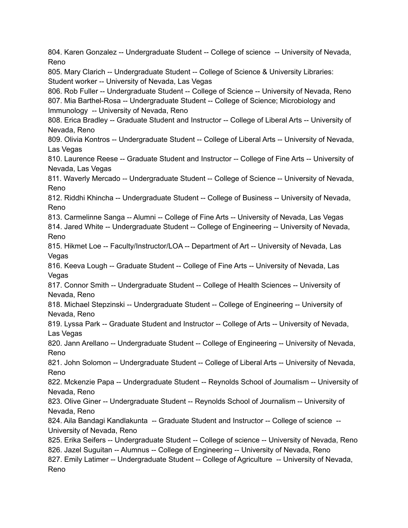804. Karen Gonzalez -- Undergraduate Student -- College of science -- University of Nevada, Reno 805. Mary Clarich -- Undergraduate Student -- College of Science & University Libraries: Student worker -- University of Nevada, Las Vegas 806. Rob Fuller -- Undergraduate Student -- College of Science -- University of Nevada, Reno 807. Mia Barthel-Rosa -- Undergraduate Student -- College of Science; Microbiology and Immunology -- University of Nevada, Reno 808. Erica Bradley -- Graduate Student and Instructor -- College of Liberal Arts -- University of Nevada, Reno 809. Olivia Kontros -- Undergraduate Student -- College of Liberal Arts -- University of Nevada, Las Vegas 810. Laurence Reese -- Graduate Student and Instructor -- College of Fine Arts -- University of Nevada, Las Vegas 811. Waverly Mercado -- Undergraduate Student -- College of Science -- University of Nevada, Reno 812. Riddhi Khincha -- Undergraduate Student -- College of Business -- University of Nevada, Reno 813. Carmelinne Sanga -- Alumni -- College of Fine Arts -- University of Nevada, Las Vegas 814. Jared White -- Undergraduate Student -- College of Engineering -- University of Nevada, Reno 815. Hikmet Loe -- Faculty/Instructor/LOA -- Department of Art -- University of Nevada, Las Vegas 816. Keeva Lough -- Graduate Student -- College of Fine Arts -- University of Nevada, Las Vegas 817. Connor Smith -- Undergraduate Student -- College of Health Sciences -- University of Nevada, Reno 818. Michael Stepzinski -- Undergraduate Student -- College of Engineering -- University of Nevada, Reno 819. Lyssa Park -- Graduate Student and Instructor -- College of Arts -- University of Nevada, Las Vegas 820. Jann Arellano -- Undergraduate Student -- College of Engineering -- University of Nevada, Reno 821. John Solomon -- Undergraduate Student -- College of Liberal Arts -- University of Nevada, Reno 822. Mckenzie Papa -- Undergraduate Student -- Reynolds School of Journalism -- University of Nevada, Reno 823. Olive Giner -- Undergraduate Student -- Reynolds School of Journalism -- University of Nevada, Reno 824. Aila Bandagi Kandlakunta -- Graduate Student and Instructor -- College of science -- University of Nevada, Reno 825. Erika Seifers -- Undergraduate Student -- College of science -- University of Nevada, Reno 826. Jazel Suguitan -- Alumnus -- College of Engineering -- University of Nevada, Reno 827. Emily Latimer -- Undergraduate Student -- College of Agriculture -- University of Nevada, Reno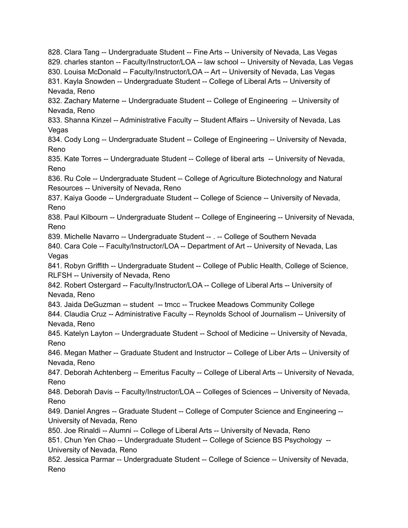828. Clara Tang -- Undergraduate Student -- Fine Arts -- University of Nevada, Las Vegas 829. charles stanton -- Faculty/Instructor/LOA -- law school -- University of Nevada, Las Vegas 830. Louisa McDonald -- Faculty/Instructor/LOA -- Art -- University of Nevada, Las Vegas 831. Kayla Snowden -- Undergraduate Student -- College of Liberal Arts -- University of Nevada, Reno 832. Zachary Materne -- Undergraduate Student -- College of Engineering -- University of Nevada, Reno 833. Shanna Kinzel -- Administrative Faculty -- Student Affairs -- University of Nevada, Las **Vegas** 834. Cody Long -- Undergraduate Student -- College of Engineering -- University of Nevada, Reno 835. Kate Torres -- Undergraduate Student -- College of liberal arts -- University of Nevada, Reno 836. Ru Cole -- Undergraduate Student -- College of Agriculture Biotechnology and Natural Resources -- University of Nevada, Reno 837. Kaiya Goode -- Undergraduate Student -- College of Science -- University of Nevada, Reno 838. Paul Kilbourn -- Undergraduate Student -- College of Engineering -- University of Nevada, Reno 839. Michelle Navarro -- Undergraduate Student -- . -- College of Southern Nevada 840. Cara Cole -- Faculty/Instructor/LOA -- Department of Art -- University of Nevada, Las Vegas 841. Robyn Griffith -- Undergraduate Student -- College of Public Health, College of Science, RLFSH -- University of Nevada, Reno 842. Robert Ostergard -- Faculty/Instructor/LOA -- College of Liberal Arts -- University of Nevada, Reno 843. Jaida DeGuzman -- student -- tmcc -- Truckee Meadows Community College 844. Claudia Cruz -- Administrative Faculty -- Reynolds School of Journalism -- University of Nevada, Reno 845. Katelyn Layton -- Undergraduate Student -- School of Medicine -- University of Nevada, Reno 846. Megan Mather -- Graduate Student and Instructor -- College of Liber Arts -- University of Nevada, Reno 847. Deborah Achtenberg -- Emeritus Faculty -- College of Liberal Arts -- University of Nevada, Reno 848. Deborah Davis -- Faculty/Instructor/LOA -- Colleges of Sciences -- University of Nevada, Reno 849. Daniel Angres -- Graduate Student -- College of Computer Science and Engineering -- University of Nevada, Reno 850. Joe Rinaldi -- Alumni -- College of Liberal Arts -- University of Nevada, Reno 851. Chun Yen Chao -- Undergraduate Student -- College of Science BS Psychology -- University of Nevada, Reno 852. Jessica Parmar -- Undergraduate Student -- College of Science -- University of Nevada, Reno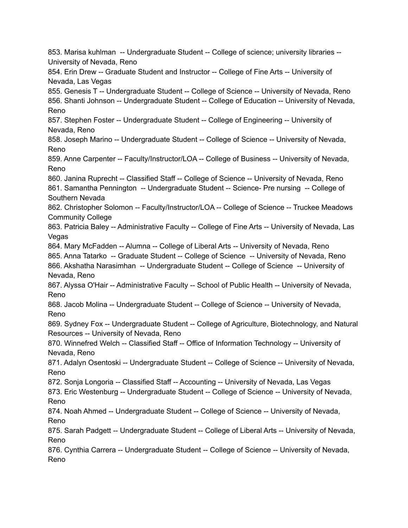853. Marisa kuhlman -- Undergraduate Student -- College of science; university libraries -- University of Nevada, Reno 854. Erin Drew -- Graduate Student and Instructor -- College of Fine Arts -- University of Nevada, Las Vegas 855. Genesis T -- Undergraduate Student -- College of Science -- University of Nevada, Reno 856. Shanti Johnson -- Undergraduate Student -- College of Education -- University of Nevada, Reno 857. Stephen Foster -- Undergraduate Student -- College of Engineering -- University of Nevada, Reno 858. Joseph Marino -- Undergraduate Student -- College of Science -- University of Nevada, Reno 859. Anne Carpenter -- Faculty/Instructor/LOA -- College of Business -- University of Nevada, Reno 860. Janina Ruprecht -- Classified Staff -- College of Science -- University of Nevada, Reno 861. Samantha Pennington -- Undergraduate Student -- Science- Pre nursing -- College of Southern Nevada 862. Christopher Solomon -- Faculty/Instructor/LOA -- College of Science -- Truckee Meadows Community College 863. Patricia Baley -- Administrative Faculty -- College of Fine Arts -- University of Nevada, Las Vegas 864. Mary McFadden -- Alumna -- College of Liberal Arts -- University of Nevada, Reno 865. Anna Tatarko -- Graduate Student -- College of Science -- University of Nevada, Reno 866. Akshatha Narasimhan -- Undergraduate Student -- College of Science -- University of Nevada, Reno 867. Alyssa O'Hair -- Administrative Faculty -- School of Public Health -- University of Nevada, Reno 868. Jacob Molina -- Undergraduate Student -- College of Science -- University of Nevada, Reno 869. Sydney Fox -- Undergraduate Student -- College of Agriculture, Biotechnology, and Natural Resources -- University of Nevada, Reno 870. Winnefred Welch -- Classified Staff -- Office of Information Technology -- University of Nevada, Reno 871. Adalyn Osentoski -- Undergraduate Student -- College of Science -- University of Nevada, Reno 872. Sonja Longoria -- Classified Staff -- Accounting -- University of Nevada, Las Vegas 873. Eric Westenburg -- Undergraduate Student -- College of Science -- University of Nevada, Reno 874. Noah Ahmed -- Undergraduate Student -- College of Science -- University of Nevada, Reno 875. Sarah Padgett -- Undergraduate Student -- College of Liberal Arts -- University of Nevada, Reno 876. Cynthia Carrera -- Undergraduate Student -- College of Science -- University of Nevada, Reno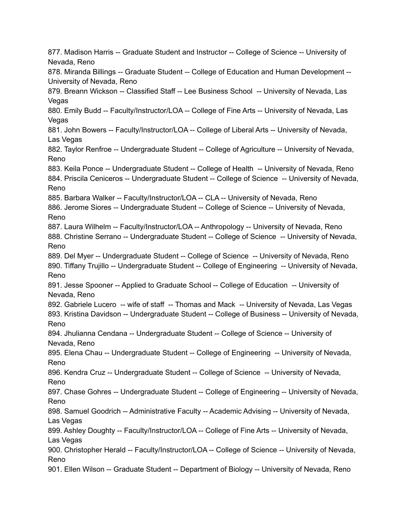877. Madison Harris -- Graduate Student and Instructor -- College of Science -- University of Nevada, Reno 878. Miranda Billings -- Graduate Student -- College of Education and Human Development -- University of Nevada, Reno 879. Breann Wickson -- Classified Staff -- Lee Business School -- University of Nevada, Las Vegas 880. Emily Budd -- Faculty/Instructor/LOA -- College of Fine Arts -- University of Nevada, Las Vegas 881. John Bowers -- Faculty/Instructor/LOA -- College of Liberal Arts -- University of Nevada, Las Vegas 882. Taylor Renfroe -- Undergraduate Student -- College of Agriculture -- University of Nevada, Reno 883. Keila Ponce -- Undergraduate Student -- College of Health -- University of Nevada, Reno 884. Priscila Ceniceros -- Undergraduate Student -- College of Science -- University of Nevada, Reno 885. Barbara Walker -- Faculty/Instructor/LOA -- CLA -- University of Nevada, Reno 886. Jerome Siores -- Undergraduate Student -- College of Science -- University of Nevada, Reno 887. Laura Wilhelm -- Faculty/Instructor/LOA -- Anthropology -- University of Nevada, Reno 888. Christine Serrano -- Undergraduate Student -- College of Science -- University of Nevada, Reno 889. Del Myer -- Undergraduate Student -- College of Science -- University of Nevada, Reno 890. Tiffany Trujillo -- Undergraduate Student -- College of Engineering -- University of Nevada, Reno 891. Jesse Spooner -- Applied to Graduate School -- College of Education -- University of Nevada, Reno 892. Gabriele Lucero -- wife of staff -- Thomas and Mack -- University of Nevada, Las Vegas 893. Kristina Davidson -- Undergraduate Student -- College of Business -- University of Nevada, Reno 894. Jhulianna Cendana -- Undergraduate Student -- College of Science -- University of Nevada, Reno 895. Elena Chau -- Undergraduate Student -- College of Engineering -- University of Nevada, Reno 896. Kendra Cruz -- Undergraduate Student -- College of Science -- University of Nevada, Reno 897. Chase Gohres -- Undergraduate Student -- College of Engineering -- University of Nevada, Reno 898. Samuel Goodrich -- Administrative Faculty -- Academic Advising -- University of Nevada, Las Vegas 899. Ashley Doughty -- Faculty/Instructor/LOA -- College of Fine Arts -- University of Nevada, Las Vegas 900. Christopher Herald -- Faculty/Instructor/LOA -- College of Science -- University of Nevada, Reno 901. Ellen Wilson -- Graduate Student -- Department of Biology -- University of Nevada, Reno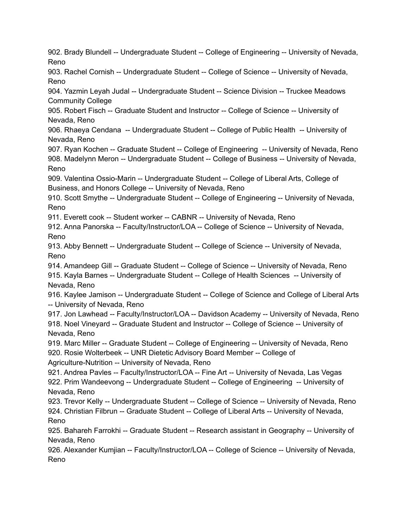902. Brady Blundell -- Undergraduate Student -- College of Engineering -- University of Nevada, Reno 903. Rachel Cornish -- Undergraduate Student -- College of Science -- University of Nevada, Reno 904. Yazmin Leyah Judal -- Undergraduate Student -- Science Division -- Truckee Meadows Community College 905. Robert Fisch -- Graduate Student and Instructor -- College of Science -- University of Nevada, Reno 906. Rhaeya Cendana -- Undergraduate Student -- College of Public Health -- University of Nevada, Reno 907. Ryan Kochen -- Graduate Student -- College of Engineering -- University of Nevada, Reno 908. Madelynn Meron -- Undergraduate Student -- College of Business -- University of Nevada, Reno 909. Valentina Ossio-Marin -- Undergraduate Student -- College of Liberal Arts, College of Business, and Honors College -- University of Nevada, Reno 910. Scott Smythe -- Undergraduate Student -- College of Engineering -- University of Nevada, Reno 911. Everett cook -- Student worker -- CABNR -- University of Nevada, Reno 912. Anna Panorska -- Faculty/Instructor/LOA -- College of Science -- University of Nevada, Reno 913. Abby Bennett -- Undergraduate Student -- College of Science -- University of Nevada, Reno 914. Amandeep Gill -- Graduate Student -- College of Science -- University of Nevada, Reno 915. Kayla Barnes -- Undergraduate Student -- College of Health Sciences -- University of Nevada, Reno 916. Kaylee Jamison -- Undergraduate Student -- College of Science and College of Liberal Arts -- University of Nevada, Reno 917. Jon Lawhead -- Faculty/Instructor/LOA -- Davidson Academy -- University of Nevada, Reno 918. Noel Vineyard -- Graduate Student and Instructor -- College of Science -- University of Nevada, Reno 919. Marc Miller -- Graduate Student -- College of Engineering -- University of Nevada, Reno 920. Rosie Wolterbeek -- UNR Dietetic Advisory Board Member -- College of Agriculture-Nutrition -- University of Nevada, Reno 921. Andrea Pavles -- Faculty/Instructor/LOA -- Fine Art -- University of Nevada, Las Vegas 922. Prim Wandeevong -- Undergraduate Student -- College of Engineering -- University of Nevada, Reno 923. Trevor Kelly -- Undergraduate Student -- College of Science -- University of Nevada, Reno 924. Christian Filbrun -- Graduate Student -- College of Liberal Arts -- University of Nevada, Reno 925. Bahareh Farrokhi -- Graduate Student -- Research assistant in Geography -- University of Nevada, Reno 926. Alexander Kumjian -- Faculty/Instructor/LOA -- College of Science -- University of Nevada, Reno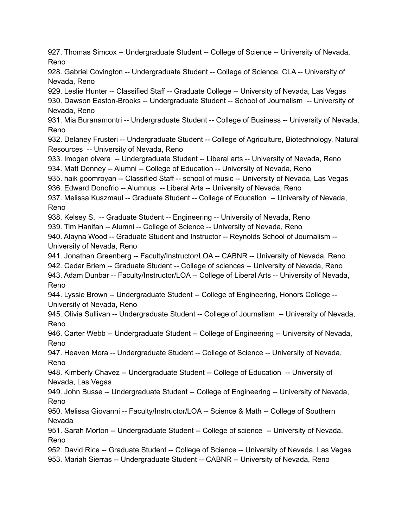927. Thomas Simcox -- Undergraduate Student -- College of Science -- University of Nevada, Reno

928. Gabriel Covington -- Undergraduate Student -- College of Science, CLA -- University of Nevada, Reno

929. Leslie Hunter -- Classified Staff -- Graduate College -- University of Nevada, Las Vegas 930. Dawson Easton-Brooks -- Undergraduate Student -- School of Journalism -- University of Nevada, Reno

931. Mia Buranamontri -- Undergraduate Student -- College of Business -- University of Nevada, Reno

932. Delaney Frusteri -- Undergraduate Student -- College of Agriculture, Biotechnology, Natural Resources -- University of Nevada, Reno

933. Imogen olvera -- Undergraduate Student -- Liberal arts -- University of Nevada, Reno 934. Matt Denney -- Alumni -- College of Education -- University of Nevada, Reno

935. haik goomroyan -- Classified Staff -- school of music -- University of Nevada, Las Vegas

936. Edward Donofrio -- Alumnus -- Liberal Arts -- University of Nevada, Reno

937. Melissa Kuszmaul -- Graduate Student -- College of Education -- University of Nevada, Reno

938. Kelsey S. -- Graduate Student -- Engineering -- University of Nevada, Reno

939. Tim Hanifan -- Alumni -- College of Science -- University of Nevada, Reno

940. Alayna Wood -- Graduate Student and Instructor -- Reynolds School of Journalism -- University of Nevada, Reno

941. Jonathan Greenberg -- Faculty/Instructor/LOA -- CABNR -- University of Nevada, Reno 942. Cedar Briem -- Graduate Student -- College of sciences -- University of Nevada, Reno 943. Adam Dunbar -- Faculty/Instructor/LOA -- College of Liberal Arts -- University of Nevada, Reno

944. Lyssie Brown -- Undergraduate Student -- College of Engineering, Honors College --University of Nevada, Reno

945. Olivia Sullivan -- Undergraduate Student -- College of Journalism -- University of Nevada, Reno

946. Carter Webb -- Undergraduate Student -- College of Engineering -- University of Nevada, Reno

947. Heaven Mora -- Undergraduate Student -- College of Science -- University of Nevada, Reno

948. Kimberly Chavez -- Undergraduate Student -- College of Education -- University of Nevada, Las Vegas

949. John Busse -- Undergraduate Student -- College of Engineering -- University of Nevada, Reno

950. Melissa Giovanni -- Faculty/Instructor/LOA -- Science & Math -- College of Southern Nevada

951. Sarah Morton -- Undergraduate Student -- College of science -- University of Nevada, Reno

952. David Rice -- Graduate Student -- College of Science -- University of Nevada, Las Vegas 953. Mariah Sierras -- Undergraduate Student -- CABNR -- University of Nevada, Reno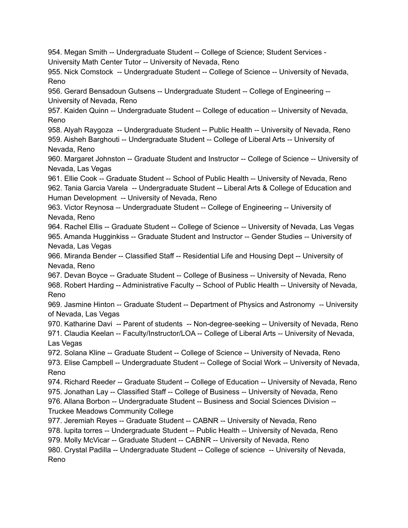954. Megan Smith -- Undergraduate Student -- College of Science; Student Services - University Math Center Tutor -- University of Nevada, Reno 955. Nick Comstock -- Undergraduate Student -- College of Science -- University of Nevada, Reno 956. Gerard Bensadoun Gutsens -- Undergraduate Student -- College of Engineering -- University of Nevada, Reno 957. Kaiden Quinn -- Undergraduate Student -- College of education -- University of Nevada, Reno 958. Alyah Raygoza -- Undergraduate Student -- Public Health -- University of Nevada, Reno 959. Aisheh Barghouti -- Undergraduate Student -- College of Liberal Arts -- University of Nevada, Reno 960. Margaret Johnston -- Graduate Student and Instructor -- College of Science -- University of Nevada, Las Vegas 961. Ellie Cook -- Graduate Student -- School of Public Health -- University of Nevada, Reno 962. Tania Garcia Varela -- Undergraduate Student -- Liberal Arts & College of Education and Human Development -- University of Nevada, Reno 963. Victor Reynosa -- Undergraduate Student -- College of Engineering -- University of Nevada, Reno 964. Rachel Ellis -- Graduate Student -- College of Science -- University of Nevada, Las Vegas 965. Amanda Hugginkiss -- Graduate Student and Instructor -- Gender Studies -- University of Nevada, Las Vegas 966. Miranda Bender -- Classified Staff -- Residential Life and Housing Dept -- University of Nevada, Reno 967. Devan Boyce -- Graduate Student -- College of Business -- University of Nevada, Reno 968. Robert Harding -- Administrative Faculty -- School of Public Health -- University of Nevada, Reno 969. Jasmine Hinton -- Graduate Student -- Department of Physics and Astronomy -- University of Nevada, Las Vegas 970. Katharine Davi -- Parent of students -- Non-degree-seeking -- University of Nevada, Reno 971. Claudia Keelan -- Faculty/Instructor/LOA -- College of Liberal Arts -- University of Nevada, Las Vegas 972. Solana Kline -- Graduate Student -- College of Science -- University of Nevada, Reno 973. Elise Campbell -- Undergraduate Student -- College of Social Work -- University of Nevada, Reno 974. Richard Reeder -- Graduate Student -- College of Education -- University of Nevada, Reno 975. Jonathan Lay -- Classified Staff -- College of Business -- University of Nevada, Reno 976. Allana Borbon -- Undergraduate Student -- Business and Social Sciences Division --Truckee Meadows Community College 977. Jeremiah Reyes -- Graduate Student -- CABNR -- University of Nevada, Reno 978. lupita torres -- Undergraduate Student -- Public Health -- University of Nevada, Reno 979. Molly McVicar -- Graduate Student -- CABNR -- University of Nevada, Reno 980. Crystal Padilla -- Undergraduate Student -- College of science -- University of Nevada, Reno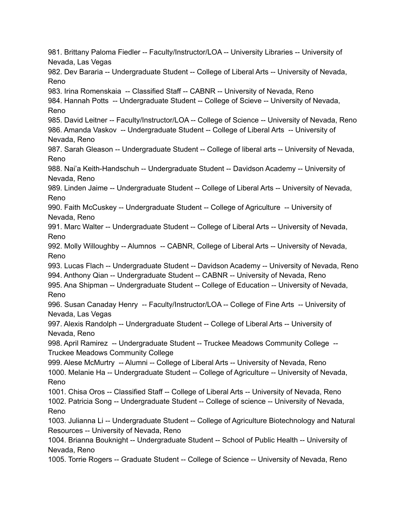981. Brittany Paloma Fiedler -- Faculty/Instructor/LOA -- University Libraries -- University of Nevada, Las Vegas 982. Dev Bararia -- Undergraduate Student -- College of Liberal Arts -- University of Nevada, Reno 983. Irina Romenskaia -- Classified Staff -- CABNR -- University of Nevada, Reno 984. Hannah Potts -- Undergraduate Student -- College of Scieve -- University of Nevada, Reno 985. David Leitner -- Faculty/Instructor/LOA -- College of Science -- University of Nevada, Reno 986. Amanda Vaskov -- Undergraduate Student -- College of Liberal Arts -- University of Nevada, Reno 987. Sarah Gleason -- Undergraduate Student -- College of liberal arts -- University of Nevada, Reno 988. Nai'a Keith-Handschuh -- Undergraduate Student -- Davidson Academy -- University of Nevada, Reno 989. Linden Jaime -- Undergraduate Student -- College of Liberal Arts -- University of Nevada, Reno 990. Faith McCuskey -- Undergraduate Student -- College of Agriculture -- University of Nevada, Reno 991. Marc Walter -- Undergraduate Student -- College of Liberal Arts -- University of Nevada, Reno 992. Molly Willoughby -- Alumnos -- CABNR, College of Liberal Arts -- University of Nevada, Reno 993. Lucas Flach -- Undergraduate Student -- Davidson Academy -- University of Nevada, Reno 994. Anthony Qian -- Undergraduate Student -- CABNR -- University of Nevada, Reno 995. Ana Shipman -- Undergraduate Student -- College of Education -- University of Nevada, Reno 996. Susan Canaday Henry -- Faculty/Instructor/LOA -- College of Fine Arts -- University of Nevada, Las Vegas 997. Alexis Randolph -- Undergraduate Student -- College of Liberal Arts -- University of Nevada, Reno 998. April Ramirez -- Undergraduate Student -- Truckee Meadows Community College -- Truckee Meadows Community College 999. Alese McMurtry -- Alumni -- College of Liberal Arts -- University of Nevada, Reno 1000. Melanie Ha -- Undergraduate Student -- College of Agriculture -- University of Nevada, Reno 1001. Chisa Oros -- Classified Staff -- College of Liberal Arts -- University of Nevada, Reno 1002. Patricia Song -- Undergraduate Student -- College of science -- University of Nevada, Reno 1003. Julianna Li -- Undergraduate Student -- College of Agriculture Biotechnology and Natural Resources -- University of Nevada, Reno 1004. Brianna Bouknight -- Undergraduate Student -- School of Public Health -- University of Nevada, Reno 1005. Torrie Rogers -- Graduate Student -- College of Science -- University of Nevada, Reno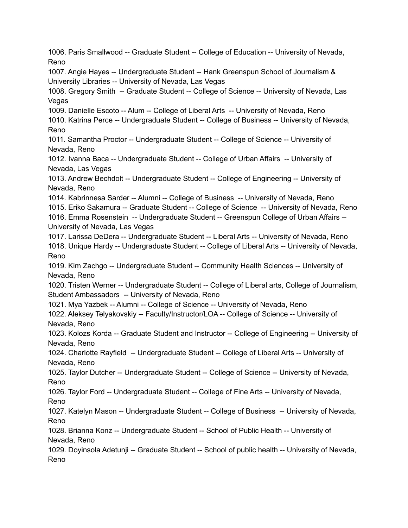1006. Paris Smallwood -- Graduate Student -- College of Education -- University of Nevada, Reno 1007. Angie Hayes -- Undergraduate Student -- Hank Greenspun School of Journalism & University Libraries -- University of Nevada, Las Vegas 1008. Gregory Smith -- Graduate Student -- College of Science -- University of Nevada, Las Vegas 1009. Danielle Escoto -- Alum -- College of Liberal Arts -- University of Nevada, Reno 1010. Katrina Perce -- Undergraduate Student -- College of Business -- University of Nevada, Reno 1011. Samantha Proctor -- Undergraduate Student -- College of Science -- University of Nevada, Reno 1012. Ivanna Baca -- Undergraduate Student -- College of Urban Affairs -- University of Nevada, Las Vegas 1013. Andrew Bechdolt -- Undergraduate Student -- College of Engineering -- University of Nevada, Reno 1014. Kabrinnesa Sarder -- Alumni -- College of Business -- University of Nevada, Reno 1015. Eriko Sakamura -- Graduate Student -- College of Science -- University of Nevada, Reno 1016. Emma Rosenstein -- Undergraduate Student -- Greenspun College of Urban Affairs -- University of Nevada, Las Vegas 1017. Larissa DeDera -- Undergraduate Student -- Liberal Arts -- University of Nevada, Reno 1018. Unique Hardy -- Undergraduate Student -- College of Liberal Arts -- University of Nevada, Reno 1019. Kim Zachgo -- Undergraduate Student -- Community Health Sciences -- University of Nevada, Reno 1020. Tristen Werner -- Undergraduate Student -- College of Liberal arts, College of Journalism, Student Ambassadors -- University of Nevada, Reno 1021. Mya Yazbek -- Alumni -- College of Science -- University of Nevada, Reno 1022. Aleksey Telyakovskiy -- Faculty/Instructor/LOA -- College of Science -- University of Nevada, Reno 1023. Kolozs Korda -- Graduate Student and Instructor -- College of Engineering -- University of Nevada, Reno 1024. Charlotte Rayfield -- Undergraduate Student -- College of Liberal Arts -- University of Nevada, Reno 1025. Taylor Dutcher -- Undergraduate Student -- College of Science -- University of Nevada, Reno 1026. Taylor Ford -- Undergraduate Student -- College of Fine Arts -- University of Nevada, Reno 1027. Katelyn Mason -- Undergraduate Student -- College of Business -- University of Nevada, Reno 1028. Brianna Konz -- Undergraduate Student -- School of Public Health -- University of Nevada, Reno 1029. Doyinsola Adetunji -- Graduate Student -- School of public health -- University of Nevada, Reno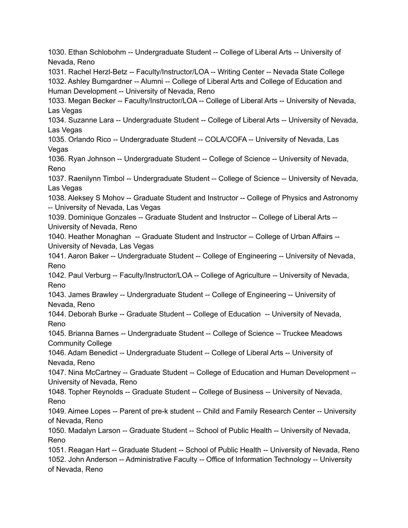1030. Ethan Schlobohm -- Undergraduate Student -- College of Liberal Arts -- University of Nevada, Reno 1031. Rachel Herzl-Betz -- Faculty/Instructor/LOA -- Writing Center -- Nevada State College 1032. Ashley Bumgardner -- Alumni -- College of Liberal Arts and College of Education and Human Development -- University of Nevada, Reno 1033. Megan Becker -- Faculty/Instructor/LOA -- College of Liberal Arts -- University of Nevada, Las Vegas 1034. Suzanne Lara -- Undergraduate Student -- College of Liberal Arts -- University of Nevada, Las Vegas 1035. Orlando Rico -- Undergraduate Student -- COLA/COFA -- University of Nevada, Las Vegas 1036. Ryan Johnson -- Undergraduate Student -- College of Science -- University of Nevada, Reno 1037. Raenilynn Timbol -- Undergraduate Student -- College of Science -- University of Nevada, Las Vegas 1038. Aleksey S Mohov -- Graduate Student and Instructor -- College of Physics and Astronomy -- University of Nevada, Las Vegas 1039. Dominique Gonzales -- Graduate Student and Instructor -- College of Liberal Arts -- University of Nevada, Reno 1040. Heather Monaghan -- Graduate Student and Instructor -- College of Urban Affairs -- University of Nevada, Las Vegas 1041. Aaron Baker -- Undergraduate Student -- College of Engineering -- University of Nevada, Reno 1042. Paul Verburg -- Faculty/Instructor/LOA -- College of Agriculture -- University of Nevada, Reno 1043. James Brawley -- Undergraduate Student -- College of Engineering -- University of Nevada, Reno 1044. Deborah Burke -- Graduate Student -- College of Education -- University of Nevada, Reno 1045. Brianna Barnes -- Undergraduate Student -- College of Science -- Truckee Meadows Community College 1046. Adam Benedict -- Undergraduate Student -- College of Liberal Arts -- University of Nevada, Reno 1047. Nina McCartney -- Graduate Student -- College of Education and Human Development -- University of Nevada, Reno 1048. Topher Reynolds -- Graduate Student -- College of Business -- University of Nevada, Reno 1049. Aimee Lopes -- Parent of pre-k student -- Child and Family Research Center -- University of Nevada, Reno 1050. Madalyn Larson -- Graduate Student -- School of Public Health -- University of Nevada, Reno 1051. Reagan Hart -- Graduate Student -- School of Public Health -- University of Nevada, Reno 1052. John Anderson -- Administrative Faculty -- Office of Information Technology -- University of Nevada, Reno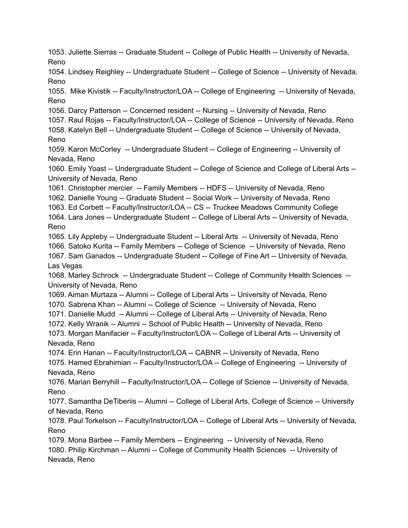1053. Juliette Sierras -- Graduate Student -- College of Public Health -- University of Nevada, Reno 1054. Lindsey Reighley -- Undergraduate Student -- College of Science -- University of Nevada, Reno 1055. Mike Kivistik -- Faculty/Instructor/LOA -- College of Engineering -- University of Nevada, Reno 1056. Darcy Patterson -- Concerned resident -- Nursing -- University of Nevada, Reno 1057. Raul Rojas -- Faculty/Instructor/LOA -- College of Science -- University of Nevada, Reno 1058. Katelyn Bell -- Undergraduate Student -- College of Science -- University of Nevada, Reno 1059. Karon McCorley -- Undergraduate Student -- College of Engineering -- University of Nevada, Reno 1060. Emily Yoast -- Undergraduate Student -- College of Science and College of Liberal Arts -- University of Nevada, Reno 1061. Christopher mercier -- Family Members -- HDFS -- University of Nevada, Reno 1062. Danielle Young -- Graduate Student -- Social Work -- University of Nevada, Reno 1063. Ed Corbett -- Faculty/Instructor/LOA -- CS -- Truckee Meadows Community College 1064. Lara Jones -- Undergraduate Student -- College of Liberal Arts -- University of Nevada, Reno 1065. Lily Appleby -- Undergraduate Student -- Liberal Arts -- University of Nevada, Reno 1066. Satoko Kurita -- Family Members -- College of Science -- University of Nevada, Reno 1067. Sam Ganados -- Undergraduate Student -- College of Fine Art -- University of Nevada, Las Vegas 1068. Marley Schrock -- Undergraduate Student -- College of Community Health Sciences -- University of Nevada, Reno 1069. Aiman Murtaza -- Alumni -- College of Liberal Arts -- University of Nevada, Reno 1070. Sabrena Khan -- Alumni -- College of Science -- University of Nevada, Reno 1071. Danielle Mudd -- Alumni -- College of Liberal Arts -- University of Nevada, Reno 1072. Kelly Wranik -- Alumni -- School of Public Health -- University of Nevada, Reno 1073. Morgan Manifacier -- Faculty/Instructor/LOA -- College of Liberal Arts -- University of Nevada, Reno 1074. Erin Hanan -- Faculty/Instructor/LOA -- CABNR -- University of Nevada, Reno 1075. Hamed Ebrahimian -- Faculty/Instructor/LOA -- College of Engineering -- University of Nevada, Reno 1076. Marian Berryhill -- Faculty/Instructor/LOA -- College of Science -- University of Nevada, Reno 1077. Samantha DeTiberiis -- Alumni -- College of Liberal Arts, College of Science -- University of Nevada, Reno 1078. Paul Torkelson -- Faculty/Instructor/LOA -- College of Liberal Arts -- University of Nevada, Reno 1079. Mona Barbee -- Family Members -- Engineering -- University of Nevada, Reno 1080. Philip Kirchman -- Alumni -- College of Community Health Sciences -- University of Nevada, Reno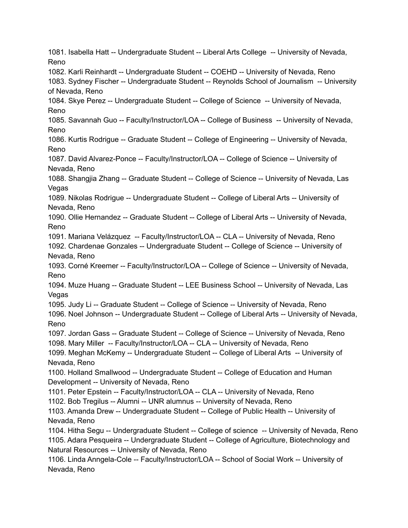1081. Isabella Hatt -- Undergraduate Student -- Liberal Arts College -- University of Nevada, Reno 1082. Karli Reinhardt -- Undergraduate Student -- COEHD -- University of Nevada, Reno 1083. Sydney Fischer -- Undergraduate Student -- Reynolds School of Journalism -- University of Nevada, Reno 1084. Skye Perez -- Undergraduate Student -- College of Science -- University of Nevada, Reno 1085. Savannah Guo -- Faculty/Instructor/LOA -- College of Business -- University of Nevada, Reno 1086. Kurtis Rodrigue -- Graduate Student -- College of Engineering -- University of Nevada, Reno 1087. David Alvarez-Ponce -- Faculty/Instructor/LOA -- College of Science -- University of Nevada, Reno 1088. Shangjia Zhang -- Graduate Student -- College of Science -- University of Nevada, Las Vegas 1089. Nikolas Rodrigue -- Undergraduate Student -- College of Liberal Arts -- University of Nevada, Reno 1090. Ollie Hernandez -- Graduate Student -- College of Liberal Arts -- University of Nevada, Reno 1091. Mariana Velázquez -- Faculty/Instructor/LOA -- CLA -- University of Nevada, Reno 1092. Chardenae Gonzales -- Undergraduate Student -- College of Science -- University of Nevada, Reno 1093. Corné Kreemer -- Faculty/Instructor/LOA -- College of Science -- University of Nevada, Reno 1094. Muze Huang -- Graduate Student -- LEE Business School -- University of Nevada, Las Vegas 1095. Judy Li -- Graduate Student -- College of Science -- University of Nevada, Reno 1096. Noel Johnson -- Undergraduate Student -- College of Liberal Arts -- University of Nevada, Reno 1097. Jordan Gass -- Graduate Student -- College of Science -- University of Nevada, Reno 1098. Mary Miller -- Faculty/Instructor/LOA -- CLA -- University of Nevada, Reno 1099. Meghan McKemy -- Undergraduate Student -- College of Liberal Arts -- University of Nevada, Reno 1100. Holland Smallwood -- Undergraduate Student -- College of Education and Human Development -- University of Nevada, Reno 1101. Peter Epstein -- Faculty/Instructor/LOA -- CLA -- University of Nevada, Reno 1102. Bob Tregilus -- Alumni -- UNR alumnus -- University of Nevada, Reno 1103. Amanda Drew -- Undergraduate Student -- College of Public Health -- University of Nevada, Reno 1104. Hitha Segu -- Undergraduate Student -- College of science -- University of Nevada, Reno 1105. Adara Pesqueira -- Undergraduate Student -- College of Agriculture, Biotechnology and Natural Resources -- University of Nevada, Reno 1106. Linda Anngela-Cole -- Faculty/Instructor/LOA -- School of Social Work -- University of Nevada, Reno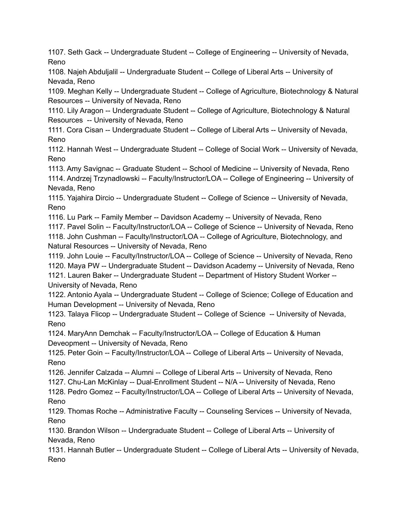1107. Seth Gack -- Undergraduate Student -- College of Engineering -- University of Nevada, Reno

1108. Najeh Abduljalil -- Undergraduate Student -- College of Liberal Arts -- University of Nevada, Reno

1109. Meghan Kelly -- Undergraduate Student -- College of Agriculture, Biotechnology & Natural Resources -- University of Nevada, Reno

1110. Lily Aragon -- Undergraduate Student -- College of Agriculture, Biotechnology & Natural Resources -- University of Nevada, Reno

1111. Cora Cisan -- Undergraduate Student -- College of Liberal Arts -- University of Nevada, Reno

1112. Hannah West -- Undergraduate Student -- College of Social Work -- University of Nevada, Reno

1113. Amy Savignac -- Graduate Student -- School of Medicine -- University of Nevada, Reno 1114. Andrzej Trzynadlowski -- Faculty/Instructor/LOA -- College of Engineering -- University of Nevada, Reno

1115. Yajahira Dircio -- Undergraduate Student -- College of Science -- University of Nevada, Reno

1116. Lu Park -- Family Member -- Davidson Academy -- University of Nevada, Reno

1117. Pavel Solin -- Faculty/Instructor/LOA -- College of Science -- University of Nevada, Reno 1118. John Cushman -- Faculty/Instructor/LOA -- College of Agriculture, Biotechnology, and Natural Resources -- University of Nevada, Reno

1119. John Louie -- Faculty/Instructor/LOA -- College of Science -- University of Nevada, Reno 1120. Maya PW -- Undergraduate Student -- Davidson Academy -- University of Nevada, Reno 1121. Lauren Baker -- Undergraduate Student -- Department of History Student Worker -- University of Nevada, Reno

1122. Antonio Ayala -- Undergraduate Student -- College of Science; College of Education and Human Development -- University of Nevada, Reno

1123. Talaya Flicop -- Undergraduate Student -- College of Science -- University of Nevada, Reno

1124. MaryAnn Demchak -- Faculty/Instructor/LOA -- College of Education & Human Deveopment -- University of Nevada, Reno

1125. Peter Goin -- Faculty/Instructor/LOA -- College of Liberal Arts -- University of Nevada, Reno

1126. Jennifer Calzada -- Alumni -- College of Liberal Arts -- University of Nevada, Reno

1127. Chu-Lan McKinlay -- Dual-Enrollment Student -- N/A -- University of Nevada, Reno

1128. Pedro Gomez -- Faculty/Instructor/LOA -- College of Liberal Arts -- University of Nevada, Reno

1129. Thomas Roche -- Administrative Faculty -- Counseling Services -- University of Nevada, Reno

1130. Brandon Wilson -- Undergraduate Student -- College of Liberal Arts -- University of Nevada, Reno

1131. Hannah Butler -- Undergraduate Student -- College of Liberal Arts -- University of Nevada, Reno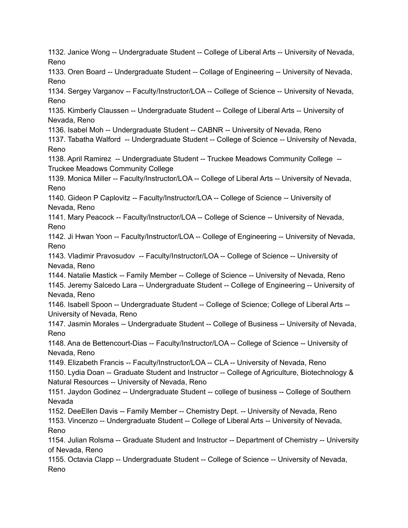1132. Janice Wong -- Undergraduate Student -- College of Liberal Arts -- University of Nevada, Reno 1133. Oren Board -- Undergraduate Student -- Collage of Engineering -- University of Nevada, Reno 1134. Sergey Varganov -- Faculty/Instructor/LOA -- College of Science -- University of Nevada, Reno 1135. Kimberly Claussen -- Undergraduate Student -- College of Liberal Arts -- University of Nevada, Reno 1136. Isabel Moh -- Undergraduate Student -- CABNR -- University of Nevada, Reno 1137. Tabatha Walford -- Undergraduate Student -- College of Science -- University of Nevada, Reno 1138. April Ramirez -- Undergraduate Student -- Truckee Meadows Community College -- Truckee Meadows Community College 1139. Monica Miller -- Faculty/Instructor/LOA -- College of Liberal Arts -- University of Nevada, Reno 1140. Gideon P Caplovitz -- Faculty/Instructor/LOA -- College of Science -- University of Nevada, Reno 1141. Mary Peacock -- Faculty/Instructor/LOA -- College of Science -- University of Nevada, Reno 1142. Ji Hwan Yoon -- Faculty/Instructor/LOA -- College of Engineering -- University of Nevada, Reno 1143. Vladimir Pravosudov -- Faculty/Instructor/LOA -- College of Science -- University of Nevada, Reno 1144. Natalie Mastick -- Family Member -- College of Science -- University of Nevada, Reno 1145. Jeremy Salcedo Lara -- Undergraduate Student -- College of Engineering -- University of Nevada, Reno 1146. Isabell Spoon -- Undergraduate Student -- College of Science; College of Liberal Arts -- University of Nevada, Reno 1147. Jasmin Morales -- Undergraduate Student -- College of Business -- University of Nevada, Reno 1148. Ana de Bettencourt-Dias -- Faculty/Instructor/LOA -- College of Science -- University of Nevada, Reno 1149. Elizabeth Francis -- Faculty/Instructor/LOA -- CLA -- University of Nevada, Reno 1150. Lydia Doan -- Graduate Student and Instructor -- College of Agriculture, Biotechnology & Natural Resources -- University of Nevada, Reno 1151. Jaydon Godinez -- Undergraduate Student -- college of business -- College of Southern Nevada 1152. DeeEllen Davis -- Family Member -- Chemistry Dept. -- University of Nevada, Reno 1153. Vincenzo -- Undergraduate Student -- College of Liberal Arts -- University of Nevada, Reno 1154. Julian Rolsma -- Graduate Student and Instructor -- Department of Chemistry -- University of Nevada, Reno 1155. Octavia Clapp -- Undergraduate Student -- College of Science -- University of Nevada, Reno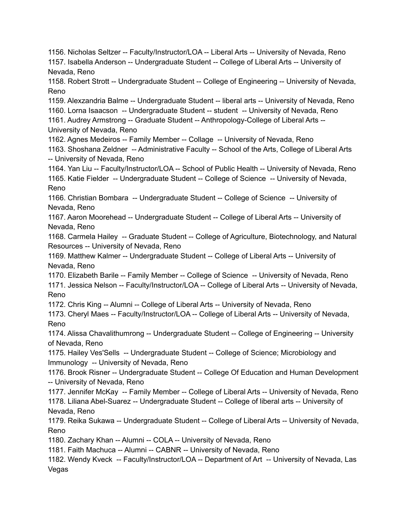1156. Nicholas Seltzer -- Faculty/Instructor/LOA -- Liberal Arts -- University of Nevada, Reno 1157. Isabella Anderson -- Undergraduate Student -- College of Liberal Arts -- University of Nevada, Reno 1158. Robert Strott -- Undergraduate Student -- College of Engineering -- University of Nevada, Reno 1159. Alexzandria Balme -- Undergraduate Student -- liberal arts -- University of Nevada, Reno 1160. Lorna Isaacson -- Undergraduate Student -- student -- University of Nevada, Reno 1161. Audrey Armstrong -- Graduate Student -- Anthropology-College of Liberal Arts -- University of Nevada, Reno 1162. Agnes Medeiros -- Family Member -- Collage -- University of Nevada, Reno 1163. Shoshana Zeldner -- Administrative Faculty -- School of the Arts, College of Liberal Arts -- University of Nevada, Reno 1164. Yan Liu -- Faculty/Instructor/LOA -- School of Public Health -- University of Nevada, Reno 1165. Katie Fielder -- Undergraduate Student -- College of Science -- University of Nevada, Reno 1166. Christian Bombara -- Undergraduate Student -- College of Science -- University of Nevada, Reno 1167. Aaron Moorehead -- Undergraduate Student -- College of Liberal Arts -- University of Nevada, Reno 1168. Carmela Hailey -- Graduate Student -- College of Agriculture, Biotechnology, and Natural Resources -- University of Nevada, Reno 1169. Matthew Kalmer -- Undergraduate Student -- College of Liberal Arts -- University of Nevada, Reno 1170. Elizabeth Barile -- Family Member -- College of Science -- University of Nevada, Reno 1171. Jessica Nelson -- Faculty/Instructor/LOA -- College of Liberal Arts -- University of Nevada, Reno 1172. Chris King -- Alumni -- College of Liberal Arts -- University of Nevada, Reno 1173. Cheryl Maes -- Faculty/Instructor/LOA -- College of Liberal Arts -- University of Nevada, Reno 1174. Alissa Chavalithumrong -- Undergraduate Student -- College of Engineering -- University of Nevada, Reno 1175. Hailey Ves'Sells -- Undergraduate Student -- College of Science; Microbiology and Immunology -- University of Nevada, Reno 1176. Brook Risner -- Undergraduate Student -- College Of Education and Human Development -- University of Nevada, Reno 1177. Jennifer McKay -- Family Member -- College of Liberal Arts -- University of Nevada, Reno 1178. Liliana Abel-Suarez -- Undergraduate Student -- College of liberal arts -- University of Nevada, Reno 1179. Reika Sukawa -- Undergraduate Student -- College of Liberal Arts -- University of Nevada, Reno 1180. Zachary Khan -- Alumni -- COLA -- University of Nevada, Reno 1181. Faith Machuca -- Alumni -- CABNR -- University of Nevada, Reno 1182. Wendy Kveck -- Faculty/Instructor/LOA -- Department of Art -- University of Nevada, Las Vegas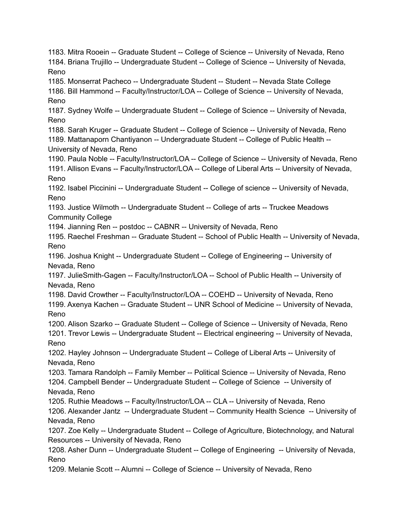1183. Mitra Rooein -- Graduate Student -- College of Science -- University of Nevada, Reno 1184. Briana Trujillo -- Undergraduate Student -- College of Science -- University of Nevada, Reno 1185. Monserrat Pacheco -- Undergraduate Student -- Student -- Nevada State College 1186. Bill Hammond -- Faculty/Instructor/LOA -- College of Science -- University of Nevada, Reno 1187. Sydney Wolfe -- Undergraduate Student -- College of Science -- University of Nevada, Reno 1188. Sarah Kruger -- Graduate Student -- College of Science -- University of Nevada, Reno 1189. Mattanaporn Chantiyanon -- Undergraduate Student -- College of Public Health -- University of Nevada, Reno 1190. Paula Noble -- Faculty/Instructor/LOA -- College of Science -- University of Nevada, Reno 1191. Allison Evans -- Faculty/Instructor/LOA -- College of Liberal Arts -- University of Nevada, Reno 1192. Isabel Piccinini -- Undergraduate Student -- College of science -- University of Nevada, Reno 1193. Justice Wilmoth -- Undergraduate Student -- College of arts -- Truckee Meadows Community College 1194. Jianning Ren -- postdoc -- CABNR -- University of Nevada, Reno 1195. Raechel Freshman -- Graduate Student -- School of Public Health -- University of Nevada, Reno 1196. Joshua Knight -- Undergraduate Student -- College of Engineering -- University of Nevada, Reno 1197. JulieSmith-Gagen -- Faculty/Instructor/LOA -- School of Public Health -- University of Nevada, Reno 1198. David Crowther -- Faculty/Instructor/LOA -- COEHD -- University of Nevada, Reno 1199. Axenya Kachen -- Graduate Student -- UNR School of Medicine -- University of Nevada, Reno 1200. Alison Szarko -- Graduate Student -- College of Science -- University of Nevada, Reno 1201. Trevor Lewis -- Undergraduate Student -- Electrical engineering -- University of Nevada, Reno 1202. Hayley Johnson -- Undergraduate Student -- College of Liberal Arts -- University of Nevada, Reno 1203. Tamara Randolph -- Family Member -- Political Science -- University of Nevada, Reno 1204. Campbell Bender -- Undergraduate Student -- College of Science -- University of Nevada, Reno 1205. Ruthie Meadows -- Faculty/Instructor/LOA -- CLA -- University of Nevada, Reno 1206. Alexander Jantz -- Undergraduate Student -- Community Health Science -- University of Nevada, Reno 1207. Zoe Kelly -- Undergraduate Student -- College of Agriculture, Biotechnology, and Natural Resources -- University of Nevada, Reno 1208. Asher Dunn -- Undergraduate Student -- College of Engineering -- University of Nevada, Reno 1209. Melanie Scott -- Alumni -- College of Science -- University of Nevada, Reno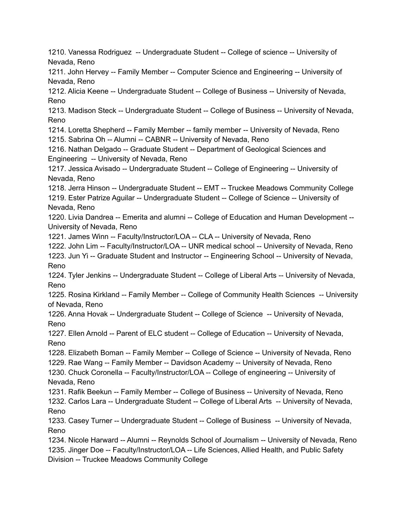1210. Vanessa Rodriguez -- Undergraduate Student -- College of science -- University of Nevada, Reno

1211. John Hervey -- Family Member -- Computer Science and Engineering -- University of Nevada, Reno

1212. Alicia Keene -- Undergraduate Student -- College of Business -- University of Nevada, Reno

1213. Madison Steck -- Undergraduate Student -- College of Business -- University of Nevada, Reno

1214. Loretta Shepherd -- Family Member -- family member -- University of Nevada, Reno 1215. Sabrina Oh -- Alumni -- CABNR -- University of Nevada, Reno

1216. Nathan Delgado -- Graduate Student -- Department of Geological Sciences and Engineering -- University of Nevada, Reno

1217. Jessica Avisado -- Undergraduate Student -- College of Engineering -- University of Nevada, Reno

1218. Jerra Hinson -- Undergraduate Student -- EMT -- Truckee Meadows Community College 1219. Ester Patrize Aguilar -- Undergraduate Student -- College of Science -- University of Nevada, Reno

1220. Livia Dandrea -- Emerita and alumni -- College of Education and Human Development -- University of Nevada, Reno

1221. James Winn -- Faculty/Instructor/LOA -- CLA -- University of Nevada, Reno

1222. John Lim -- Faculty/Instructor/LOA -- UNR medical school -- University of Nevada, Reno 1223. Jun Yi -- Graduate Student and Instructor -- Engineering School -- University of Nevada, Reno

1224. Tyler Jenkins -- Undergraduate Student -- College of Liberal Arts -- University of Nevada, Reno

1225. Rosina Kirkland -- Family Member -- College of Community Health Sciences -- University of Nevada, Reno

1226. Anna Hovak -- Undergraduate Student -- College of Science -- University of Nevada, Reno

1227. Ellen Arnold -- Parent of ELC student -- College of Education -- University of Nevada, Reno

1228. Elizabeth Boman -- Family Member -- College of Science -- University of Nevada, Reno

1229. Rae Wang -- Family Member -- Davidson Academy -- University of Nevada, Reno

1230. Chuck Coronella -- Faculty/Instructor/LOA -- College of engineering -- University of Nevada, Reno

1231. Rafik Beekun -- Family Member -- College of Business -- University of Nevada, Reno

1232. Carlos Lara -- Undergraduate Student -- College of Liberal Arts -- University of Nevada, Reno

1233. Casey Turner -- Undergraduate Student -- College of Business -- University of Nevada, Reno

1234. Nicole Harward -- Alumni -- Reynolds School of Journalism -- University of Nevada, Reno 1235. Jinger Doe -- Faculty/Instructor/LOA -- Life Sciences, Allied Health, and Public Safety Division -- Truckee Meadows Community College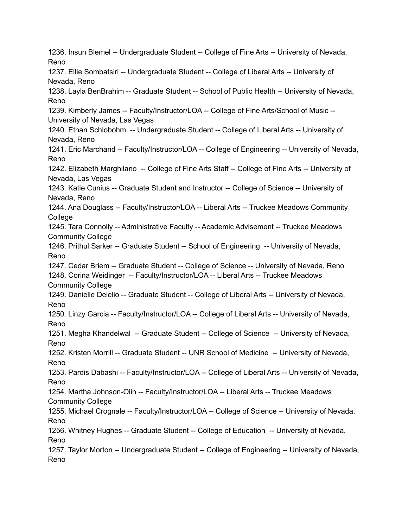1236. Insun Blemel -- Undergraduate Student -- College of Fine Arts -- University of Nevada, Reno 1237. Ellie Sombatsiri -- Undergraduate Student -- College of Liberal Arts -- University of Nevada, Reno 1238. Layla BenBrahim -- Graduate Student -- School of Public Health -- University of Nevada, Reno 1239. Kimberly James -- Faculty/Instructor/LOA -- College of Fine Arts/School of Music -- University of Nevada, Las Vegas 1240. Ethan Schlobohm -- Undergraduate Student -- College of Liberal Arts -- University of Nevada, Reno 1241. Eric Marchand -- Faculty/Instructor/LOA -- College of Engineering -- University of Nevada, Reno 1242. Elizabeth Marghilano -- College of Fine Arts Staff -- College of Fine Arts -- University of Nevada, Las Vegas 1243. Katie Cunius -- Graduate Student and Instructor -- College of Science -- University of Nevada, Reno 1244. Ana Douglass -- Faculty/Instructor/LOA -- Liberal Arts -- Truckee Meadows Community **College** 1245. Tara Connolly -- Administrative Faculty -- Academic Advisement -- Truckee Meadows Community College 1246. Prithul Sarker -- Graduate Student -- School of Engineering -- University of Nevada, Reno 1247. Cedar Briem -- Graduate Student -- College of Science -- University of Nevada, Reno 1248. Corina Weidinger -- Faculty/Instructor/LOA -- Liberal Arts -- Truckee Meadows Community College 1249. Danielle Delelio -- Graduate Student -- College of Liberal Arts -- University of Nevada, Reno 1250. Linzy Garcia -- Faculty/Instructor/LOA -- College of Liberal Arts -- University of Nevada, Reno 1251. Megha Khandelwal -- Graduate Student -- College of Science -- University of Nevada, Reno 1252. Kristen Morrill -- Graduate Student -- UNR School of Medicine -- University of Nevada, Reno 1253. Pardis Dabashi -- Faculty/Instructor/LOA -- College of Liberal Arts -- University of Nevada, Reno 1254. Martha Johnson-Olin -- Faculty/Instructor/LOA -- Liberal Arts -- Truckee Meadows Community College 1255. Michael Crognale -- Faculty/Instructor/LOA -- College of Science -- University of Nevada, Reno 1256. Whitney Hughes -- Graduate Student -- College of Education -- University of Nevada, Reno 1257. Taylor Morton -- Undergraduate Student -- College of Engineering -- University of Nevada, Reno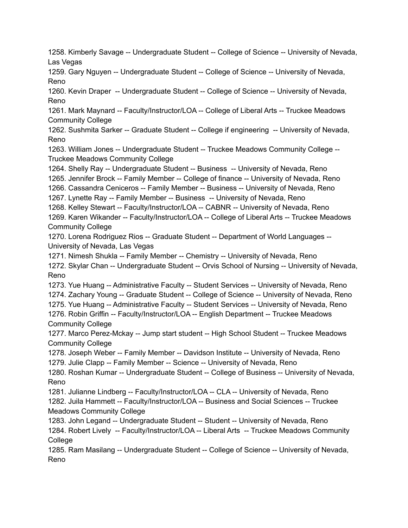1258. Kimberly Savage -- Undergraduate Student -- College of Science -- University of Nevada, Las Vegas

1259. Gary Nguyen -- Undergraduate Student -- College of Science -- University of Nevada, Reno

1260. Kevin Draper -- Undergraduate Student -- College of Science -- University of Nevada, Reno

1261. Mark Maynard -- Faculty/Instructor/LOA -- College of Liberal Arts -- Truckee Meadows Community College

1262. Sushmita Sarker -- Graduate Student -- College if engineering -- University of Nevada, Reno

1263. William Jones -- Undergraduate Student -- Truckee Meadows Community College -- Truckee Meadows Community College

1264. Shelly Ray -- Undergraduate Student -- Business -- University of Nevada, Reno

1265. Jennifer Brock -- Family Member -- College of finance -- University of Nevada, Reno

1266. Cassandra Ceniceros -- Family Member -- Business -- University of Nevada, Reno

1267. Lynette Ray -- Family Member -- Business -- University of Nevada, Reno

1268. Kelley Stewart -- Faculty/Instructor/LOA -- CABNR -- University of Nevada, Reno

1269. Karen Wikander -- Faculty/Instructor/LOA -- College of Liberal Arts -- Truckee Meadows Community College

1270. Lorena Rodriguez Rios -- Graduate Student -- Department of World Languages -- University of Nevada, Las Vegas

1271. Nimesh Shukla -- Family Member -- Chemistry -- University of Nevada, Reno 1272. Skylar Chan -- Undergraduate Student -- Orvis School of Nursing -- University of Nevada, Reno

1273. Yue Huang -- Administrative Faculty -- Student Services -- University of Nevada, Reno

1274. Zachary Young -- Graduate Student -- College of Science -- University of Nevada, Reno

1275. Yue Huang -- Administrative Faculty -- Student Services -- University of Nevada, Reno

1276. Robin Griffin -- Faculty/Instructor/LOA -- English Department -- Truckee Meadows Community College

1277. Marco Perez-Mckay -- Jump start student -- High School Student -- Truckee Meadows Community College

1278. Joseph Weber -- Family Member -- Davidson Institute -- University of Nevada, Reno 1279. Julie Clapp -- Family Member -- Science -- University of Nevada, Reno

1280. Roshan Kumar -- Undergraduate Student -- College of Business -- University of Nevada, Reno

1281. Julianne Lindberg -- Faculty/Instructor/LOA -- CLA -- University of Nevada, Reno

1282. Juila Hammett -- Faculty/Instructor/LOA -- Business and Social Sciences -- Truckee Meadows Community College

1283. John Legand -- Undergraduate Student -- Student -- University of Nevada, Reno 1284. Robert Lively -- Faculty/Instructor/LOA -- Liberal Arts -- Truckee Meadows Community College

1285. Ram Masilang -- Undergraduate Student -- College of Science -- University of Nevada, Reno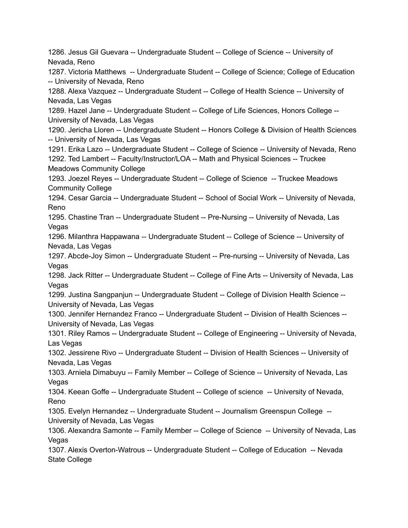1286. Jesus Gil Guevara -- Undergraduate Student -- College of Science -- University of Nevada, Reno 1287. Victoria Matthews -- Undergraduate Student -- College of Science; College of Education -- University of Nevada, Reno 1288. Alexa Vazquez -- Undergraduate Student -- College of Health Science -- University of Nevada, Las Vegas 1289. Hazel Jane -- Undergraduate Student -- College of Life Sciences, Honors College -- University of Nevada, Las Vegas 1290. Jericha Lloren -- Undergraduate Student -- Honors College & Division of Health Sciences -- University of Nevada, Las Vegas 1291. Erika Lazo -- Undergraduate Student -- College of Science -- University of Nevada, Reno 1292. Ted Lambert -- Faculty/Instructor/LOA -- Math and Physical Sciences -- Truckee Meadows Community College 1293. Joezel Reyes -- Undergraduate Student -- College of Science -- Truckee Meadows Community College 1294. Cesar Garcia -- Undergraduate Student -- School of Social Work -- University of Nevada, Reno 1295. Chastine Tran -- Undergraduate Student -- Pre-Nursing -- University of Nevada, Las Vegas 1296. Milanthra Happawana -- Undergraduate Student -- College of Science -- University of Nevada, Las Vegas 1297. Abcde-Joy Simon -- Undergraduate Student -- Pre-nursing -- University of Nevada, Las Vegas 1298. Jack Ritter -- Undergraduate Student -- College of Fine Arts -- University of Nevada, Las Vegas 1299. Justina Sangpanjun -- Undergraduate Student -- College of Division Health Science -- University of Nevada, Las Vegas 1300. Jennifer Hernandez Franco -- Undergraduate Student -- Division of Health Sciences -- University of Nevada, Las Vegas 1301. Riley Ramos -- Undergraduate Student -- College of Engineering -- University of Nevada, Las Vegas 1302. Jessirene Rivo -- Undergraduate Student -- Division of Health Sciences -- University of Nevada, Las Vegas 1303. Arniela Dimabuyu -- Family Member -- College of Science -- University of Nevada, Las Vegas 1304. Keean Goffe -- Undergraduate Student -- College of science -- University of Nevada, Reno 1305. Evelyn Hernandez -- Undergraduate Student -- Journalism Greenspun College -- University of Nevada, Las Vegas 1306. Alexandra Samonte -- Family Member -- College of Science -- University of Nevada, Las Vegas 1307. Alexis Overton-Watrous -- Undergraduate Student -- College of Education -- Nevada State College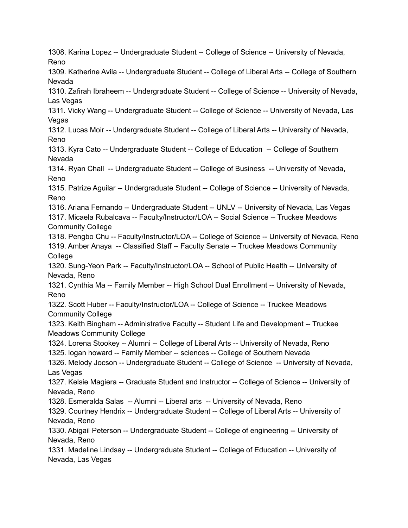1308. Karina Lopez -- Undergraduate Student -- College of Science -- University of Nevada, Reno 1309. Katherine Avila -- Undergraduate Student -- College of Liberal Arts -- College of Southern Nevada 1310. Zafirah Ibraheem -- Undergraduate Student -- College of Science -- University of Nevada, Las Vegas 1311. Vicky Wang -- Undergraduate Student -- College of Science -- University of Nevada, Las Vegas 1312. Lucas Moir -- Undergraduate Student -- College of Liberal Arts -- University of Nevada, Reno 1313. Kyra Cato -- Undergraduate Student -- College of Education -- College of Southern Nevada 1314. Ryan Chall -- Undergraduate Student -- College of Business -- University of Nevada, Reno 1315. Patrize Aguilar -- Undergraduate Student -- College of Science -- University of Nevada, Reno 1316. Ariana Fernando -- Undergraduate Student -- UNLV -- University of Nevada, Las Vegas 1317. Micaela Rubalcava -- Faculty/Instructor/LOA -- Social Science -- Truckee Meadows Community College 1318. Pengbo Chu -- Faculty/Instructor/LOA -- College of Science -- University of Nevada, Reno 1319. Amber Anaya -- Classified Staff -- Faculty Senate -- Truckee Meadows Community College 1320. Sung-Yeon Park -- Faculty/Instructor/LOA -- School of Public Health -- University of Nevada, Reno 1321. Cynthia Ma -- Family Member -- High School Dual Enrollment -- University of Nevada, Reno 1322. Scott Huber -- Faculty/Instructor/LOA -- College of Science -- Truckee Meadows Community College 1323. Keith Bingham -- Administrative Faculty -- Student Life and Development -- Truckee Meadows Community College 1324. Lorena Stookey -- Alumni -- College of Liberal Arts -- University of Nevada, Reno 1325. logan howard -- Family Member -- sciences -- College of Southern Nevada 1326. Melody Jocson -- Undergraduate Student -- College of Science -- University of Nevada, Las Vegas 1327. Kelsie Magiera -- Graduate Student and Instructor -- College of Science -- University of Nevada, Reno 1328. Esmeralda Salas -- Alumni -- Liberal arts -- University of Nevada, Reno 1329. Courtney Hendrix -- Undergraduate Student -- College of Liberal Arts -- University of Nevada, Reno 1330. Abigail Peterson -- Undergraduate Student -- College of engineering -- University of Nevada, Reno 1331. Madeline Lindsay -- Undergraduate Student -- College of Education -- University of Nevada, Las Vegas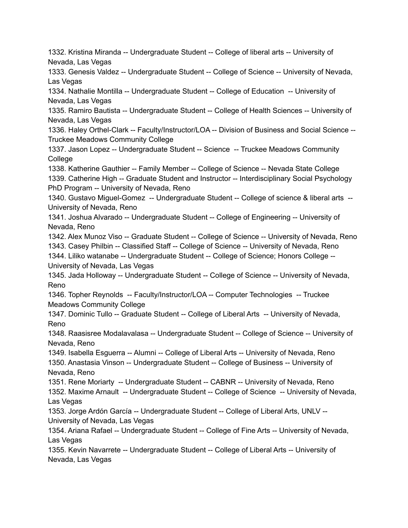1332. Kristina Miranda -- Undergraduate Student -- College of liberal arts -- University of Nevada, Las Vegas

1333. Genesis Valdez -- Undergraduate Student -- College of Science -- University of Nevada, Las Vegas

1334. Nathalie Montilla -- Undergraduate Student -- College of Education -- University of Nevada, Las Vegas

1335. Ramiro Bautista -- Undergraduate Student -- College of Health Sciences -- University of Nevada, Las Vegas

1336. Haley Orthel-Clark -- Faculty/Instructor/LOA -- Division of Business and Social Science -- Truckee Meadows Community College

1337. Jason Lopez -- Undergraduate Student -- Science -- Truckee Meadows Community College

1338. Katherine Gauthier -- Family Member -- College of Science -- Nevada State College 1339. Catherine High -- Graduate Student and Instructor -- Interdisciplinary Social Psychology PhD Program -- University of Nevada, Reno

1340. Gustavo Miguel-Gomez -- Undergraduate Student -- College of science & liberal arts -- University of Nevada, Reno

1341. Joshua Alvarado -- Undergraduate Student -- College of Engineering -- University of Nevada, Reno

1342. Alex Munoz Viso -- Graduate Student -- College of Science -- University of Nevada, Reno 1343. Casey Philbin -- Classified Staff -- College of Science -- University of Nevada, Reno

1344. Liliko watanabe -- Undergraduate Student -- College of Science; Honors College -- University of Nevada, Las Vegas

1345. Jada Holloway -- Undergraduate Student -- College of Science -- University of Nevada, Reno

1346. Topher Reynolds -- Faculty/Instructor/LOA -- Computer Technologies -- Truckee Meadows Community College

1347. Dominic Tullo -- Graduate Student -- College of Liberal Arts -- University of Nevada, Reno

1348. Raasisree Modalavalasa -- Undergraduate Student -- College of Science -- University of Nevada, Reno

1349. Isabella Esguerra -- Alumni -- College of Liberal Arts -- University of Nevada, Reno 1350. Anastasia Vinson -- Undergraduate Student -- College of Business -- University of Nevada, Reno

1351. Rene Moriarty -- Undergraduate Student -- CABNR -- University of Nevada, Reno

1352. Maxime Arnault -- Undergraduate Student -- College of Science -- University of Nevada, Las Vegas

1353. Jorge Ardón García -- Undergraduate Student -- College of Liberal Arts, UNLV -- University of Nevada, Las Vegas

1354. Ariana Rafael -- Undergraduate Student -- College of Fine Arts -- University of Nevada, Las Vegas

1355. Kevin Navarrete -- Undergraduate Student -- College of Liberal Arts -- University of Nevada, Las Vegas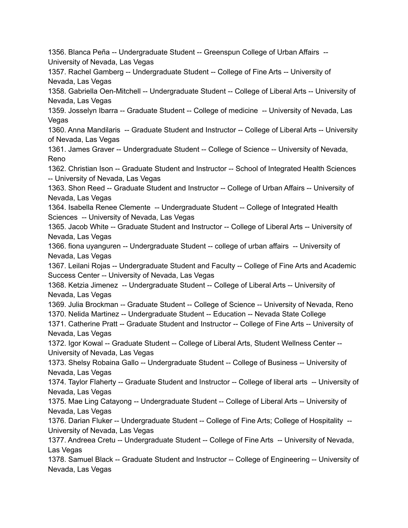1356. Blanca Peña -- Undergraduate Student -- Greenspun College of Urban Affairs -- University of Nevada, Las Vegas 1357. Rachel Gamberg -- Undergraduate Student -- College of Fine Arts -- University of Nevada, Las Vegas 1358. Gabriella Oen-Mitchell -- Undergraduate Student -- College of Liberal Arts -- University of Nevada, Las Vegas 1359. Josselyn Ibarra -- Graduate Student -- College of medicine -- University of Nevada, Las Vegas 1360. Anna Mandilaris -- Graduate Student and Instructor -- College of Liberal Arts -- University of Nevada, Las Vegas 1361. James Graver -- Undergraduate Student -- College of Science -- University of Nevada, Reno 1362. Christian Ison -- Graduate Student and Instructor -- School of Integrated Health Sciences -- University of Nevada, Las Vegas 1363. Shon Reed -- Graduate Student and Instructor -- College of Urban Affairs -- University of Nevada, Las Vegas 1364. Isabella Renee Clemente -- Undergraduate Student -- College of Integrated Health Sciences -- University of Nevada, Las Vegas 1365. Jacob White -- Graduate Student and Instructor -- College of Liberal Arts -- University of Nevada, Las Vegas 1366. fiona uyanguren -- Undergraduate Student -- college of urban affairs -- University of Nevada, Las Vegas 1367. Leilani Rojas -- Undergraduate Student and Faculty -- College of Fine Arts and Academic Success Center -- University of Nevada, Las Vegas 1368. Ketzia Jimenez -- Undergraduate Student -- College of Liberal Arts -- University of Nevada, Las Vegas 1369. Julia Brockman -- Graduate Student -- College of Science -- University of Nevada, Reno 1370. Nelida Martinez -- Undergraduate Student -- Education -- Nevada State College 1371. Catherine Pratt -- Graduate Student and Instructor -- College of Fine Arts -- University of Nevada, Las Vegas 1372. Igor Kowal -- Graduate Student -- College of Liberal Arts, Student Wellness Center -- University of Nevada, Las Vegas 1373. Shelsy Robaina Gallo -- Undergraduate Student -- College of Business -- University of Nevada, Las Vegas 1374. Taylor Flaherty -- Graduate Student and Instructor -- College of liberal arts -- University of Nevada, Las Vegas 1375. Mae Ling Catayong -- Undergraduate Student -- College of Liberal Arts -- University of Nevada, Las Vegas 1376. Darian Fluker -- Undergraduate Student -- College of Fine Arts; College of Hospitality -- University of Nevada, Las Vegas 1377. Andreea Cretu -- Undergraduate Student -- College of Fine Arts -- University of Nevada, Las Vegas 1378. Samuel Black -- Graduate Student and Instructor -- College of Engineering -- University of Nevada, Las Vegas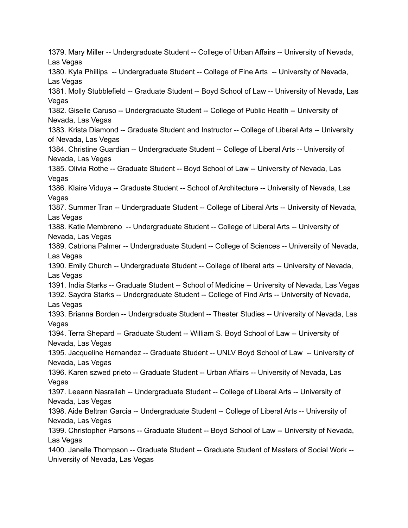1379. Mary Miller -- Undergraduate Student -- College of Urban Affairs -- University of Nevada, Las Vegas 1380. Kyla Phillips -- Undergraduate Student -- College of Fine Arts -- University of Nevada, Las Vegas 1381. Molly Stubblefield -- Graduate Student -- Boyd School of Law -- University of Nevada, Las Vegas 1382. Giselle Caruso -- Undergraduate Student -- College of Public Health -- University of Nevada, Las Vegas 1383. Krista Diamond -- Graduate Student and Instructor -- College of Liberal Arts -- University of Nevada, Las Vegas 1384. Christine Guardian -- Undergraduate Student -- College of Liberal Arts -- University of Nevada, Las Vegas 1385. Olivia Rothe -- Graduate Student -- Boyd School of Law -- University of Nevada, Las Vegas 1386. Klaire Viduya -- Graduate Student -- School of Architecture -- University of Nevada, Las Vegas 1387. Summer Tran -- Undergraduate Student -- College of Liberal Arts -- University of Nevada, Las Vegas 1388. Katie Membreno -- Undergraduate Student -- College of Liberal Arts -- University of Nevada, Las Vegas 1389. Catriona Palmer -- Undergraduate Student -- College of Sciences -- University of Nevada, Las Vegas 1390. Emily Church -- Undergraduate Student -- College of liberal arts -- University of Nevada, Las Vegas 1391. India Starks -- Graduate Student -- School of Medicine -- University of Nevada, Las Vegas 1392. Saydra Starks -- Undergraduate Student -- College of Find Arts -- University of Nevada, Las Vegas 1393. Brianna Borden -- Undergraduate Student -- Theater Studies -- University of Nevada, Las Vegas 1394. Terra Shepard -- Graduate Student -- William S. Boyd School of Law -- University of Nevada, Las Vegas 1395. Jacqueline Hernandez -- Graduate Student -- UNLV Boyd School of Law -- University of Nevada, Las Vegas 1396. Karen szwed prieto -- Graduate Student -- Urban Affairs -- University of Nevada, Las Vegas 1397. Leeann Nasrallah -- Undergraduate Student -- College of Liberal Arts -- University of Nevada, Las Vegas 1398. Aide Beltran Garcia -- Undergraduate Student -- College of Liberal Arts -- University of Nevada, Las Vegas 1399. Christopher Parsons -- Graduate Student -- Boyd School of Law -- University of Nevada, Las Vegas 1400. Janelle Thompson -- Graduate Student -- Graduate Student of Masters of Social Work -- University of Nevada, Las Vegas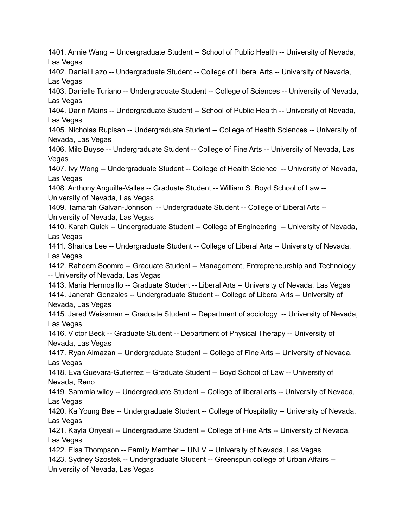1401. Annie Wang -- Undergraduate Student -- School of Public Health -- University of Nevada, Las Vegas 1402. Daniel Lazo -- Undergraduate Student -- College of Liberal Arts -- University of Nevada, Las Vegas 1403. Danielle Turiano -- Undergraduate Student -- College of Sciences -- University of Nevada, Las Vegas 1404. Darin Mains -- Undergraduate Student -- School of Public Health -- University of Nevada, Las Vegas 1405. Nicholas Rupisan -- Undergraduate Student -- College of Health Sciences -- University of Nevada, Las Vegas 1406. Milo Buyse -- Undergraduate Student -- College of Fine Arts -- University of Nevada, Las **Vegas** 1407. Ivy Wong -- Undergraduate Student -- College of Health Science -- University of Nevada, Las Vegas 1408. Anthony Anguille-Valles -- Graduate Student -- William S. Boyd School of Law -- University of Nevada, Las Vegas 1409. Tamarah Galvan-Johnson -- Undergraduate Student -- College of Liberal Arts -- University of Nevada, Las Vegas 1410. Karah Quick -- Undergraduate Student -- College of Engineering -- University of Nevada, Las Vegas 1411. Sharica Lee -- Undergraduate Student -- College of Liberal Arts -- University of Nevada, Las Vegas 1412. Raheem Soomro -- Graduate Student -- Management, Entrepreneurship and Technology -- University of Nevada, Las Vegas 1413. Maria Hermosillo -- Graduate Student -- Liberal Arts -- University of Nevada, Las Vegas 1414. Janerah Gonzales -- Undergraduate Student -- College of Liberal Arts -- University of Nevada, Las Vegas 1415. Jared Weissman -- Graduate Student -- Department of sociology -- University of Nevada, Las Vegas 1416. Victor Beck -- Graduate Student -- Department of Physical Therapy -- University of Nevada, Las Vegas 1417. Ryan Almazan -- Undergraduate Student -- College of Fine Arts -- University of Nevada, Las Vegas 1418. Eva Guevara-Gutierrez -- Graduate Student -- Boyd School of Law -- University of Nevada, Reno 1419. Sammia wiley -- Undergraduate Student -- College of liberal arts -- University of Nevada, Las Vegas 1420. Ka Young Bae -- Undergraduate Student -- College of Hospitality -- University of Nevada, Las Vegas 1421. Kayla Onyeali -- Undergraduate Student -- College of Fine Arts -- University of Nevada, Las Vegas 1422. Elsa Thompson -- Family Member -- UNLV -- University of Nevada, Las Vegas 1423. Sydney Szostek -- Undergraduate Student -- Greenspun college of Urban Affairs -- University of Nevada, Las Vegas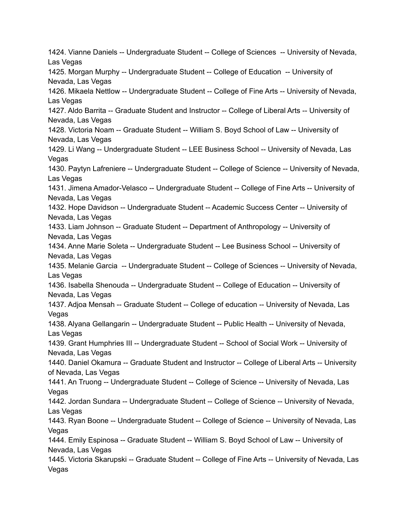1424. Vianne Daniels -- Undergraduate Student -- College of Sciences -- University of Nevada, Las Vegas 1425. Morgan Murphy -- Undergraduate Student -- College of Education -- University of Nevada, Las Vegas 1426. Mikaela Nettlow -- Undergraduate Student -- College of Fine Arts -- University of Nevada, Las Vegas 1427. Aldo Barrita -- Graduate Student and Instructor -- College of Liberal Arts -- University of Nevada, Las Vegas 1428. Victoria Noam -- Graduate Student -- William S. Boyd School of Law -- University of Nevada, Las Vegas 1429. Li Wang -- Undergraduate Student -- LEE Business School -- University of Nevada, Las **Vegas** 1430. Paytyn Lafreniere -- Undergraduate Student -- College of Science -- University of Nevada, Las Vegas 1431. Jimena Amador-Velasco -- Undergraduate Student -- College of Fine Arts -- University of Nevada, Las Vegas 1432. Hope Davidson -- Undergraduate Student -- Academic Success Center -- University of Nevada, Las Vegas 1433. Liam Johnson -- Graduate Student -- Department of Anthropology -- University of Nevada, Las Vegas 1434. Anne Marie Soleta -- Undergraduate Student -- Lee Business School -- University of Nevada, Las Vegas 1435. Melanie Garcia -- Undergraduate Student -- College of Sciences -- University of Nevada, Las Vegas 1436. Isabella Shenouda -- Undergraduate Student -- College of Education -- University of Nevada, Las Vegas 1437. Adjoa Mensah -- Graduate Student -- College of education -- University of Nevada, Las Vegas 1438. Alyana Gellangarin -- Undergraduate Student -- Public Health -- University of Nevada, Las Vegas 1439. Grant Humphries III -- Undergraduate Student -- School of Social Work -- University of Nevada, Las Vegas 1440. Daniel Okamura -- Graduate Student and Instructor -- College of Liberal Arts -- University of Nevada, Las Vegas 1441. An Truong -- Undergraduate Student -- College of Science -- University of Nevada, Las Vegas 1442. Jordan Sundara -- Undergraduate Student -- College of Science -- University of Nevada, Las Vegas 1443. Ryan Boone -- Undergraduate Student -- College of Science -- University of Nevada, Las **Vegas** 1444. Emily Espinosa -- Graduate Student -- William S. Boyd School of Law -- University of Nevada, Las Vegas 1445. Victoria Skarupski -- Graduate Student -- College of Fine Arts -- University of Nevada, Las Vegas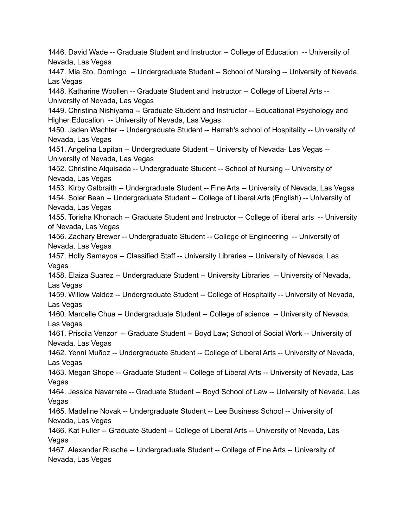1446. David Wade -- Graduate Student and Instructor -- College of Education -- University of Nevada, Las Vegas 1447. Mia Sto. Domingo -- Undergraduate Student -- School of Nursing -- University of Nevada, Las Vegas 1448. Katharine Woollen -- Graduate Student and Instructor -- College of Liberal Arts -- University of Nevada, Las Vegas 1449. Christina Nishiyama -- Graduate Student and Instructor -- Educational Psychology and Higher Education -- University of Nevada, Las Vegas 1450. Jaden Wachter -- Undergraduate Student -- Harrah's school of Hospitality -- University of Nevada, Las Vegas 1451. Angelina Lapitan -- Undergraduate Student -- University of Nevada- Las Vegas -- University of Nevada, Las Vegas 1452. Christine Alquisada -- Undergraduate Student -- School of Nursing -- University of Nevada, Las Vegas 1453. Kirby Galbraith -- Undergraduate Student -- Fine Arts -- University of Nevada, Las Vegas 1454. Soler Bean -- Undergraduate Student -- College of Liberal Arts (English) -- University of Nevada, Las Vegas 1455. Torisha Khonach -- Graduate Student and Instructor -- College of liberal arts -- University of Nevada, Las Vegas 1456. Zachary Brewer -- Undergraduate Student -- College of Engineering -- University of Nevada, Las Vegas 1457. Holly Samayoa -- Classified Staff -- University Libraries -- University of Nevada, Las Vegas 1458. Elaiza Suarez -- Undergraduate Student -- University Libraries -- University of Nevada, Las Vegas 1459. Willow Valdez -- Undergraduate Student -- College of Hospitality -- University of Nevada, Las Vegas 1460. Marcelle Chua -- Undergraduate Student -- College of science -- University of Nevada, Las Vegas 1461. Priscila Venzor -- Graduate Student -- Boyd Law; School of Social Work -- University of Nevada, Las Vegas 1462. Yenni Muñoz -- Undergraduate Student -- College of Liberal Arts -- University of Nevada, Las Vegas 1463. Megan Shope -- Graduate Student -- College of Liberal Arts -- University of Nevada, Las Vegas 1464. Jessica Navarrete -- Graduate Student -- Boyd School of Law -- University of Nevada, Las Vegas 1465. Madeline Novak -- Undergraduate Student -- Lee Business School -- University of Nevada, Las Vegas 1466. Kat Fuller -- Graduate Student -- College of Liberal Arts -- University of Nevada, Las Vegas 1467. Alexander Rusche -- Undergraduate Student -- College of Fine Arts -- University of Nevada, Las Vegas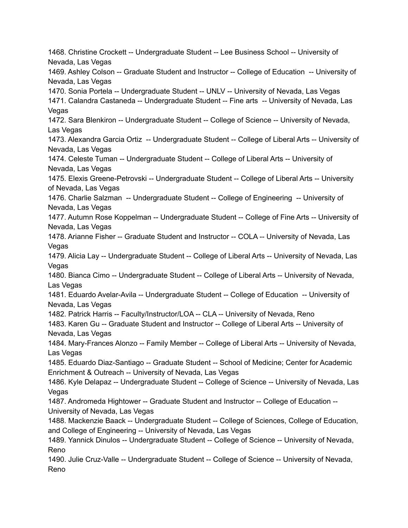1468. Christine Crockett -- Undergraduate Student -- Lee Business School -- University of Nevada, Las Vegas 1469. Ashley Colson -- Graduate Student and Instructor -- College of Education -- University of Nevada, Las Vegas 1470. Sonia Portela -- Undergraduate Student -- UNLV -- University of Nevada, Las Vegas 1471. Calandra Castaneda -- Undergraduate Student -- Fine arts -- University of Nevada, Las Vegas 1472. Sara Blenkiron -- Undergraduate Student -- College of Science -- University of Nevada, Las Vegas 1473. Alexandra Garcia Ortiz -- Undergraduate Student -- College of Liberal Arts -- University of Nevada, Las Vegas 1474. Celeste Tuman -- Undergraduate Student -- College of Liberal Arts -- University of Nevada, Las Vegas 1475. Elexis Greene-Petrovski -- Undergraduate Student -- College of Liberal Arts -- University of Nevada, Las Vegas 1476. Charlie Salzman -- Undergraduate Student -- College of Engineering -- University of Nevada, Las Vegas 1477. Autumn Rose Koppelman -- Undergraduate Student -- College of Fine Arts -- University of Nevada, Las Vegas 1478. Arianne Fisher -- Graduate Student and Instructor -- COLA -- University of Nevada, Las Vegas 1479. Alicia Lay -- Undergraduate Student -- College of Liberal Arts -- University of Nevada, Las Vegas 1480. Bianca Cimo -- Undergraduate Student -- College of Liberal Arts -- University of Nevada, Las Vegas 1481. Eduardo Avelar-Avila -- Undergraduate Student -- College of Education -- University of Nevada, Las Vegas 1482. Patrick Harris -- Faculty/Instructor/LOA -- CLA -- University of Nevada, Reno 1483. Karen Gu -- Graduate Student and Instructor -- College of Liberal Arts -- University of Nevada, Las Vegas 1484. Mary-Frances Alonzo -- Family Member -- College of Liberal Arts -- University of Nevada, Las Vegas 1485. Eduardo Diaz-Santiago -- Graduate Student -- School of Medicine; Center for Academic Enrichment & Outreach -- University of Nevada, Las Vegas 1486. Kyle Delapaz -- Undergraduate Student -- College of Science -- University of Nevada, Las Vegas 1487. Andromeda Hightower -- Graduate Student and Instructor -- College of Education -- University of Nevada, Las Vegas 1488. Mackenzie Baack -- Undergraduate Student -- College of Sciences, College of Education, and College of Engineering -- University of Nevada, Las Vegas 1489. Yannick Dinulos -- Undergraduate Student -- College of Science -- University of Nevada, Reno 1490. Julie Cruz-Valle -- Undergraduate Student -- College of Science -- University of Nevada, Reno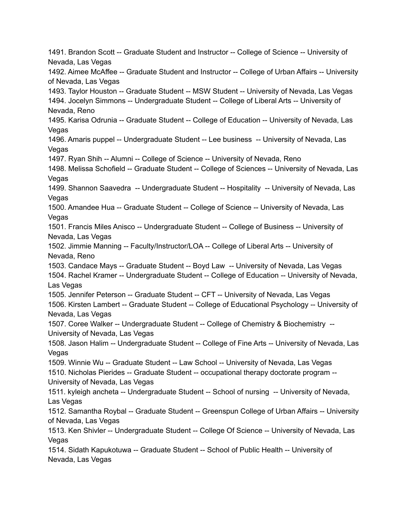1491. Brandon Scott -- Graduate Student and Instructor -- College of Science -- University of Nevada, Las Vegas 1492. Aimee McAffee -- Graduate Student and Instructor -- College of Urban Affairs -- University of Nevada, Las Vegas 1493. Taylor Houston -- Graduate Student -- MSW Student -- University of Nevada, Las Vegas 1494. Jocelyn Simmons -- Undergraduate Student -- College of Liberal Arts -- University of Nevada, Reno 1495. Karisa Odrunia -- Graduate Student -- College of Education -- University of Nevada, Las **Vegas** 1496. Amaris puppel -- Undergraduate Student -- Lee business -- University of Nevada, Las Vegas 1497. Ryan Shih -- Alumni -- College of Science -- University of Nevada, Reno 1498. Melissa Schofield -- Graduate Student -- College of Sciences -- University of Nevada, Las **Vegas** 1499. Shannon Saavedra -- Undergraduate Student -- Hospitality -- University of Nevada, Las Vegas 1500. Amandee Hua -- Graduate Student -- College of Science -- University of Nevada, Las Vegas 1501. Francis Miles Anisco -- Undergraduate Student -- College of Business -- University of Nevada, Las Vegas 1502. Jimmie Manning -- Faculty/Instructor/LOA -- College of Liberal Arts -- University of Nevada, Reno 1503. Candace Mays -- Graduate Student -- Boyd Law -- University of Nevada, Las Vegas 1504. Rachel Kramer -- Undergraduate Student -- College of Education -- University of Nevada, Las Vegas 1505. Jennifer Peterson -- Graduate Student -- CFT -- University of Nevada, Las Vegas 1506. Kirsten Lambert -- Graduate Student -- College of Educational Psychology -- University of Nevada, Las Vegas 1507. Coree Walker -- Undergraduate Student -- College of Chemistry & Biochemistry -- University of Nevada, Las Vegas 1508. Jason Halim -- Undergraduate Student -- College of Fine Arts -- University of Nevada, Las Vegas 1509. Winnie Wu -- Graduate Student -- Law School -- University of Nevada, Las Vegas 1510. Nicholas Pierides -- Graduate Student -- occupational therapy doctorate program -- University of Nevada, Las Vegas 1511. kyleigh ancheta -- Undergraduate Student -- School of nursing -- University of Nevada, Las Vegas 1512. Samantha Roybal -- Graduate Student -- Greenspun College of Urban Affairs -- University of Nevada, Las Vegas 1513. Ken Shivler -- Undergraduate Student -- College Of Science -- University of Nevada, Las Vegas 1514. Sidath Kapukotuwa -- Graduate Student -- School of Public Health -- University of Nevada, Las Vegas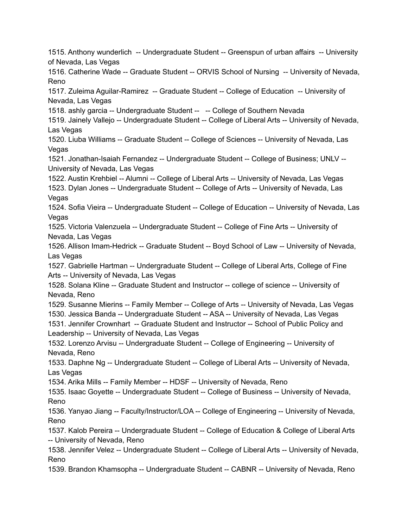1515. Anthony wunderlich -- Undergraduate Student -- Greenspun of urban affairs -- University of Nevada, Las Vegas

1516. Catherine Wade -- Graduate Student -- ORVIS School of Nursing -- University of Nevada, Reno

1517. Zuleima Aguilar-Ramirez -- Graduate Student -- College of Education -- University of Nevada, Las Vegas

1518. ashly garcia -- Undergraduate Student -- -- College of Southern Nevada

1519. Jainely Vallejo -- Undergraduate Student -- College of Liberal Arts -- University of Nevada, Las Vegas

1520. Liuba Williams -- Graduate Student -- College of Sciences -- University of Nevada, Las Vegas

1521. Jonathan-Isaiah Fernandez -- Undergraduate Student -- College of Business; UNLV -- University of Nevada, Las Vegas

1522. Austin Krehbiel -- Alumni -- College of Liberal Arts -- University of Nevada, Las Vegas 1523. Dylan Jones -- Undergraduate Student -- College of Arts -- University of Nevada, Las Vegas

1524. Sofia Vieira -- Undergraduate Student -- College of Education -- University of Nevada, Las Vegas

1525. Victoria Valenzuela -- Undergraduate Student -- College of Fine Arts -- University of Nevada, Las Vegas

1526. Allison Imam-Hedrick -- Graduate Student -- Boyd School of Law -- University of Nevada, Las Vegas

1527. Gabrielle Hartman -- Undergraduate Student -- College of Liberal Arts, College of Fine Arts -- University of Nevada, Las Vegas

1528. Solana Kline -- Graduate Student and Instructor -- college of science -- University of Nevada, Reno

1529. Susanne Mierins -- Family Member -- College of Arts -- University of Nevada, Las Vegas 1530. Jessica Banda -- Undergraduate Student -- ASA -- University of Nevada, Las Vegas

1531. Jennifer Crownhart -- Graduate Student and Instructor -- School of Public Policy and Leadership -- University of Nevada, Las Vegas

1532. Lorenzo Arvisu -- Undergraduate Student -- College of Engineering -- University of Nevada, Reno

1533. Daphne Ng -- Undergraduate Student -- College of Liberal Arts -- University of Nevada, Las Vegas

1534. Arika Mills -- Family Member -- HDSF -- University of Nevada, Reno

1535. Isaac Goyette -- Undergraduate Student -- College of Business -- University of Nevada, Reno

1536. Yanyao Jiang -- Faculty/Instructor/LOA -- College of Engineering -- University of Nevada, Reno

1537. Kalob Pereira -- Undergraduate Student -- College of Education & College of Liberal Arts -- University of Nevada, Reno

1538. Jennifer Velez -- Undergraduate Student -- College of Liberal Arts -- University of Nevada, Reno

1539. Brandon Khamsopha -- Undergraduate Student -- CABNR -- University of Nevada, Reno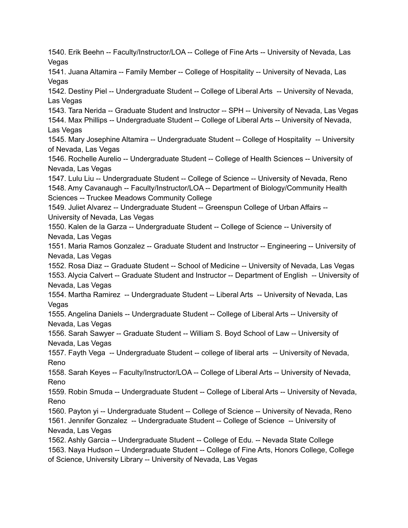1540. Erik Beehn -- Faculty/Instructor/LOA -- College of Fine Arts -- University of Nevada, Las Vegas 1541. Juana Altamira -- Family Member -- College of Hospitality -- University of Nevada, Las **Vegas** 1542. Destiny Piel -- Undergraduate Student -- College of Liberal Arts -- University of Nevada, Las Vegas 1543. Tara Nerida -- Graduate Student and Instructor -- SPH -- University of Nevada, Las Vegas 1544. Max Phillips -- Undergraduate Student -- College of Liberal Arts -- University of Nevada, Las Vegas 1545. Mary Josephine Altamira -- Undergraduate Student -- College of Hospitality -- University of Nevada, Las Vegas 1546. Rochelle Aurelio -- Undergraduate Student -- College of Health Sciences -- University of Nevada, Las Vegas 1547. Lulu Liu -- Undergraduate Student -- College of Science -- University of Nevada, Reno 1548. Amy Cavanaugh -- Faculty/Instructor/LOA -- Department of Biology/Community Health Sciences -- Truckee Meadows Community College 1549. Juliet Alvarez -- Undergraduate Student -- Greenspun College of Urban Affairs -- University of Nevada, Las Vegas 1550. Kalen de la Garza -- Undergraduate Student -- College of Science -- University of Nevada, Las Vegas 1551. Maria Ramos Gonzalez -- Graduate Student and Instructor -- Engineering -- University of Nevada, Las Vegas 1552. Rosa Diaz -- Graduate Student -- School of Medicine -- University of Nevada, Las Vegas 1553. Alycia Calvert -- Graduate Student and Instructor -- Department of English -- University of Nevada, Las Vegas 1554. Martha Ramirez -- Undergraduate Student -- Liberal Arts -- University of Nevada, Las Vegas 1555. Angelina Daniels -- Undergraduate Student -- College of Liberal Arts -- University of Nevada, Las Vegas 1556. Sarah Sawyer -- Graduate Student -- William S. Boyd School of Law -- University of Nevada, Las Vegas 1557. Fayth Vega -- Undergraduate Student -- college of liberal arts -- University of Nevada, Reno 1558. Sarah Keyes -- Faculty/Instructor/LOA -- College of Liberal Arts -- University of Nevada, Reno 1559. Robin Smuda -- Undergraduate Student -- College of Liberal Arts -- University of Nevada, Reno 1560. Payton yi -- Undergraduate Student -- College of Science -- University of Nevada, Reno 1561. Jennifer Gonzalez -- Undergraduate Student -- College of Science -- University of Nevada, Las Vegas 1562. Ashly Garcia -- Undergraduate Student -- College of Edu. -- Nevada State College 1563. Naya Hudson -- Undergraduate Student -- College of Fine Arts, Honors College, College of Science, University Library -- University of Nevada, Las Vegas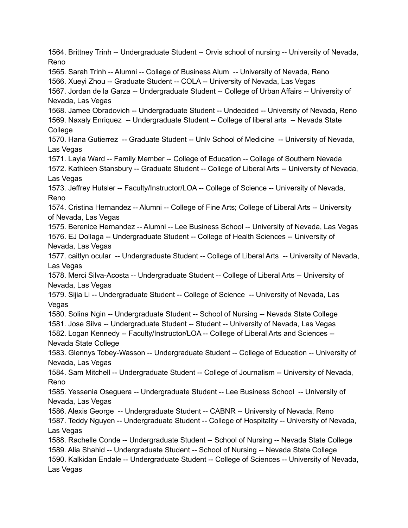1564. Brittney Trinh -- Undergraduate Student -- Orvis school of nursing -- University of Nevada, Reno 1565. Sarah Trinh -- Alumni -- College of Business Alum -- University of Nevada, Reno 1566. Xueyi Zhou -- Graduate Student -- COLA -- University of Nevada, Las Vegas 1567. Jordan de la Garza -- Undergraduate Student -- College of Urban Affairs -- University of Nevada, Las Vegas 1568. Jamee Obradovich -- Undergraduate Student -- Undecided -- University of Nevada, Reno 1569. Naxaly Enriquez -- Undergraduate Student -- College of liberal arts -- Nevada State **College** 1570. Hana Gutierrez -- Graduate Student -- Unlv School of Medicine -- University of Nevada, Las Vegas 1571. Layla Ward -- Family Member -- College of Education -- College of Southern Nevada 1572. Kathleen Stansbury -- Graduate Student -- College of Liberal Arts -- University of Nevada, Las Vegas 1573. Jeffrey Hutsler -- Faculty/Instructor/LOA -- College of Science -- University of Nevada, Reno 1574. Cristina Hernandez -- Alumni -- College of Fine Arts; College of Liberal Arts -- University of Nevada, Las Vegas 1575. Berenice Hernandez -- Alumni -- Lee Business School -- University of Nevada, Las Vegas 1576. EJ Dollaga -- Undergraduate Student -- College of Health Sciences -- University of Nevada, Las Vegas 1577. caitlyn ocular -- Undergraduate Student -- College of Liberal Arts -- University of Nevada, Las Vegas 1578. Merci Silva-Acosta -- Undergraduate Student -- College of Liberal Arts -- University of Nevada, Las Vegas 1579. Sijia Li -- Undergraduate Student -- College of Science -- University of Nevada, Las Vegas 1580. Solina Ngin -- Undergraduate Student -- School of Nursing -- Nevada State College 1581. Jose Silva -- Undergraduate Student -- Student -- University of Nevada, Las Vegas 1582. Logan Kennedy -- Faculty/Instructor/LOA -- College of Liberal Arts and Sciences -- Nevada State College 1583. Glennys Tobey-Wasson -- Undergraduate Student -- College of Education -- University of Nevada, Las Vegas 1584. Sam Mitchell -- Undergraduate Student -- College of Journalism -- University of Nevada, Reno 1585. Yessenia Oseguera -- Undergraduate Student -- Lee Business School -- University of Nevada, Las Vegas 1586. Alexis George -- Undergraduate Student -- CABNR -- University of Nevada, Reno 1587. Teddy Nguyen -- Undergraduate Student -- College of Hospitality -- University of Nevada, Las Vegas 1588. Rachelle Conde -- Undergraduate Student -- School of Nursing -- Nevada State College 1589. Alia Shahid -- Undergraduate Student -- School of Nursing -- Nevada State College 1590. Kalkidan Endale -- Undergraduate Student -- College of Sciences -- University of Nevada, Las Vegas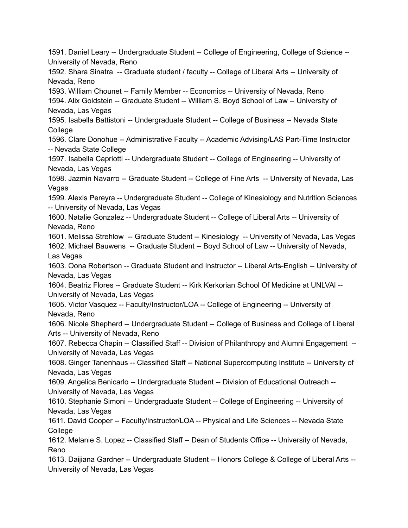1591. Daniel Leary -- Undergraduate Student -- College of Engineering, College of Science -- University of Nevada, Reno

1592. Shara Sinatra -- Graduate student / faculty -- College of Liberal Arts -- University of Nevada, Reno

1593. William Chounet -- Family Member -- Economics -- University of Nevada, Reno 1594. Alix Goldstein -- Graduate Student -- William S. Boyd School of Law -- University of Nevada, Las Vegas

1595. Isabella Battistoni -- Undergraduate Student -- College of Business -- Nevada State **College** 

1596. Clare Donohue -- Administrative Faculty -- Academic Advising/LAS Part-Time Instructor -- Nevada State College

1597. Isabella Capriotti -- Undergraduate Student -- College of Engineering -- University of Nevada, Las Vegas

1598. Jazmin Navarro -- Graduate Student -- College of Fine Arts -- University of Nevada, Las Vegas

1599. Alexis Pereyra -- Undergraduate Student -- College of Kinesiology and Nutrition Sciences -- University of Nevada, Las Vegas

1600. Natalie Gonzalez -- Undergraduate Student -- College of Liberal Arts -- University of Nevada, Reno

1601. Melissa Strehlow -- Graduate Student -- Kinesiology -- University of Nevada, Las Vegas 1602. Michael Bauwens -- Graduate Student -- Boyd School of Law -- University of Nevada, Las Vegas

1603. Oona Robertson -- Graduate Student and Instructor -- Liberal Arts-English -- University of Nevada, Las Vegas

1604. Beatriz Flores -- Graduate Student -- Kirk Kerkorian School Of Medicine at UNLVAl -- University of Nevada, Las Vegas

1605. Victor Vasquez -- Faculty/Instructor/LOA -- College of Engineering -- University of Nevada, Reno

1606. Nicole Shepherd -- Undergraduate Student -- College of Business and College of Liberal Arts -- University of Nevada, Reno

1607. Rebecca Chapin -- Classified Staff -- Division of Philanthropy and Alumni Engagement -- University of Nevada, Las Vegas

1608. Ginger Tanenhaus -- Classified Staff -- National Supercomputing Institute -- University of Nevada, Las Vegas

1609. Angelica Benicarlo -- Undergraduate Student -- Division of Educational Outreach -- University of Nevada, Las Vegas

1610. Stephanie Simoni -- Undergraduate Student -- College of Engineering -- University of Nevada, Las Vegas

1611. David Cooper -- Faculty/Instructor/LOA -- Physical and Life Sciences -- Nevada State **College** 

1612. Melanie S. Lopez -- Classified Staff -- Dean of Students Office -- University of Nevada, Reno

1613. Daijiana Gardner -- Undergraduate Student -- Honors College & College of Liberal Arts -- University of Nevada, Las Vegas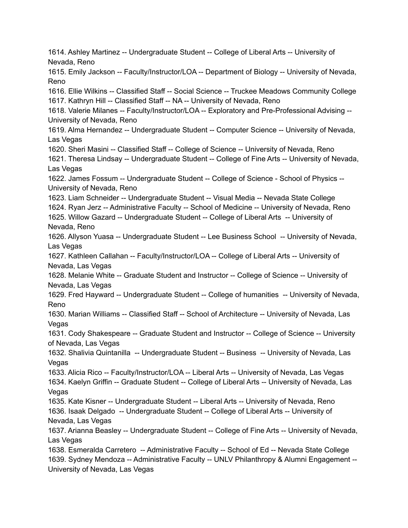1614. Ashley Martinez -- Undergraduate Student -- College of Liberal Arts -- University of Nevada, Reno 1615. Emily Jackson -- Faculty/Instructor/LOA -- Department of Biology -- University of Nevada, Reno 1616. Ellie Wilkins -- Classified Staff -- Social Science -- Truckee Meadows Community College 1617. Kathryn Hill -- Classified Staff -- NA -- University of Nevada, Reno 1618. Valerie Milanes -- Faculty/Instructor/LOA -- Exploratory and Pre-Professional Advising -- University of Nevada, Reno 1619. Alma Hernandez -- Undergraduate Student -- Computer Science -- University of Nevada, Las Vegas 1620. Sheri Masini -- Classified Staff -- College of Science -- University of Nevada, Reno 1621. Theresa Lindsay -- Undergraduate Student -- College of Fine Arts -- University of Nevada, Las Vegas 1622. James Fossum -- Undergraduate Student -- College of Science - School of Physics -- University of Nevada, Reno 1623. Liam Schneider -- Undergraduate Student -- Visual Media -- Nevada State College 1624. Ryan Jerz -- Administrative Faculty -- School of Medicine -- University of Nevada, Reno 1625. Willow Gazard -- Undergraduate Student -- College of Liberal Arts -- University of Nevada, Reno 1626. Allyson Yuasa -- Undergraduate Student -- Lee Business School -- University of Nevada, Las Vegas 1627. Kathleen Callahan -- Faculty/Instructor/LOA -- College of Liberal Arts -- University of Nevada, Las Vegas 1628. Melanie White -- Graduate Student and Instructor -- College of Science -- University of Nevada, Las Vegas 1629. Fred Hayward -- Undergraduate Student -- College of humanities -- University of Nevada, Reno 1630. Marian Williams -- Classified Staff -- School of Architecture -- University of Nevada, Las Vegas 1631. Cody Shakespeare -- Graduate Student and Instructor -- College of Science -- University of Nevada, Las Vegas 1632. Shalivia Quintanilla -- Undergraduate Student -- Business -- University of Nevada, Las Vegas 1633. Alicia Rico -- Faculty/Instructor/LOA -- Liberal Arts -- University of Nevada, Las Vegas 1634. Kaelyn Griffin -- Graduate Student -- College of Liberal Arts -- University of Nevada, Las Vegas 1635. Kate Kisner -- Undergraduate Student -- Liberal Arts -- University of Nevada, Reno 1636. Isaak Delgado -- Undergraduate Student -- College of Liberal Arts -- University of Nevada, Las Vegas 1637. Arianna Beasley -- Undergraduate Student -- College of Fine Arts -- University of Nevada, Las Vegas 1638. Esmeralda Carretero -- Administrative Faculty -- School of Ed -- Nevada State College 1639. Sydney Mendoza -- Administrative Faculty -- UNLV Philanthropy & Alumni Engagement -- University of Nevada, Las Vegas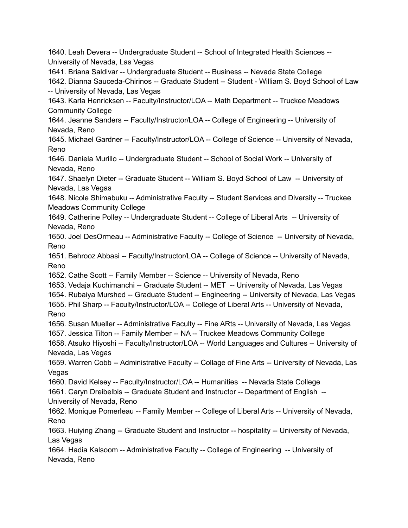1640. Leah Devera -- Undergraduate Student -- School of Integrated Health Sciences -- University of Nevada, Las Vegas 1641. Briana Saldivar -- Undergraduate Student -- Business -- Nevada State College 1642. Dianna Sauceda-Chirinos -- Graduate Student -- Student - William S. Boyd School of Law -- University of Nevada, Las Vegas 1643. Karla Henricksen -- Faculty/Instructor/LOA -- Math Department -- Truckee Meadows Community College 1644. Jeanne Sanders -- Faculty/Instructor/LOA -- College of Engineering -- University of Nevada, Reno 1645. Michael Gardner -- Faculty/Instructor/LOA -- College of Science -- University of Nevada, Reno 1646. Daniela Murillo -- Undergraduate Student -- School of Social Work -- University of Nevada, Reno 1647. Shaelyn Dieter -- Graduate Student -- William S. Boyd School of Law -- University of Nevada, Las Vegas 1648. Nicole Shimabuku -- Administrative Faculty -- Student Services and Diversity -- Truckee Meadows Community College 1649. Catherine Polley -- Undergraduate Student -- College of Liberal Arts -- University of Nevada, Reno 1650. Joel DesOrmeau -- Administrative Faculty -- College of Science -- University of Nevada, Reno 1651. Behrooz Abbasi -- Faculty/Instructor/LOA -- College of Science -- University of Nevada, Reno 1652. Cathe Scott -- Family Member -- Science -- University of Nevada, Reno 1653. Vedaja Kuchimanchi -- Graduate Student -- MET -- University of Nevada, Las Vegas 1654. Rubaiya Murshed -- Graduate Student -- Engineering -- University of Nevada, Las Vegas 1655. Phil Sharp -- Faculty/Instructor/LOA -- College of Liberal Arts -- University of Nevada, Reno 1656. Susan Mueller -- Administrative Faculty -- Fine ARts -- University of Nevada, Las Vegas 1657. Jessica Tilton -- Family Member -- NA -- Truckee Meadows Community College 1658. Atsuko Hiyoshi -- Faculty/Instructor/LOA -- World Languages and Cultures -- University of Nevada, Las Vegas 1659. Warren Cobb -- Administrative Faculty -- Collage of Fine Arts -- University of Nevada, Las Vegas 1660. David Kelsey -- Faculty/Instructor/LOA -- Humanities -- Nevada State College 1661. Caryn Dreibelbis -- Graduate Student and Instructor -- Department of English -- University of Nevada, Reno 1662. Monique Pomerleau -- Family Member -- College of Liberal Arts -- University of Nevada, Reno 1663. Huiying Zhang -- Graduate Student and Instructor -- hospitality -- University of Nevada, Las Vegas 1664. Hadia Kalsoom -- Administrative Faculty -- College of Engineering -- University of Nevada, Reno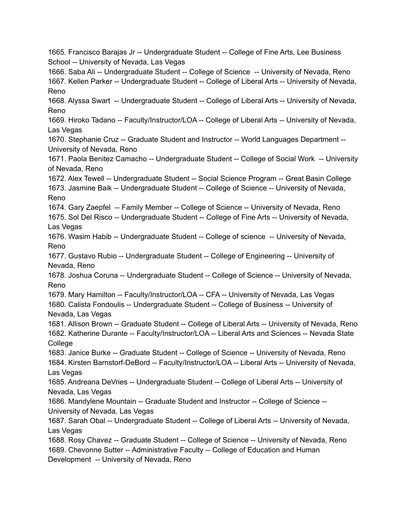1665. Francisco Barajas Jr -- Undergraduate Student -- College of Fine Arts, Lee Business School -- University of Nevada, Las Vegas

1666. Saba Ali -- Undergraduate Student -- College of Science -- University of Nevada, Reno 1667. Kellen Parker -- Undergraduate Student -- College of Liberal Arts -- University of Nevada, Reno

1668. Alyssa Swart -- Undergraduate Student -- College of Liberal Arts -- University of Nevada, Reno

1669. Hiroko Tadano -- Faculty/Instructor/LOA -- College of Liberal Arts -- University of Nevada, Las Vegas

1670. Stephanie Cruz -- Graduate Student and Instructor -- World Languages Department -- University of Nevada, Reno

1671. Paola Benitez Camacho -- Undergraduate Student -- College of Social Work -- University of Nevada, Reno

1672. Alex Tewell -- Undergraduate Student -- Social Science Program -- Great Basin College 1673. Jasmine Baik -- Undergraduate Student -- College of Science -- University of Nevada, Reno

1674. Gary Zaepfel -- Family Member -- College of Science -- University of Nevada, Reno

1675. Sol Del Risco -- Undergraduate Student -- College of Fine Arts -- University of Nevada, Las Vegas

1676. Wasim Habib -- Undergraduate Student -- College of science -- University of Nevada, Reno

1677. Gustavo Rubio -- Undergraduate Student -- College of Engineering -- University of Nevada, Reno

1678. Joshua Coruna -- Undergraduate Student -- College of Science -- University of Nevada, Reno

1679. Mary Hamilton -- Faculty/Instructor/LOA -- CFA -- University of Nevada, Las Vegas

1680. Calista Fondoulis -- Undergraduate Student -- College of Business -- University of Nevada, Las Vegas

1681. Allison Brown -- Graduate Student -- College of Liberal Arts -- University of Nevada, Reno 1682. Katherine Durante -- Faculty/Instructor/LOA -- Liberal Arts and Sciences -- Nevada State **College** 

1683. Janice Burke -- Graduate Student -- College of Science -- University of Nevada, Reno 1684. Kirsten Barnstorf-DeBord -- Faculty/Instructor/LOA -- Liberal Arts -- University of Nevada, Las Vegas

1685. Andreana DeVries -- Undergraduate Student -- College of Liberal Arts -- University of Nevada, Las Vegas

1686. Mandylene Mountain -- Graduate Student and Instructor -- College of Science -- University of Nevada, Las Vegas

1687. Sarah Obal -- Undergraduate Student -- College of Liberal Arts -- University of Nevada, Las Vegas

1688. Rosy Chavez -- Graduate Student -- College of Science -- University of Nevada, Reno 1689. Chevonne Sutter -- Administrative Faculty -- College of Education and Human Development -- University of Nevada, Reno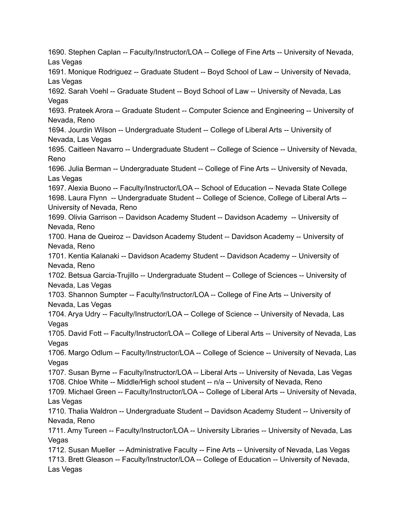1690. Stephen Caplan -- Faculty/Instructor/LOA -- College of Fine Arts -- University of Nevada, Las Vegas 1691. Monique Rodriguez -- Graduate Student -- Boyd School of Law -- University of Nevada, Las Vegas 1692. Sarah Voehl -- Graduate Student -- Boyd School of Law -- University of Nevada, Las Vegas 1693. Prateek Arora -- Graduate Student -- Computer Science and Engineering -- University of Nevada, Reno 1694. Jourdin Wilson -- Undergraduate Student -- College of Liberal Arts -- University of Nevada, Las Vegas 1695. Caitleen Navarro -- Undergraduate Student -- College of Science -- University of Nevada, Reno 1696. Julia Berman -- Undergraduate Student -- College of Fine Arts -- University of Nevada, Las Vegas 1697. Alexia Buono -- Faculty/Instructor/LOA -- School of Education -- Nevada State College 1698. Laura Flynn -- Undergraduate Student -- College of Science, College of Liberal Arts -- University of Nevada, Reno 1699. Olivia Garrison -- Davidson Academy Student -- Davidson Academy -- University of Nevada, Reno 1700. Hana de Queiroz -- Davidson Academy Student -- Davidson Academy -- University of Nevada, Reno 1701. Kentia Kalanaki -- Davidson Academy Student -- Davidson Academy -- University of Nevada, Reno 1702. Betsua Garcia-Trujillo -- Undergraduate Student -- College of Sciences -- University of Nevada, Las Vegas 1703. Shannon Sumpter -- Faculty/Instructor/LOA -- College of Fine Arts -- University of Nevada, Las Vegas 1704. Arya Udry -- Faculty/Instructor/LOA -- College of Science -- University of Nevada, Las Vegas 1705. David Fott -- Faculty/Instructor/LOA -- College of Liberal Arts -- University of Nevada, Las Vegas 1706. Margo Odlum -- Faculty/Instructor/LOA -- College of Science -- University of Nevada, Las Vegas 1707. Susan Byrne -- Faculty/Instructor/LOA -- Liberal Arts -- University of Nevada, Las Vegas 1708. Chloe White -- Middle/High school student -- n/a -- University of Nevada, Reno 1709. Michael Green -- Faculty/Instructor/LOA -- College of Liberal Arts -- University of Nevada, Las Vegas 1710. Thalia Waldron -- Undergraduate Student -- Davidson Academy Student -- University of Nevada, Reno 1711. Amy Tureen -- Faculty/Instructor/LOA -- University Libraries -- University of Nevada, Las Vegas 1712. Susan Mueller -- Administrative Faculty -- Fine Arts -- University of Nevada, Las Vegas 1713. Brett Gleason -- Faculty/Instructor/LOA -- College of Education -- University of Nevada, Las Vegas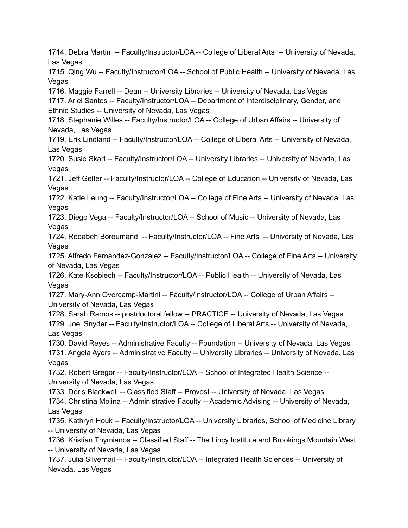1714. Debra Martin -- Faculty/Instructor/LOA -- College of Liberal Arts -- University of Nevada, Las Vegas 1715. Qing Wu -- Faculty/Instructor/LOA -- School of Public Health -- University of Nevada, Las **Vegas** 1716. Maggie Farrell -- Dean -- University Libraries -- University of Nevada, Las Vegas 1717. Ariel Santos -- Faculty/Instructor/LOA -- Department of Interdisciplinary, Gender, and Ethnic Studies -- University of Nevada, Las Vegas 1718. Stephanie Willes -- Faculty/Instructor/LOA -- College of Urban Affairs -- University of Nevada, Las Vegas 1719. Erik Lindland -- Faculty/Instructor/LOA -- College of Liberal Arts -- University of Nevada, Las Vegas 1720. Susie Skarl -- Faculty/Instructor/LOA -- University Libraries -- University of Nevada, Las Vegas 1721. Jeff Gelfer -- Faculty/Instructor/LOA -- College of Education -- University of Nevada, Las Vegas 1722. Katie Leung -- Faculty/Instructor/LOA -- College of Fine Arts -- University of Nevada, Las **Vegas** 1723. Diego Vega -- Faculty/Instructor/LOA -- School of Music -- University of Nevada, Las Vegas 1724. Rodabeh Boroumand -- Faculty/Instructor/LOA -- Fine Arts -- University of Nevada, Las Vegas 1725. Alfredo Fernandez-Gonzalez -- Faculty/Instructor/LOA -- College of Fine Arts -- University of Nevada, Las Vegas 1726. Kate Ksobiech -- Faculty/Instructor/LOA -- Public Health -- University of Nevada, Las Vegas 1727. Mary-Ann Overcamp-Martini -- Faculty/Instructor/LOA -- College of Urban Affairs -- University of Nevada, Las Vegas 1728. Sarah Ramos -- postdoctoral fellow -- PRACTICE -- University of Nevada, Las Vegas 1729. Joel Snyder -- Faculty/Instructor/LOA -- College of Liberal Arts -- University of Nevada, Las Vegas 1730. David Reyes -- Administrative Faculty -- Foundation -- University of Nevada, Las Vegas 1731. Angela Ayers -- Administrative Faculty -- University Libraries -- University of Nevada, Las Vegas 1732. Robert Gregor -- Faculty/Instructor/LOA -- School of Integrated Health Science -- University of Nevada, Las Vegas 1733. Doris Blackwell -- Classified Staff -- Provost -- University of Nevada, Las Vegas 1734. Christina Molina -- Administrative Faculty -- Academic Advising -- University of Nevada, Las Vegas 1735. Kathryn Houk -- Faculty/Instructor/LOA -- University Libraries, School of Medicine Library -- University of Nevada, Las Vegas 1736. Kristian Thymianos -- Classified Staff -- The Lincy Institute and Brookings Mountain West -- University of Nevada, Las Vegas 1737. Julia Silvernail -- Faculty/Instructor/LOA -- Integrated Health Sciences -- University of Nevada, Las Vegas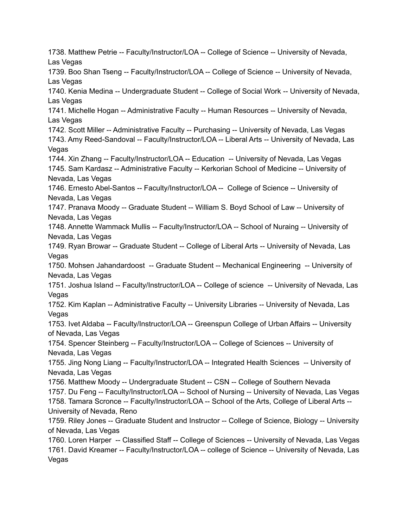1738. Matthew Petrie -- Faculty/Instructor/LOA -- College of Science -- University of Nevada, Las Vegas 1739. Boo Shan Tseng -- Faculty/Instructor/LOA -- College of Science -- University of Nevada, Las Vegas 1740. Kenia Medina -- Undergraduate Student -- College of Social Work -- University of Nevada, Las Vegas 1741. Michelle Hogan -- Administrative Faculty -- Human Resources -- University of Nevada, Las Vegas 1742. Scott Miller -- Administrative Faculty -- Purchasing -- University of Nevada, Las Vegas 1743. Amy Reed-Sandoval -- Faculty/Instructor/LOA -- Liberal Arts -- University of Nevada, Las Vegas 1744. Xin Zhang -- Faculty/Instructor/LOA -- Education -- University of Nevada, Las Vegas 1745. Sam Kardasz -- Administrative Faculty -- Kerkorian School of Medicine -- University of Nevada, Las Vegas 1746. Ernesto Abel-Santos -- Faculty/Instructor/LOA -- College of Science -- University of Nevada, Las Vegas 1747. Pranava Moody -- Graduate Student -- William S. Boyd School of Law -- University of Nevada, Las Vegas 1748. Annette Wammack Mullis -- Faculty/Instructor/LOA -- School of Nuraing -- University of Nevada, Las Vegas 1749. Ryan Browar -- Graduate Student -- College of Liberal Arts -- University of Nevada, Las Vegas 1750. Mohsen Jahandardoost -- Graduate Student -- Mechanical Engineering -- University of Nevada, Las Vegas 1751. Joshua Island -- Faculty/Instructor/LOA -- College of science -- University of Nevada, Las Vegas 1752. Kim Kaplan -- Administrative Faculty -- University Libraries -- University of Nevada, Las Vegas 1753. Ivet Aldaba -- Faculty/Instructor/LOA -- Greenspun College of Urban Affairs -- University of Nevada, Las Vegas 1754. Spencer Steinberg -- Faculty/Instructor/LOA -- College of Sciences -- University of Nevada, Las Vegas 1755. Jing Nong Liang -- Faculty/Instructor/LOA -- Integrated Health Sciences -- University of Nevada, Las Vegas 1756. Matthew Moody -- Undergraduate Student -- CSN -- College of Southern Nevada 1757. Du Feng -- Faculty/Instructor/LOA -- School of Nursing -- University of Nevada, Las Vegas 1758. Tamara Scronce -- Faculty/Instructor/LOA -- School of the Arts, College of Liberal Arts -- University of Nevada, Reno 1759. Riley Jones -- Graduate Student and Instructor -- College of Science, Biology -- University of Nevada, Las Vegas 1760. Loren Harper -- Classified Staff -- College of Sciences -- University of Nevada, Las Vegas 1761. David Kreamer -- Faculty/Instructor/LOA -- college of Science -- University of Nevada, Las Vegas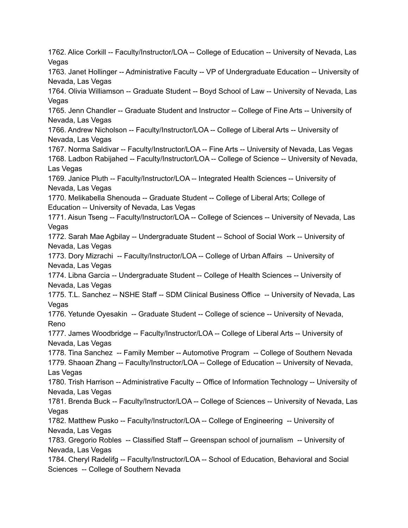1762. Alice Corkill -- Faculty/Instructor/LOA -- College of Education -- University of Nevada, Las Vegas 1763. Janet Hollinger -- Administrative Faculty -- VP of Undergraduate Education -- University of Nevada, Las Vegas 1764. Olivia Williamson -- Graduate Student -- Boyd School of Law -- University of Nevada, Las Vegas 1765. Jenn Chandler -- Graduate Student and Instructor -- College of Fine Arts -- University of Nevada, Las Vegas 1766. Andrew Nicholson -- Faculty/Instructor/LOA -- College of Liberal Arts -- University of Nevada, Las Vegas 1767. Norma Saldivar -- Faculty/Instructor/LOA -- Fine Arts -- University of Nevada, Las Vegas 1768. Ladbon Rabijahed -- Faculty/Instructor/LOA -- College of Science -- University of Nevada, Las Vegas 1769. Janice Pluth -- Faculty/Instructor/LOA -- Integrated Health Sciences -- University of Nevada, Las Vegas 1770. Melikabella Shenouda -- Graduate Student -- College of Liberal Arts; College of Education -- University of Nevada, Las Vegas 1771. Aisun Tseng -- Faculty/Instructor/LOA -- College of Sciences -- University of Nevada, Las Vegas 1772. Sarah Mae Agbilay -- Undergraduate Student -- School of Social Work -- University of Nevada, Las Vegas 1773. Dory Mizrachi -- Faculty/Instructor/LOA -- College of Urban Affairs -- University of Nevada, Las Vegas 1774. Libna Garcia -- Undergraduate Student -- College of Health Sciences -- University of Nevada, Las Vegas 1775. T.L. Sanchez -- NSHE Staff -- SDM Clinical Business Office -- University of Nevada, Las Vegas 1776. Yetunde Oyesakin -- Graduate Student -- College of science -- University of Nevada, Reno 1777. James Woodbridge -- Faculty/Instructor/LOA -- College of Liberal Arts -- University of Nevada, Las Vegas 1778. Tina Sanchez -- Family Member -- Automotive Program -- College of Southern Nevada 1779. Shaoan Zhang -- Faculty/Instructor/LOA -- College of Education -- University of Nevada, Las Vegas 1780. Trish Harrison -- Administrative Faculty -- Office of Information Technology -- University of Nevada, Las Vegas 1781. Brenda Buck -- Faculty/Instructor/LOA -- College of Sciences -- University of Nevada, Las Vegas 1782. Matthew Pusko -- Faculty/Instructor/LOA -- College of Engineering -- University of Nevada, Las Vegas 1783. Gregorio Robles -- Classified Staff -- Greenspan school of journalism -- University of Nevada, Las Vegas 1784. Cheryl Radelifg -- Faculty/Instructor/LOA -- School of Education, Behavioral and Social Sciences -- College of Southern Nevada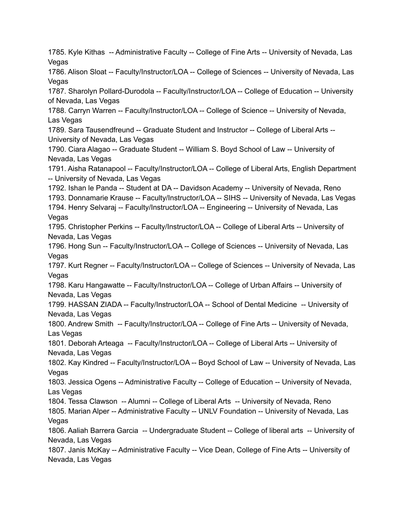1785. Kyle Kithas -- Administrative Faculty -- College of Fine Arts -- University of Nevada, Las Vegas 1786. Alison Sloat -- Faculty/Instructor/LOA -- College of Sciences -- University of Nevada, Las **Vegas** 1787. Sharolyn Pollard-Durodola -- Faculty/Instructor/LOA -- College of Education -- University of Nevada, Las Vegas 1788. Carryn Warren -- Faculty/Instructor/LOA -- College of Science -- University of Nevada, Las Vegas 1789. Sara Tausendfreund -- Graduate Student and Instructor -- College of Liberal Arts -- University of Nevada, Las Vegas 1790. Ciara Alagao -- Graduate Student -- William S. Boyd School of Law -- University of Nevada, Las Vegas 1791. Aisha Ratanapool -- Faculty/Instructor/LOA -- College of Liberal Arts, English Department -- University of Nevada, Las Vegas 1792. Ishan le Panda -- Student at DA -- Davidson Academy -- University of Nevada, Reno 1793. Donnamarie Krause -- Faculty/Instructor/LOA -- SIHS -- University of Nevada, Las Vegas 1794. Henry Selvaraj -- Faculty/Instructor/LOA -- Engineering -- University of Nevada, Las Vegas 1795. Christopher Perkins -- Faculty/Instructor/LOA -- College of Liberal Arts -- University of Nevada, Las Vegas 1796. Hong Sun -- Faculty/Instructor/LOA -- College of Sciences -- University of Nevada, Las Vegas 1797. Kurt Regner -- Faculty/Instructor/LOA -- College of Sciences -- University of Nevada, Las Vegas 1798. Karu Hangawatte -- Faculty/Instructor/LOA -- College of Urban Affairs -- University of Nevada, Las Vegas 1799. HASSAN ZIADA -- Faculty/Instructor/LOA -- School of Dental Medicine -- University of Nevada, Las Vegas 1800. Andrew Smith -- Faculty/Instructor/LOA -- College of Fine Arts -- University of Nevada, Las Vegas 1801. Deborah Arteaga -- Faculty/Instructor/LOA -- College of Liberal Arts -- University of Nevada, Las Vegas 1802. Kay Kindred -- Faculty/Instructor/LOA -- Boyd School of Law -- University of Nevada, Las Vegas 1803. Jessica Ogens -- Administrative Faculty -- College of Education -- University of Nevada, Las Vegas 1804. Tessa Clawson -- Alumni -- College of Liberal Arts -- University of Nevada, Reno 1805. Marian Alper -- Administrative Faculty -- UNLV Foundation -- University of Nevada, Las Vegas 1806. Aaliah Barrera Garcia -- Undergraduate Student -- College of liberal arts -- University of Nevada, Las Vegas 1807. Janis McKay -- Administrative Faculty -- Vice Dean, College of Fine Arts -- University of Nevada, Las Vegas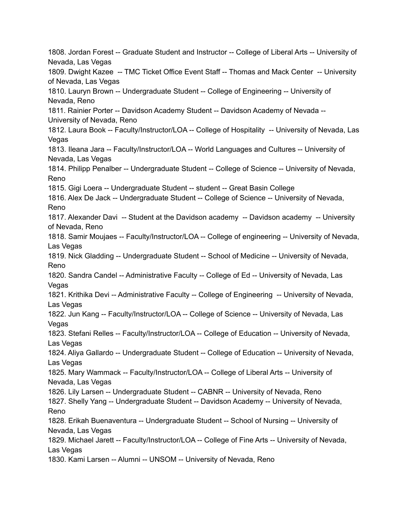1808. Jordan Forest -- Graduate Student and Instructor -- College of Liberal Arts -- University of Nevada, Las Vegas 1809. Dwight Kazee -- TMC Ticket Office Event Staff -- Thomas and Mack Center -- University of Nevada, Las Vegas 1810. Lauryn Brown -- Undergraduate Student -- College of Engineering -- University of Nevada, Reno 1811. Rainier Porter -- Davidson Academy Student -- Davidson Academy of Nevada -- University of Nevada, Reno 1812. Laura Book -- Faculty/Instructor/LOA -- College of Hospitality -- University of Nevada, Las Vegas 1813. Ileana Jara -- Faculty/Instructor/LOA -- World Languages and Cultures -- University of Nevada, Las Vegas 1814. Philipp Penalber -- Undergraduate Student -- College of Science -- University of Nevada, Reno 1815. Gigi Loera -- Undergraduate Student -- student -- Great Basin College 1816. Alex De Jack -- Undergraduate Student -- College of Science -- University of Nevada, Reno 1817. Alexander Davi -- Student at the Davidson academy -- Davidson academy -- University of Nevada, Reno 1818. Samir Moujaes -- Faculty/Instructor/LOA -- College of engineering -- University of Nevada, Las Vegas 1819. Nick Gladding -- Undergraduate Student -- School of Medicine -- University of Nevada, Reno 1820. Sandra Candel -- Administrative Faculty -- College of Ed -- University of Nevada, Las Vegas 1821. Krithika Devi -- Administrative Faculty -- College of Engineering -- University of Nevada, Las Vegas 1822. Jun Kang -- Faculty/Instructor/LOA -- College of Science -- University of Nevada, Las Vegas 1823. Stefani Relles -- Faculty/Instructor/LOA -- College of Education -- University of Nevada, Las Vegas 1824. Aliya Gallardo -- Undergraduate Student -- College of Education -- University of Nevada, Las Vegas 1825. Mary Wammack -- Faculty/Instructor/LOA -- College of Liberal Arts -- University of Nevada, Las Vegas 1826. Lily Larsen -- Undergraduate Student -- CABNR -- University of Nevada, Reno 1827. Shelly Yang -- Undergraduate Student -- Davidson Academy -- University of Nevada, Reno 1828. Erikah Buenaventura -- Undergraduate Student -- School of Nursing -- University of Nevada, Las Vegas 1829. Michael Jarett -- Faculty/Instructor/LOA -- College of Fine Arts -- University of Nevada, Las Vegas 1830. Kami Larsen -- Alumni -- UNSOM -- University of Nevada, Reno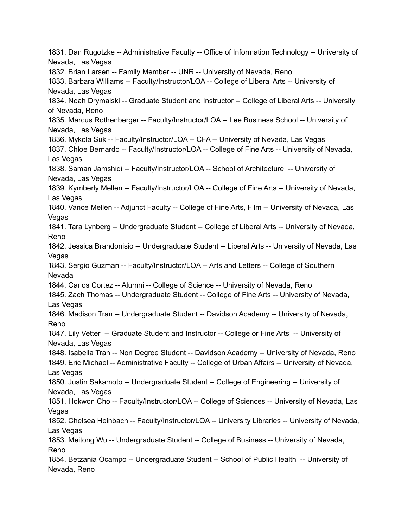1831. Dan Rugotzke -- Administrative Faculty -- Office of Information Technology -- University of Nevada, Las Vegas 1832. Brian Larsen -- Family Member -- UNR -- University of Nevada, Reno 1833. Barbara Williams -- Faculty/Instructor/LOA -- College of Liberal Arts -- University of Nevada, Las Vegas 1834. Noah Drymalski -- Graduate Student and Instructor -- College of Liberal Arts -- University of Nevada, Reno 1835. Marcus Rothenberger -- Faculty/Instructor/LOA -- Lee Business School -- University of Nevada, Las Vegas 1836. Mykola Suk -- Faculty/Instructor/LOA -- CFA -- University of Nevada, Las Vegas 1837. Chloe Bernardo -- Faculty/Instructor/LOA -- College of Fine Arts -- University of Nevada, Las Vegas 1838. Saman Jamshidi -- Faculty/Instructor/LOA -- School of Architecture -- University of Nevada, Las Vegas 1839. Kymberly Mellen -- Faculty/Instructor/LOA -- College of Fine Arts -- University of Nevada, Las Vegas 1840. Vance Mellen -- Adjunct Faculty -- College of Fine Arts, Film -- University of Nevada, Las Vegas 1841. Tara Lynberg -- Undergraduate Student -- College of Liberal Arts -- University of Nevada, Reno 1842. Jessica Brandonisio -- Undergraduate Student -- Liberal Arts -- University of Nevada, Las Vegas 1843. Sergio Guzman -- Faculty/Instructor/LOA -- Arts and Letters -- College of Southern Nevada 1844. Carlos Cortez -- Alumni -- College of Science -- University of Nevada, Reno 1845. Zach Thomas -- Undergraduate Student -- College of Fine Arts -- University of Nevada, Las Vegas 1846. Madison Tran -- Undergraduate Student -- Davidson Academy -- University of Nevada, Reno 1847. Lily Vetter -- Graduate Student and Instructor -- College or Fine Arts -- University of Nevada, Las Vegas 1848. Isabella Tran -- Non Degree Student -- Davidson Academy -- University of Nevada, Reno 1849. Eric Michael -- Administrative Faculty -- College of Urban Affairs -- University of Nevada, Las Vegas 1850. Justin Sakamoto -- Undergraduate Student -- College of Engineering -- University of Nevada, Las Vegas 1851. Hokwon Cho -- Faculty/Instructor/LOA -- College of Sciences -- University of Nevada, Las Vegas 1852. Chelsea Heinbach -- Faculty/Instructor/LOA -- University Libraries -- University of Nevada, Las Vegas 1853. Meitong Wu -- Undergraduate Student -- College of Business -- University of Nevada, Reno 1854. Betzania Ocampo -- Undergraduate Student -- School of Public Health -- University of Nevada, Reno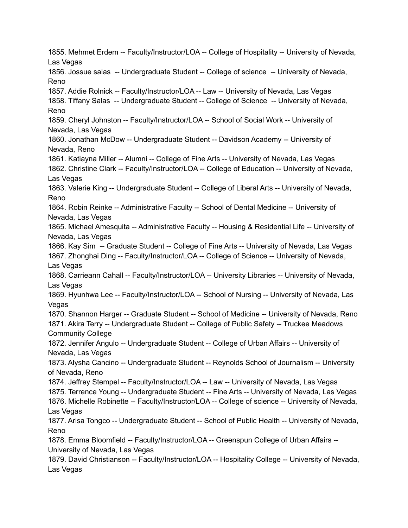1855. Mehmet Erdem -- Faculty/Instructor/LOA -- College of Hospitality -- University of Nevada, Las Vegas 1856. Jossue salas -- Undergraduate Student -- College of science -- University of Nevada, Reno 1857. Addie Rolnick -- Faculty/Instructor/LOA -- Law -- University of Nevada, Las Vegas 1858. Tiffany Salas -- Undergraduate Student -- College of Science -- University of Nevada, Reno 1859. Cheryl Johnston -- Faculty/Instructor/LOA -- School of Social Work -- University of Nevada, Las Vegas 1860. Jonathan McDow -- Undergraduate Student -- Davidson Academy -- University of Nevada, Reno 1861. Katiayna Miller -- Alumni -- College of Fine Arts -- University of Nevada, Las Vegas 1862. Christine Clark -- Faculty/Instructor/LOA -- College of Education -- University of Nevada, Las Vegas 1863. Valerie King -- Undergraduate Student -- College of Liberal Arts -- University of Nevada, Reno 1864. Robin Reinke -- Administrative Faculty -- School of Dental Medicine -- University of Nevada, Las Vegas 1865. Michael Amesquita -- Administrative Faculty -- Housing & Residential Life -- University of Nevada, Las Vegas 1866. Kay Sim -- Graduate Student -- College of Fine Arts -- University of Nevada, Las Vegas 1867. Zhonghai Ding -- Faculty/Instructor/LOA -- College of Science -- University of Nevada, Las Vegas 1868. Carrieann Cahall -- Faculty/Instructor/LOA -- University Libraries -- University of Nevada, Las Vegas 1869. Hyunhwa Lee -- Faculty/Instructor/LOA -- School of Nursing -- University of Nevada, Las Vegas 1870. Shannon Harger -- Graduate Student -- School of Medicine -- University of Nevada, Reno 1871. Akira Terry -- Undergraduate Student -- College of Public Safety -- Truckee Meadows Community College 1872. Jennifer Angulo -- Undergraduate Student -- College of Urban Affairs -- University of Nevada, Las Vegas 1873. Alysha Cancino -- Undergraduate Student -- Reynolds School of Journalism -- University of Nevada, Reno 1874. Jeffrey Stempel -- Faculty/Instructor/LOA -- Law -- University of Nevada, Las Vegas 1875. Terrence Young -- Undergraduate Student -- Fine Arts -- University of Nevada, Las Vegas 1876. Michelle Robinette -- Faculty/Instructor/LOA -- College of science -- University of Nevada, Las Vegas 1877. Arisa Tongco -- Undergraduate Student -- School of Public Health -- University of Nevada, Reno 1878. Emma Bloomfield -- Faculty/Instructor/LOA -- Greenspun College of Urban Affairs -- University of Nevada, Las Vegas 1879. David Christianson -- Faculty/Instructor/LOA -- Hospitality College -- University of Nevada, Las Vegas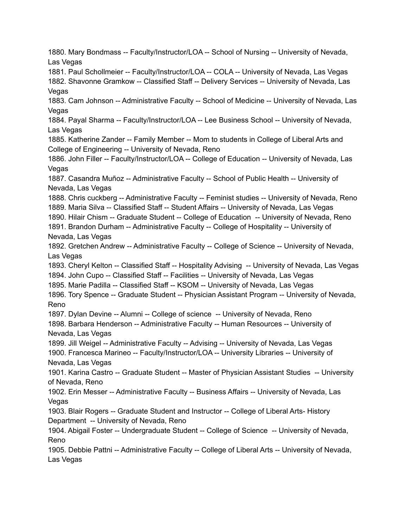1880. Mary Bondmass -- Faculty/Instructor/LOA -- School of Nursing -- University of Nevada, Las Vegas

1881. Paul Schollmeier -- Faculty/Instructor/LOA -- COLA -- University of Nevada, Las Vegas 1882. Shavonne Gramkow -- Classified Staff -- Delivery Services -- University of Nevada, Las Vegas

1883. Cam Johnson -- Administrative Faculty -- School of Medicine -- University of Nevada, Las Vegas

1884. Payal Sharma -- Faculty/Instructor/LOA -- Lee Business School -- University of Nevada, Las Vegas

1885. Katherine Zander -- Family Member -- Mom to students in College of Liberal Arts and College of Engineering -- University of Nevada, Reno

1886. John Filler -- Faculty/Instructor/LOA -- College of Education -- University of Nevada, Las Vegas

1887. Casandra Muñoz -- Administrative Faculty -- School of Public Health -- University of Nevada, Las Vegas

1888. Chris cuckberg -- Administrative Faculty -- Feminist studies -- University of Nevada, Reno 1889. Maria Silva -- Classified Staff -- Student Affairs -- University of Nevada, Las Vegas

1890. Hilair Chism -- Graduate Student -- College of Education -- University of Nevada, Reno

1891. Brandon Durham -- Administrative Faculty -- College of Hospitality -- University of Nevada, Las Vegas

1892. Gretchen Andrew -- Administrative Faculty -- College of Science -- University of Nevada, Las Vegas

1893. Cheryl Kelton -- Classified Staff -- Hospitality Advising -- University of Nevada, Las Vegas 1894. John Cupo -- Classified Staff -- Facilities -- University of Nevada, Las Vegas

1895. Marie Padilla -- Classified Staff -- KSOM -- University of Nevada, Las Vegas

1896. Tory Spence -- Graduate Student -- Physician Assistant Program -- University of Nevada, Reno

1897. Dylan Devine -- Alumni -- College of science -- University of Nevada, Reno

1898. Barbara Henderson -- Administrative Faculty -- Human Resources -- University of Nevada, Las Vegas

1899. Jill Weigel -- Administrative Faculty -- Advising -- University of Nevada, Las Vegas 1900. Francesca Marineo -- Faculty/Instructor/LOA -- University Libraries -- University of Nevada, Las Vegas

1901. Karina Castro -- Graduate Student -- Master of Physician Assistant Studies -- University of Nevada, Reno

1902. Erin Messer -- Administrative Faculty -- Business Affairs -- University of Nevada, Las **Vegas** 

1903. Blair Rogers -- Graduate Student and Instructor -- College of Liberal Arts- History Department -- University of Nevada, Reno

1904. Abigail Foster -- Undergraduate Student -- College of Science -- University of Nevada, Reno

1905. Debbie Pattni -- Administrative Faculty -- College of Liberal Arts -- University of Nevada, Las Vegas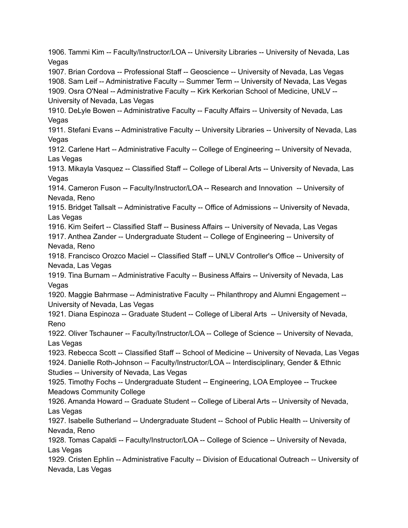1906. Tammi Kim -- Faculty/Instructor/LOA -- University Libraries -- University of Nevada, Las Vegas 1907. Brian Cordova -- Professional Staff -- Geoscience -- University of Nevada, Las Vegas 1908. Sam Leif -- Administrative Faculty -- Summer Term -- University of Nevada, Las Vegas 1909. Osra O'Neal -- Administrative Faculty -- Kirk Kerkorian School of Medicine, UNLV -- University of Nevada, Las Vegas 1910. DeLyle Bowen -- Administrative Faculty -- Faculty Affairs -- University of Nevada, Las Vegas 1911. Stefani Evans -- Administrative Faculty -- University Libraries -- University of Nevada, Las Vegas 1912. Carlene Hart -- Administrative Faculty -- College of Engineering -- University of Nevada, Las Vegas 1913. Mikayla Vasquez -- Classified Staff -- College of Liberal Arts -- University of Nevada, Las **Vegas** 1914. Cameron Fuson -- Faculty/Instructor/LOA -- Research and Innovation -- University of Nevada, Reno 1915. Bridget Tallsalt -- Administrative Faculty -- Office of Admissions -- University of Nevada, Las Vegas 1916. Kim Seifert -- Classified Staff -- Business Affairs -- University of Nevada, Las Vegas 1917. Anthea Zander -- Undergraduate Student -- College of Engineering -- University of Nevada, Reno 1918. Francisco Orozco Maciel -- Classified Staff -- UNLV Controller's Office -- University of Nevada, Las Vegas 1919. Tina Burnam -- Administrative Faculty -- Business Affairs -- University of Nevada, Las Vegas 1920. Maggie Bahrmase -- Administrative Faculty -- Philanthropy and Alumni Engagement -- University of Nevada, Las Vegas 1921. Diana Espinoza -- Graduate Student -- College of Liberal Arts -- University of Nevada, Reno 1922. Oliver Tschauner -- Faculty/Instructor/LOA -- College of Science -- University of Nevada, Las Vegas 1923. Rebecca Scott -- Classified Staff -- School of Medicine -- University of Nevada, Las Vegas 1924. Danielle Roth-Johnson -- Faculty/Instructor/LOA -- Interdisciplinary, Gender & Ethnic Studies -- University of Nevada, Las Vegas 1925. Timothy Fochs -- Undergraduate Student -- Engineering, LOA Employee -- Truckee Meadows Community College 1926. Amanda Howard -- Graduate Student -- College of Liberal Arts -- University of Nevada, Las Vegas 1927. Isabelle Sutherland -- Undergraduate Student -- School of Public Health -- University of Nevada, Reno 1928. Tomas Capaldi -- Faculty/Instructor/LOA -- College of Science -- University of Nevada, Las Vegas 1929. Cristen Ephlin -- Administrative Faculty -- Division of Educational Outreach -- University of Nevada, Las Vegas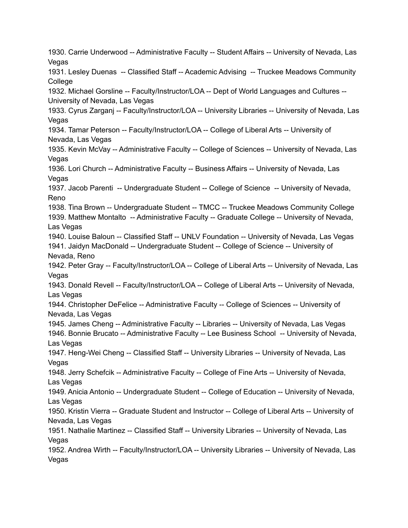1930. Carrie Underwood -- Administrative Faculty -- Student Affairs -- University of Nevada, Las Vegas 1931. Lesley Duenas -- Classified Staff -- Academic Advising -- Truckee Meadows Community **College** 1932. Michael Gorsline -- Faculty/Instructor/LOA -- Dept of World Languages and Cultures -- University of Nevada, Las Vegas 1933. Cyrus Zarganj -- Faculty/Instructor/LOA -- University Libraries -- University of Nevada, Las Vegas 1934. Tamar Peterson -- Faculty/Instructor/LOA -- College of Liberal Arts -- University of Nevada, Las Vegas 1935. Kevin McVay -- Administrative Faculty -- College of Sciences -- University of Nevada, Las **Vegas** 1936. Lori Church -- Administrative Faculty -- Business Affairs -- University of Nevada, Las **Vegas** 1937. Jacob Parenti -- Undergraduate Student -- College of Science -- University of Nevada, Reno 1938. Tina Brown -- Undergraduate Student -- TMCC -- Truckee Meadows Community College 1939. Matthew Montalto -- Administrative Faculty -- Graduate College -- University of Nevada, Las Vegas 1940. Louise Baloun -- Classified Staff -- UNLV Foundation -- University of Nevada, Las Vegas 1941. Jaidyn MacDonald -- Undergraduate Student -- College of Science -- University of Nevada, Reno 1942. Peter Gray -- Faculty/Instructor/LOA -- College of Liberal Arts -- University of Nevada, Las Vegas 1943. Donald Revell -- Faculty/Instructor/LOA -- College of Liberal Arts -- University of Nevada, Las Vegas 1944. Christopher DeFelice -- Administrative Faculty -- College of Sciences -- University of Nevada, Las Vegas 1945. James Cheng -- Administrative Faculty -- Libraries -- University of Nevada, Las Vegas 1946. Bonnie Brucato -- Administrative Faculty -- Lee Business School -- University of Nevada, Las Vegas 1947. Heng-Wei Cheng -- Classified Staff -- University Libraries -- University of Nevada, Las Vegas 1948. Jerry Schefcik -- Administrative Faculty -- College of Fine Arts -- University of Nevada, Las Vegas 1949. Anicia Antonio -- Undergraduate Student -- College of Education -- University of Nevada, Las Vegas 1950. Kristin Vierra -- Graduate Student and Instructor -- College of Liberal Arts -- University of Nevada, Las Vegas 1951. Nathalie Martinez -- Classified Staff -- University Libraries -- University of Nevada, Las Vegas 1952. Andrea Wirth -- Faculty/Instructor/LOA -- University Libraries -- University of Nevada, Las Vegas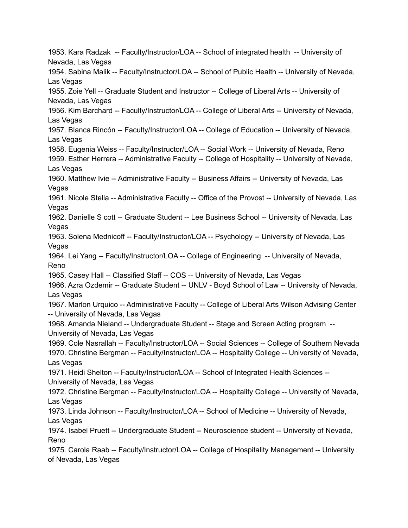1953. Kara Radzak -- Faculty/Instructor/LOA -- School of integrated health -- University of Nevada, Las Vegas 1954. Sabina Malik -- Faculty/Instructor/LOA -- School of Public Health -- University of Nevada, Las Vegas 1955. Zoie Yell -- Graduate Student and Instructor -- College of Liberal Arts -- University of Nevada, Las Vegas 1956. Kim Barchard -- Faculty/Instructor/LOA -- College of Liberal Arts -- University of Nevada, Las Vegas 1957. Blanca Rincón -- Faculty/Instructor/LOA -- College of Education -- University of Nevada, Las Vegas 1958. Eugenia Weiss -- Faculty/Instructor/LOA -- Social Work -- University of Nevada, Reno 1959. Esther Herrera -- Administrative Faculty -- College of Hospitality -- University of Nevada, Las Vegas 1960. Matthew Ivie -- Administrative Faculty -- Business Affairs -- University of Nevada, Las Vegas 1961. Nicole Stella -- Administrative Faculty -- Office of the Provost -- University of Nevada, Las **Vegas** 1962. Danielle S cott -- Graduate Student -- Lee Business School -- University of Nevada, Las Vegas 1963. Solena Mednicoff -- Faculty/Instructor/LOA -- Psychology -- University of Nevada, Las Vegas 1964. Lei Yang -- Faculty/Instructor/LOA -- College of Engineering -- University of Nevada, Reno 1965. Casey Hall -- Classified Staff -- COS -- University of Nevada, Las Vegas 1966. Azra Ozdemir -- Graduate Student -- UNLV - Boyd School of Law -- University of Nevada, Las Vegas 1967. Marlon Urquico -- Administrative Faculty -- College of Liberal Arts Wilson Advising Center -- University of Nevada, Las Vegas 1968. Amanda Nieland -- Undergraduate Student -- Stage and Screen Acting program -- University of Nevada, Las Vegas 1969. Cole Nasrallah -- Faculty/Instructor/LOA -- Social Sciences -- College of Southern Nevada 1970. Christine Bergman -- Faculty/Instructor/LOA -- Hospitality College -- University of Nevada, Las Vegas 1971. Heidi Shelton -- Faculty/Instructor/LOA -- School of Integrated Health Sciences -- University of Nevada, Las Vegas 1972. Christine Bergman -- Faculty/Instructor/LOA -- Hospitality College -- University of Nevada, Las Vegas 1973. Linda Johnson -- Faculty/Instructor/LOA -- School of Medicine -- University of Nevada, Las Vegas 1974. Isabel Pruett -- Undergraduate Student -- Neuroscience student -- University of Nevada, Reno 1975. Carola Raab -- Faculty/Instructor/LOA -- College of Hospitality Management -- University of Nevada, Las Vegas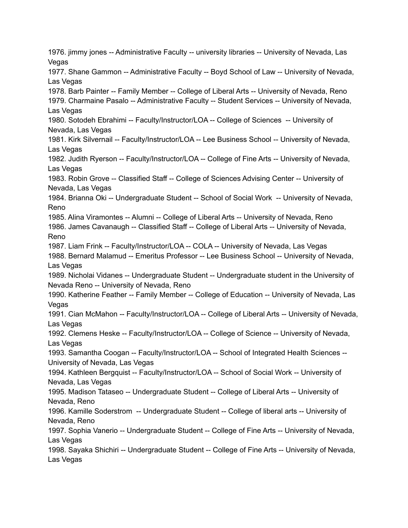1976. jimmy jones -- Administrative Faculty -- university libraries -- University of Nevada, Las Vegas 1977. Shane Gammon -- Administrative Faculty -- Boyd School of Law -- University of Nevada, Las Vegas 1978. Barb Painter -- Family Member -- College of Liberal Arts -- University of Nevada, Reno 1979. Charmaine Pasalo -- Administrative Faculty -- Student Services -- University of Nevada, Las Vegas 1980. Sotodeh Ebrahimi -- Faculty/Instructor/LOA -- College of Sciences -- University of Nevada, Las Vegas 1981. Kirk Silvernail -- Faculty/Instructor/LOA -- Lee Business School -- University of Nevada, Las Vegas 1982. Judith Ryerson -- Faculty/Instructor/LOA -- College of Fine Arts -- University of Nevada, Las Vegas 1983. Robin Grove -- Classified Staff -- College of Sciences Advising Center -- University of Nevada, Las Vegas 1984. Brianna Oki -- Undergraduate Student -- School of Social Work -- University of Nevada, Reno 1985. Alina Viramontes -- Alumni -- College of Liberal Arts -- University of Nevada, Reno 1986. James Cavanaugh -- Classified Staff -- College of Liberal Arts -- University of Nevada, Reno 1987. Liam Frink -- Faculty/Instructor/LOA -- COLA -- University of Nevada, Las Vegas 1988. Bernard Malamud -- Emeritus Professor -- Lee Business School -- University of Nevada, Las Vegas 1989. Nicholai Vidanes -- Undergraduate Student -- Undergraduate student in the University of Nevada Reno -- University of Nevada, Reno 1990. Katherine Feather -- Family Member -- College of Education -- University of Nevada, Las Vegas 1991. Cian McMahon -- Faculty/Instructor/LOA -- College of Liberal Arts -- University of Nevada, Las Vegas 1992. Clemens Heske -- Faculty/Instructor/LOA -- College of Science -- University of Nevada, Las Vegas 1993. Samantha Coogan -- Faculty/Instructor/LOA -- School of Integrated Health Sciences -- University of Nevada, Las Vegas 1994. Kathleen Bergquist -- Faculty/Instructor/LOA -- School of Social Work -- University of Nevada, Las Vegas 1995. Madison Tataseo -- Undergraduate Student -- College of Liberal Arts -- University of Nevada, Reno 1996. Kamille Soderstrom -- Undergraduate Student -- College of liberal arts -- University of Nevada, Reno 1997. Sophia Vanerio -- Undergraduate Student -- College of Fine Arts -- University of Nevada, Las Vegas 1998. Sayaka Shichiri -- Undergraduate Student -- College of Fine Arts -- University of Nevada, Las Vegas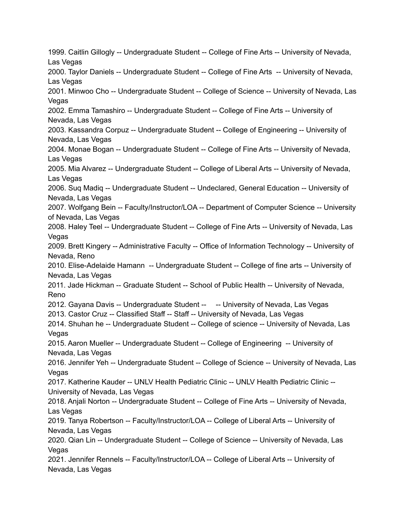1999. Caitlin Gillogly -- Undergraduate Student -- College of Fine Arts -- University of Nevada, Las Vegas 2000. Taylor Daniels -- Undergraduate Student -- College of Fine Arts -- University of Nevada, Las Vegas 2001. Minwoo Cho -- Undergraduate Student -- College of Science -- University of Nevada, Las Vegas 2002. Emma Tamashiro -- Undergraduate Student -- College of Fine Arts -- University of Nevada, Las Vegas 2003. Kassandra Corpuz -- Undergraduate Student -- College of Engineering -- University of Nevada, Las Vegas 2004. Monae Bogan -- Undergraduate Student -- College of Fine Arts -- University of Nevada, Las Vegas 2005. Mia Alvarez -- Undergraduate Student -- College of Liberal Arts -- University of Nevada, Las Vegas 2006. Suq Madiq -- Undergraduate Student -- Undeclared, General Education -- University of Nevada, Las Vegas 2007. Wolfgang Bein -- Faculty/Instructor/LOA -- Department of Computer Science -- University of Nevada, Las Vegas 2008. Haley Teel -- Undergraduate Student -- College of Fine Arts -- University of Nevada, Las Vegas 2009. Brett Kingery -- Administrative Faculty -- Office of Information Technology -- University of Nevada, Reno 2010. Elise-Adelaide Hamann -- Undergraduate Student -- College of fine arts -- University of Nevada, Las Vegas 2011. Jade Hickman -- Graduate Student -- School of Public Health -- University of Nevada, Reno 2012. Gayana Davis -- Undergraduate Student -- -- University of Nevada, Las Vegas 2013. Castor Cruz -- Classified Staff -- Staff -- University of Nevada, Las Vegas 2014. Shuhan he -- Undergraduate Student -- College of science -- University of Nevada, Las Vegas 2015. Aaron Mueller -- Undergraduate Student -- College of Engineering -- University of Nevada, Las Vegas 2016. Jennifer Yeh -- Undergraduate Student -- College of Science -- University of Nevada, Las Vegas 2017. Katherine Kauder -- UNLV Health Pediatric Clinic -- UNLV Health Pediatric Clinic -- University of Nevada, Las Vegas 2018. Anjali Norton -- Undergraduate Student -- College of Fine Arts -- University of Nevada, Las Vegas 2019. Tanya Robertson -- Faculty/Instructor/LOA -- College of Liberal Arts -- University of Nevada, Las Vegas 2020. Qian Lin -- Undergraduate Student -- College of Science -- University of Nevada, Las Vegas 2021. Jennifer Rennels -- Faculty/Instructor/LOA -- College of Liberal Arts -- University of Nevada, Las Vegas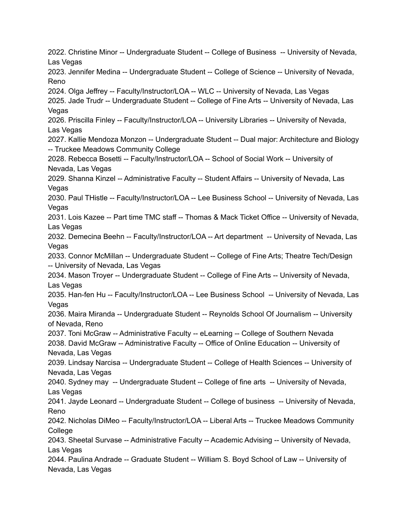2022. Christine Minor -- Undergraduate Student -- College of Business -- University of Nevada, Las Vegas 2023. Jennifer Medina -- Undergraduate Student -- College of Science -- University of Nevada, Reno 2024. Olga Jeffrey -- Faculty/Instructor/LOA -- WLC -- University of Nevada, Las Vegas 2025. Jade Trudr -- Undergraduate Student -- College of Fine Arts -- University of Nevada, Las Vegas 2026. Priscilla Finley -- Faculty/Instructor/LOA -- University Libraries -- University of Nevada, Las Vegas 2027. Kallie Mendoza Monzon -- Undergraduate Student -- Dual major: Architecture and Biology -- Truckee Meadows Community College 2028. Rebecca Bosetti -- Faculty/Instructor/LOA -- School of Social Work -- University of Nevada, Las Vegas 2029. Shanna Kinzel -- Administrative Faculty -- Student Affairs -- University of Nevada, Las Vegas 2030. Paul THistle -- Faculty/Instructor/LOA -- Lee Business School -- University of Nevada, Las **Vegas** 2031. Lois Kazee -- Part time TMC staff -- Thomas & Mack Ticket Office -- University of Nevada, Las Vegas 2032. Demecina Beehn -- Faculty/Instructor/LOA -- Art department -- University of Nevada, Las Vegas 2033. Connor McMillan -- Undergraduate Student -- College of Fine Arts; Theatre Tech/Design -- University of Nevada, Las Vegas 2034. Mason Troyer -- Undergraduate Student -- College of Fine Arts -- University of Nevada, Las Vegas 2035. Han-fen Hu -- Faculty/Instructor/LOA -- Lee Business School -- University of Nevada, Las Vegas 2036. Maira Miranda -- Undergraduate Student -- Reynolds School Of Journalism -- University of Nevada, Reno 2037. Toni McGraw -- Administrative Faculty -- eLearning -- College of Southern Nevada 2038. David McGraw -- Administrative Faculty -- Office of Online Education -- University of Nevada, Las Vegas 2039. Lindsay Narcisa -- Undergraduate Student -- College of Health Sciences -- University of Nevada, Las Vegas 2040. Sydney may -- Undergraduate Student -- College of fine arts -- University of Nevada, Las Vegas 2041. Jayde Leonard -- Undergraduate Student -- College of business -- University of Nevada, Reno 2042. Nicholas DiMeo -- Faculty/Instructor/LOA -- Liberal Arts -- Truckee Meadows Community **College** 2043. Sheetal Survase -- Administrative Faculty -- Academic Advising -- University of Nevada, Las Vegas 2044. Paulina Andrade -- Graduate Student -- William S. Boyd School of Law -- University of Nevada, Las Vegas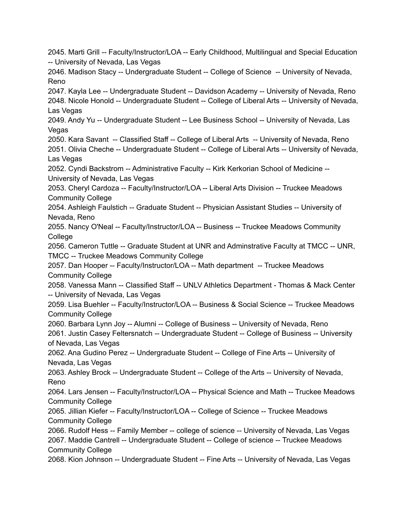2045. Marti Grill -- Faculty/Instructor/LOA -- Early Childhood, Multilingual and Special Education -- University of Nevada, Las Vegas 2046. Madison Stacy -- Undergraduate Student -- College of Science -- University of Nevada, Reno 2047. Kayla Lee -- Undergraduate Student -- Davidson Academy -- University of Nevada, Reno 2048. Nicole Honold -- Undergraduate Student -- College of Liberal Arts -- University of Nevada, Las Vegas 2049. Andy Yu -- Undergraduate Student -- Lee Business School -- University of Nevada, Las Vegas 2050. Kara Savant -- Classified Staff -- College of Liberal Arts -- University of Nevada, Reno 2051. Olivia Cheche -- Undergraduate Student -- College of Liberal Arts -- University of Nevada, Las Vegas 2052. Cyndi Backstrom -- Administrative Faculty -- Kirk Kerkorian School of Medicine -- University of Nevada, Las Vegas 2053. Cheryl Cardoza -- Faculty/Instructor/LOA -- Liberal Arts Division -- Truckee Meadows Community College 2054. Ashleigh Faulstich -- Graduate Student -- Physician Assistant Studies -- University of Nevada, Reno 2055. Nancy O'Neal -- Faculty/Instructor/LOA -- Business -- Truckee Meadows Community **College** 2056. Cameron Tuttle -- Graduate Student at UNR and Adminstrative Faculty at TMCC -- UNR, TMCC -- Truckee Meadows Community College 2057. Dan Hooper -- Faculty/Instructor/LOA -- Math department -- Truckee Meadows Community College 2058. Vanessa Mann -- Classified Staff -- UNLV Athletics Department - Thomas & Mack Center -- University of Nevada, Las Vegas 2059. Lisa Buehler -- Faculty/Instructor/LOA -- Business & Social Science -- Truckee Meadows Community College 2060. Barbara Lynn Joy -- Alumni -- College of Business -- University of Nevada, Reno 2061. Justin Casey Feltersnatch -- Undergraduate Student -- College of Business -- University of Nevada, Las Vegas 2062. Ana Gudino Perez -- Undergraduate Student -- College of Fine Arts -- University of Nevada, Las Vegas 2063. Ashley Brock -- Undergraduate Student -- College of the Arts -- University of Nevada, Reno 2064. Lars Jensen -- Faculty/Instructor/LOA -- Physical Science and Math -- Truckee Meadows Community College 2065. Jillian Kiefer -- Faculty/Instructor/LOA -- College of Science -- Truckee Meadows Community College 2066. Rudolf Hess -- Family Member -- college of science -- University of Nevada, Las Vegas 2067. Maddie Cantrell -- Undergraduate Student -- College of science -- Truckee Meadows Community College 2068. Kion Johnson -- Undergraduate Student -- Fine Arts -- University of Nevada, Las Vegas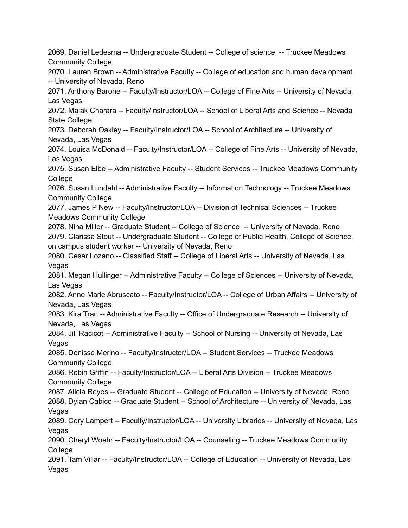2069. Daniel Ledesma -- Undergraduate Student -- College of science -- Truckee Meadows Community College 2070. Lauren Brown -- Administrative Faculty -- College of education and human development -- University of Nevada, Reno 2071. Anthony Barone -- Faculty/Instructor/LOA -- College of Fine Arts -- University of Nevada, Las Vegas 2072. Malak Charara -- Faculty/Instructor/LOA -- School of Liberal Arts and Science -- Nevada State College 2073. Deborah Oakley -- Faculty/Instructor/LOA -- School of Architecture -- University of Nevada, Las Vegas 2074. Louisa McDonald -- Faculty/Instructor/LOA -- College of Fine Arts -- University of Nevada, Las Vegas 2075. Susan Elbe -- Administrative Faculty -- Student Services -- Truckee Meadows Community **College** 2076. Susan Lundahl -- Administrative Faculty -- Information Technology -- Truckee Meadows Community College 2077. James P New -- Faculty/Instructor/LOA -- Division of Technical Sciences -- Truckee Meadows Community College 2078. Nina Miller -- Graduate Student -- College of Science -- University of Nevada, Reno 2079. Clarissa Stout -- Undergraduate Student -- College of Public Health, College of Science, on campus student worker -- University of Nevada, Reno 2080. Cesar Lozano -- Classified Staff -- College of Liberal Arts -- University of Nevada, Las Vegas 2081. Megan Hullinger -- Administrative Faculty -- College of Sciences -- University of Nevada, Las Vegas 2082. Anne Marie Abruscato -- Faculty/Instructor/LOA -- College of Urban Affairs -- University of Nevada, Las Vegas 2083. Kira Tran -- Administrative Faculty -- Office of Undergraduate Research -- University of Nevada, Las Vegas 2084. Jill Racicot -- Administrative Faculty -- School of Nursing -- University of Nevada, Las Vegas 2085. Denisse Merino -- Faculty/Instructor/LOA -- Student Services -- Truckee Meadows Community College 2086. Robin Griffin -- Faculty/Instructor/LOA -- Liberal Arts Division -- Truckee Meadows Community College 2087. Alicia Reyes -- Graduate Student -- College of Education -- University of Nevada, Reno 2088. Dylan Cabico -- Graduate Student -- School of Architecture -- University of Nevada, Las Vegas 2089. Cory Lampert -- Faculty/Instructor/LOA -- University Libraries -- University of Nevada, Las Vegas 2090. Cheryl Woehr -- Faculty/Instructor/LOA -- Counseling -- Truckee Meadows Community **College** 2091. Tam Villar -- Faculty/Instructor/LOA -- College of Education -- University of Nevada, Las Vegas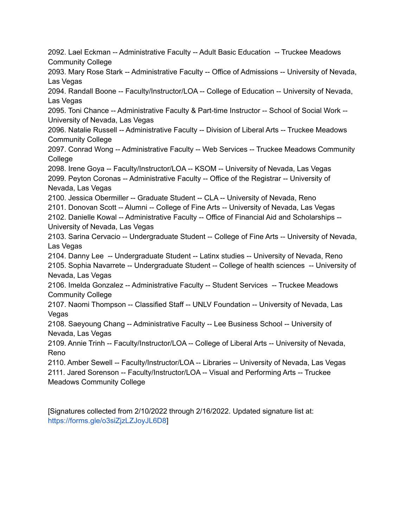2092. Lael Eckman -- Administrative Faculty -- Adult Basic Education -- Truckee Meadows Community College 2093. Mary Rose Stark -- Administrative Faculty -- Office of Admissions -- University of Nevada, Las Vegas 2094. Randall Boone -- Faculty/Instructor/LOA -- College of Education -- University of Nevada, Las Vegas 2095. Toni Chance -- Administrative Faculty & Part-time Instructor -- School of Social Work -- University of Nevada, Las Vegas 2096. Natalie Russell -- Administrative Faculty -- Division of Liberal Arts -- Truckee Meadows Community College 2097. Conrad Wong -- Administrative Faculty -- Web Services -- Truckee Meadows Community **College** 2098. Irene Goya -- Faculty/Instructor/LOA -- KSOM -- University of Nevada, Las Vegas 2099. Peyton Coronas -- Administrative Faculty -- Office of the Registrar -- University of Nevada, Las Vegas 2100. Jessica Obermiller -- Graduate Student -- CLA -- University of Nevada, Reno 2101. Donovan Scott -- Alumni -- College of Fine Arts -- University of Nevada, Las Vegas 2102. Danielle Kowal -- Administrative Faculty -- Office of Financial Aid and Scholarships -- University of Nevada, Las Vegas 2103. Sarina Cervacio -- Undergraduate Student -- College of Fine Arts -- University of Nevada, Las Vegas 2104. Danny Lee -- Undergraduate Student -- Latinx studies -- University of Nevada, Reno 2105. Sophia Navarrete -- Undergraduate Student -- College of health sciences -- University of Nevada, Las Vegas 2106. Imelda Gonzalez -- Administrative Faculty -- Student Services -- Truckee Meadows Community College 2107. Naomi Thompson -- Classified Staff -- UNLV Foundation -- University of Nevada, Las Vegas 2108. Saeyoung Chang -- Administrative Faculty -- Lee Business School -- University of Nevada, Las Vegas 2109. Annie Trinh -- Faculty/Instructor/LOA -- College of Liberal Arts -- University of Nevada, Reno 2110. Amber Sewell -- Faculty/Instructor/LOA -- Libraries -- University of Nevada, Las Vegas 2111. Jared Sorenson -- Faculty/Instructor/LOA -- Visual and Performing Arts -- Truckee Meadows Community College

[Signatures collected from 2/10/2022 through 2/16/2022. Updated signature list at: [https://forms.gle/o3siZjzLZJoyJL6D8\]](https://forms.gle/o3siZjzLZJoyJL6D8)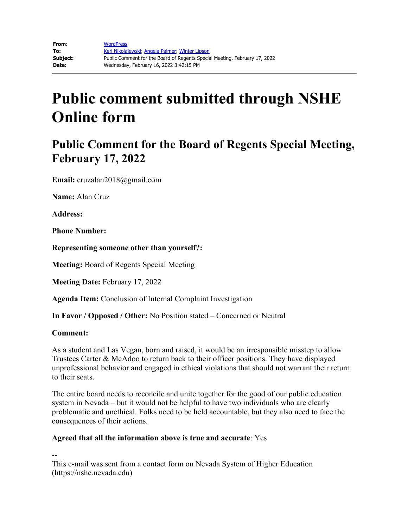## **Public Comment for the Board of Regents Special Meeting, February 17, 2022**

**Email:** cruzalan2018@gmail.com

**Name:** Alan Cruz

**Address:** 

**Phone Number:** 

**Representing someone other than yourself?:**

**Meeting:** Board of Regents Special Meeting

**Meeting Date:** February 17, 2022

**Agenda Item:** Conclusion of Internal Complaint Investigation

**In Favor / Opposed / Other:** No Position stated – Concerned or Neutral

#### **Comment:**

As a student and Las Vegan, born and raised, it would be an irresponsible misstep to allow Trustees Carter & McAdoo to return back to their officer positions. They have displayed unprofessional behavior and engaged in ethical violations that should not warrant their return to their seats.

The entire board needs to reconcile and unite together for the good of our public education system in Nevada – but it would not be helpful to have two individuals who are clearly problematic and unethical. Folks need to be held accountable, but they also need to face the consequences of their actions.

### **Agreed that all the information above is true and accurate**: Yes

--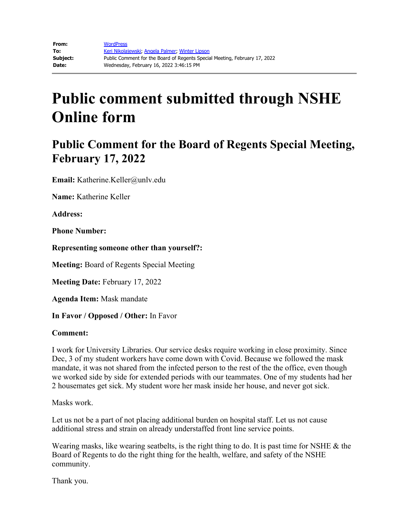## **Public Comment for the Board of Regents Special Meeting, February 17, 2022**

**Email:** Katherine.Keller@unlv.edu

**Name:** Katherine Keller

**Address:** 

**Phone Number:** 

**Representing someone other than yourself?:**

**Meeting:** Board of Regents Special Meeting

**Meeting Date:** February 17, 2022

**Agenda Item:** Mask mandate

**In Favor / Opposed / Other:** In Favor

#### **Comment:**

I work for University Libraries. Our service desks require working in close proximity. Since Dec, 3 of my student workers have come down with Covid. Because we followed the mask mandate, it was not shared from the infected person to the rest of the the office, even though we worked side by side for extended periods with our teammates. One of my students had her 2 housemates get sick. My student wore her mask inside her house, and never got sick.

Masks work.

Let us not be a part of not placing additional burden on hospital staff. Let us not cause additional stress and strain on already understaffed front line service points.

Wearing masks, like wearing seatbelts, is the right thing to do. It is past time for NSHE  $\&$  the Board of Regents to do the right thing for the health, welfare, and safety of the NSHE community.

Thank you.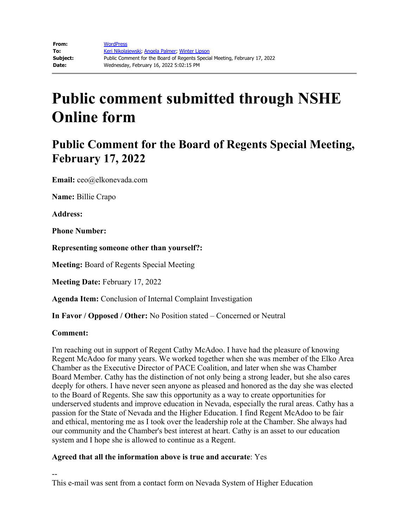## **Public Comment for the Board of Regents Special Meeting, February 17, 2022**

**Email:** ceo@elkonevada.com

**Name:** Billie Crapo

**Address:** 

**Phone Number:** 

**Representing someone other than yourself?:**

**Meeting:** Board of Regents Special Meeting

**Meeting Date:** February 17, 2022

**Agenda Item:** Conclusion of Internal Complaint Investigation

**In Favor / Opposed / Other:** No Position stated – Concerned or Neutral

#### **Comment:**

I'm reaching out in support of Regent Cathy McAdoo. I have had the pleasure of knowing Regent McAdoo for many years. We worked together when she was member of the Elko Area Chamber as the Executive Director of PACE Coalition, and later when she was Chamber Board Member. Cathy has the distinction of not only being a strong leader, but she also cares deeply for others. I have never seen anyone as pleased and honored as the day she was elected to the Board of Regents. She saw this opportunity as a way to create opportunities for underserved students and improve education in Nevada, especially the rural areas. Cathy has a passion for the State of Nevada and the Higher Education. I find Regent McAdoo to be fair and ethical, mentoring me as I took over the leadership role at the Chamber. She always had our community and the Chamber's best interest at heart. Cathy is an asset to our education system and I hope she is allowed to continue as a Regent.

### **Agreed that all the information above is true and accurate**: Yes

-- This e-mail was sent from a contact form on Nevada System of Higher Education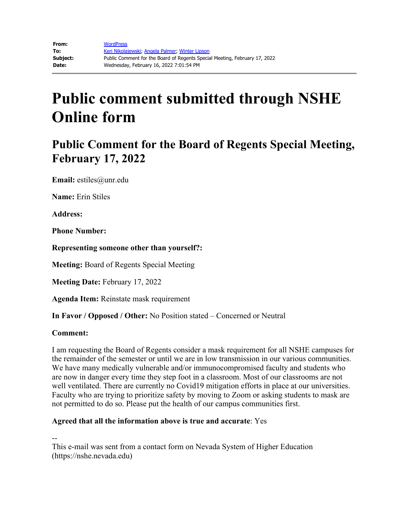## **Public Comment for the Board of Regents Special Meeting, February 17, 2022**

**Email:** estiles@unr.edu

**Name:** Erin Stiles

**Address:** 

**Phone Number:** 

**Representing someone other than yourself?:**

**Meeting:** Board of Regents Special Meeting

**Meeting Date:** February 17, 2022

**Agenda Item:** Reinstate mask requirement

**In Favor / Opposed / Other:** No Position stated – Concerned or Neutral

#### **Comment:**

I am requesting the Board of Regents consider a mask requirement for all NSHE campuses for the remainder of the semester or until we are in low transmission in our various communities. We have many medically vulnerable and/or immunocompromised faculty and students who are now in danger every time they step foot in a classroom. Most of our classrooms are not well ventilated. There are currently no Covid19 mitigation efforts in place at our universities. Faculty who are trying to prioritize safety by moving to Zoom or asking students to mask are not permitted to do so. Please put the health of our campus communities first.

### **Agreed that all the information above is true and accurate**: Yes

--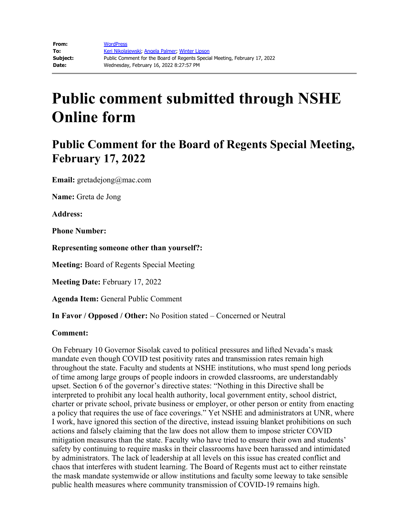## **Public Comment for the Board of Regents Special Meeting, February 17, 2022**

**Email:** gretadejong@mac.com

**Name:** Greta de Jong

**Address:**

**Phone Number:**

**Representing someone other than yourself?:**

**Meeting:** Board of Regents Special Meeting

**Meeting Date:** February 17, 2022

**Agenda Item:** General Public Comment

**In Favor / Opposed / Other:** No Position stated – Concerned or Neutral

#### **Comment:**

On February 10 Governor Sisolak caved to political pressures and lifted Nevada's mask mandate even though COVID test positivity rates and transmission rates remain high throughout the state. Faculty and students at NSHE institutions, who must spend long periods of time among large groups of people indoors in crowded classrooms, are understandably upset. Section 6 of the governor's directive states: "Nothing in this Directive shall be interpreted to prohibit any local health authority, local government entity, school district, charter or private school, private business or employer, or other person or entity from enacting a policy that requires the use of face coverings." Yet NSHE and administrators at UNR, where I work, have ignored this section of the directive, instead issuing blanket prohibitions on such actions and falsely claiming that the law does not allow them to impose stricter COVID mitigation measures than the state. Faculty who have tried to ensure their own and students' safety by continuing to require masks in their classrooms have been harassed and intimidated by administrators. The lack of leadership at all levels on this issue has created conflict and chaos that interferes with student learning. The Board of Regents must act to either reinstate the mask mandate systemwide or allow institutions and faculty some leeway to take sensible public health measures where community transmission of COVID-19 remains high.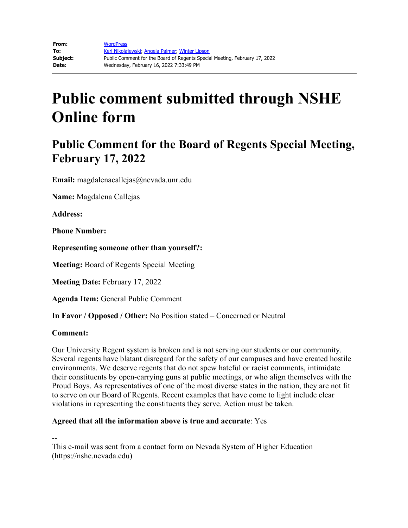## **Public Comment for the Board of Regents Special Meeting, February 17, 2022**

**Email:** magdalenacallejas@nevada.unr.edu

**Name:** Magdalena Callejas

**Address:**

**Phone Number:**

**Representing someone other than yourself?:**

**Meeting:** Board of Regents Special Meeting

**Meeting Date:** February 17, 2022

**Agenda Item:** General Public Comment

**In Favor / Opposed / Other:** No Position stated – Concerned or Neutral

#### **Comment:**

Our University Regent system is broken and is not serving our students or our community. Several regents have blatant disregard for the safety of our campuses and have created hostile environments. We deserve regents that do not spew hateful or racist comments, intimidate their constituents by open-carrying guns at public meetings, or who align themselves with the Proud Boys. As representatives of one of the most diverse states in the nation, they are not fit to serve on our Board of Regents. Recent examples that have come to light include clear violations in representing the constituents they serve. Action must be taken.

### **Agreed that all the information above is true and accurate**: Yes

--